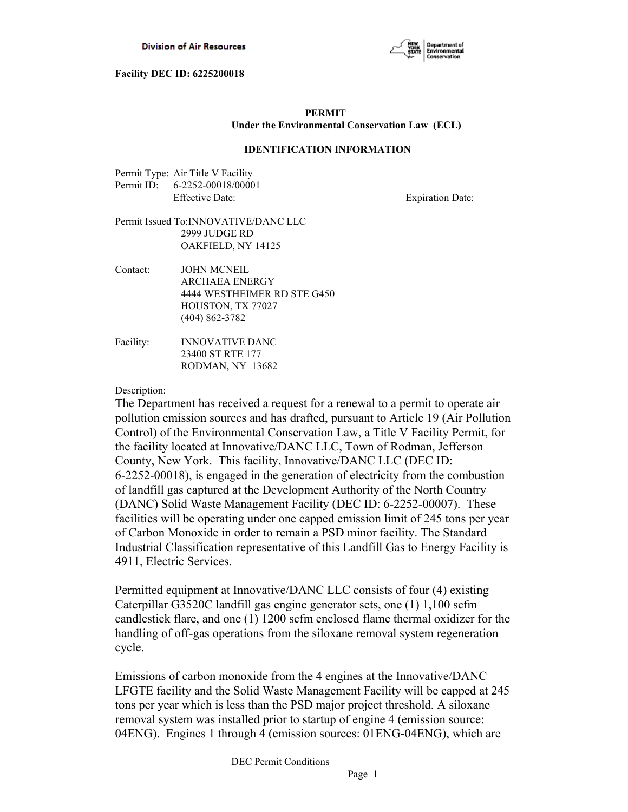

# **PERMIT Under the Environmental Conservation Law (ECL)**

### **IDENTIFICATION INFORMATION**

Permit Type: Air Title V Facility Permit ID: 6-2252-00018/00001 Effective Date: Expiration Date:

# Permit Issued To:INNOVATIVE/DANC LLC 2999 JUDGE RD OAKFIELD, NY 14125

- Contact: JOHN MCNEIL ARCHAEA ENERGY 4444 WESTHEIMER RD STE G450 HOUSTON, TX 77027 (404) 862-3782
- Facility: INNOVATIVE DANC 23400 ST RTE 177 RODMAN, NY 13682

#### Description:

The Department has received a request for a renewal to a permit to operate air pollution emission sources and has drafted, pursuant to Article 19 (Air Pollution Control) of the Environmental Conservation Law, a Title V Facility Permit, for the facility located at Innovative/DANC LLC, Town of Rodman, Jefferson County, New York. This facility, Innovative/DANC LLC (DEC ID: 6-2252-00018), is engaged in the generation of electricity from the combustion of landfill gas captured at the Development Authority of the North Country (DANC) Solid Waste Management Facility (DEC ID: 6-2252-00007). These facilities will be operating under one capped emission limit of 245 tons per year of Carbon Monoxide in order to remain a PSD minor facility. The Standard Industrial Classification representative of this Landfill Gas to Energy Facility is 4911, Electric Services.

Permitted equipment at Innovative/DANC LLC consists of four (4) existing Caterpillar G3520C landfill gas engine generator sets, one (1) 1,100 scfm candlestick flare, and one (1) 1200 scfm enclosed flame thermal oxidizer for the handling of off-gas operations from the siloxane removal system regeneration cycle.

Emissions of carbon monoxide from the 4 engines at the Innovative/DANC LFGTE facility and the Solid Waste Management Facility will be capped at 245 tons per year which is less than the PSD major project threshold. A siloxane removal system was installed prior to startup of engine 4 (emission source: 04ENG). Engines 1 through 4 (emission sources: 01ENG-04ENG), which are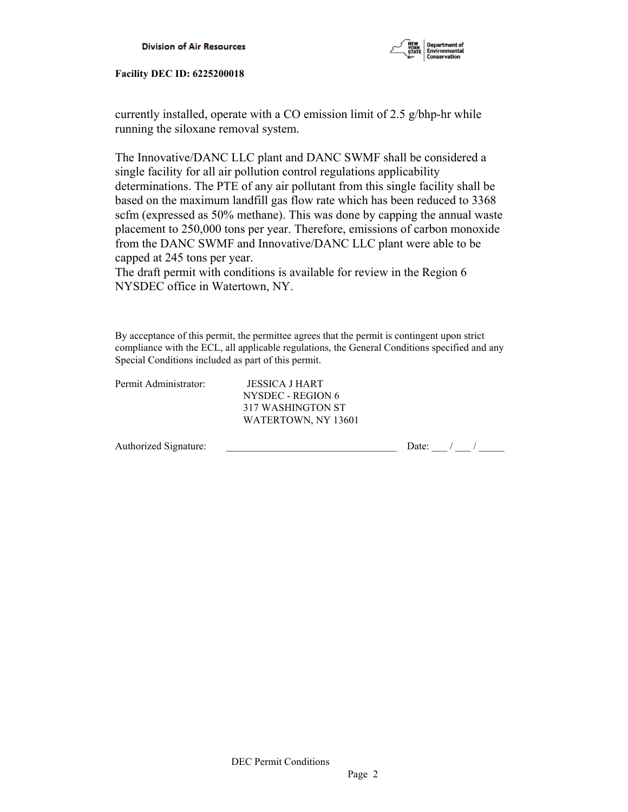

currently installed, operate with a CO emission limit of 2.5 g/bhp-hr while running the siloxane removal system.

The Innovative/DANC LLC plant and DANC SWMF shall be considered a single facility for all air pollution control regulations applicability determinations. The PTE of any air pollutant from this single facility shall be based on the maximum landfill gas flow rate which has been reduced to 3368 scfm (expressed as 50% methane). This was done by capping the annual waste placement to 250,000 tons per year. Therefore, emissions of carbon monoxide from the DANC SWMF and Innovative/DANC LLC plant were able to be capped at 245 tons per year.

The draft permit with conditions is available for review in the Region 6 NYSDEC office in Watertown, NY.

By acceptance of this permit, the permittee agrees that the permit is contingent upon strict compliance with the ECL, all applicable regulations, the General Conditions specified and any Special Conditions included as part of this permit.

| Permit Administrator: | JESSICA J HART      |       |  |  |
|-----------------------|---------------------|-------|--|--|
|                       | NYSDEC - REGION 6   |       |  |  |
|                       | 317 WASHINGTON ST   |       |  |  |
|                       | WATERTOWN, NY 13601 |       |  |  |
| Authorized Signature: |                     | Date: |  |  |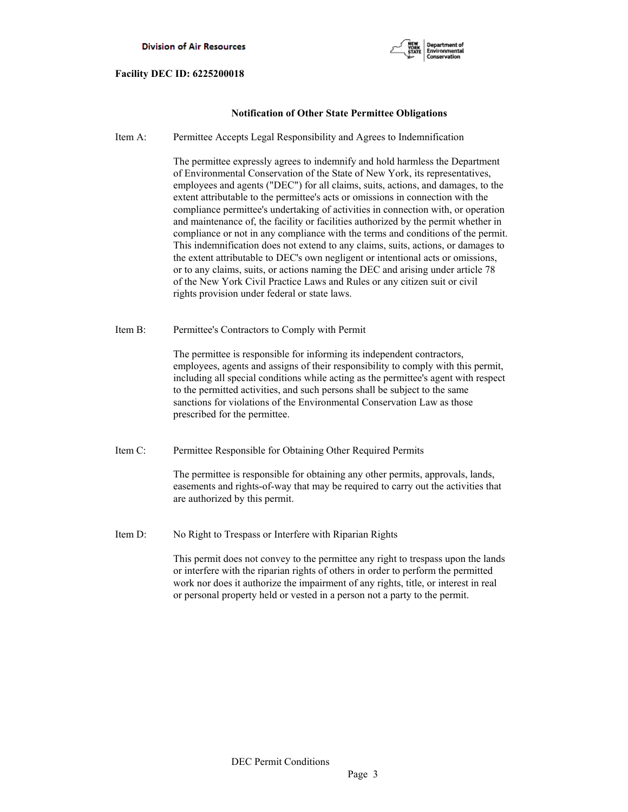

# **Notification of Other State Permittee Obligations**

Item A: Permittee Accepts Legal Responsibility and Agrees to Indemnification

 The permittee expressly agrees to indemnify and hold harmless the Department of Environmental Conservation of the State of New York, its representatives, employees and agents ("DEC") for all claims, suits, actions, and damages, to the extent attributable to the permittee's acts or omissions in connection with the compliance permittee's undertaking of activities in connection with, or operation and maintenance of, the facility or facilities authorized by the permit whether in compliance or not in any compliance with the terms and conditions of the permit. This indemnification does not extend to any claims, suits, actions, or damages to the extent attributable to DEC's own negligent or intentional acts or omissions, or to any claims, suits, or actions naming the DEC and arising under article 78 of the New York Civil Practice Laws and Rules or any citizen suit or civil rights provision under federal or state laws.

Item B: Permittee's Contractors to Comply with Permit

 The permittee is responsible for informing its independent contractors, employees, agents and assigns of their responsibility to comply with this permit, including all special conditions while acting as the permittee's agent with respect to the permitted activities, and such persons shall be subject to the same sanctions for violations of the Environmental Conservation Law as those prescribed for the permittee.

Item C: Permittee Responsible for Obtaining Other Required Permits

 The permittee is responsible for obtaining any other permits, approvals, lands, easements and rights-of-way that may be required to carry out the activities that are authorized by this permit.

Item D: No Right to Trespass or Interfere with Riparian Rights

 This permit does not convey to the permittee any right to trespass upon the lands or interfere with the riparian rights of others in order to perform the permitted work nor does it authorize the impairment of any rights, title, or interest in real or personal property held or vested in a person not a party to the permit.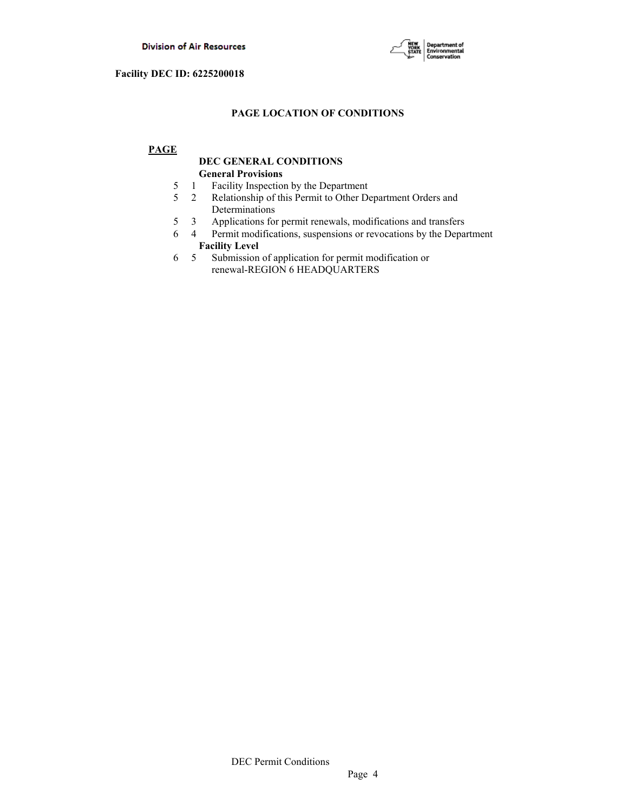

# **PAGE LOCATION OF CONDITIONS**

# **PAGE**

# **DEC GENERAL CONDITIONS General Provisions**

- 5 1 Facility Inspection by the Department
- 5 2 Relationship of this Permit to Other Department Orders and Determinations
- 5 3 Applications for permit renewals, modifications and transfers
- 6 4 Permit modifications, suspensions or revocations by the Department  **Facility Level**
- 6 5 Submission of application for permit modification or renewal-REGION 6 HEADQUARTERS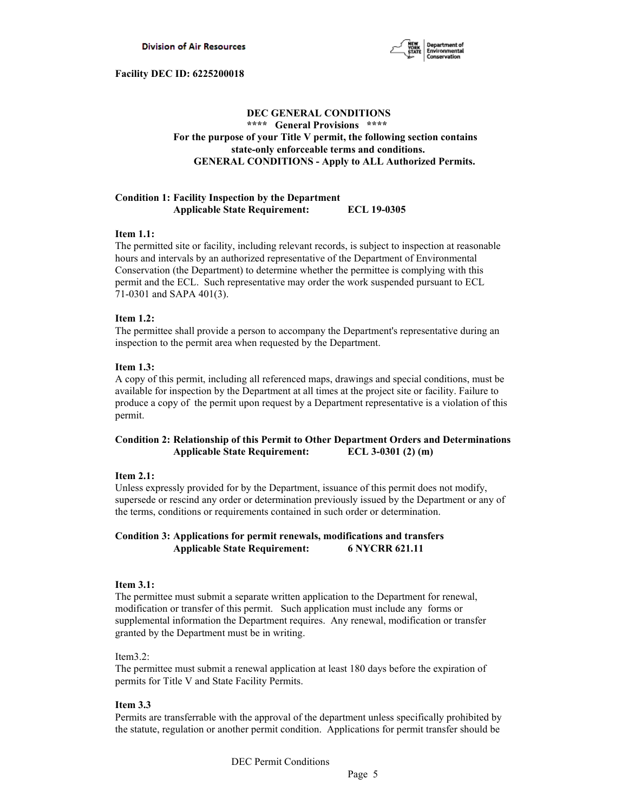

# **DEC GENERAL CONDITIONS \*\*\*\* General Provisions \*\*\*\* For the purpose of your Title V permit, the following section contains state-only enforceable terms and conditions. GENERAL CONDITIONS - Apply to ALL Authorized Permits.**

#### **Condition 1: Facility Inspection by the Department Applicable State Requirement: ECL 19-0305**

#### **Item 1.1:**

The permitted site or facility, including relevant records, is subject to inspection at reasonable hours and intervals by an authorized representative of the Department of Environmental Conservation (the Department) to determine whether the permittee is complying with this permit and the ECL. Such representative may order the work suspended pursuant to ECL 71-0301 and SAPA 401(3).

# **Item 1.2:**

The permittee shall provide a person to accompany the Department's representative during an inspection to the permit area when requested by the Department.

# **Item 1.3:**

A copy of this permit, including all referenced maps, drawings and special conditions, must be available for inspection by the Department at all times at the project site or facility. Failure to produce a copy of the permit upon request by a Department representative is a violation of this permit.

# **Condition 2: Relationship of this Permit to Other Department Orders and Determinations Applicable State Requirement: ECL 3-0301 (2) (m)**

#### **Item 2.1:**

Unless expressly provided for by the Department, issuance of this permit does not modify, supersede or rescind any order or determination previously issued by the Department or any of the terms, conditions or requirements contained in such order or determination.

# **Condition 3: Applications for permit renewals, modifications and transfers Applicable State Requirement: 6 NYCRR 621.11**

#### **Item 3.1:**

The permittee must submit a separate written application to the Department for renewal, modification or transfer of this permit. Such application must include any forms or supplemental information the Department requires. Any renewal, modification or transfer granted by the Department must be in writing.

#### Item3.2:

The permittee must submit a renewal application at least 180 days before the expiration of permits for Title V and State Facility Permits.

#### **Item 3.3**

Permits are transferrable with the approval of the department unless specifically prohibited by the statute, regulation or another permit condition. Applications for permit transfer should be

DEC Permit Conditions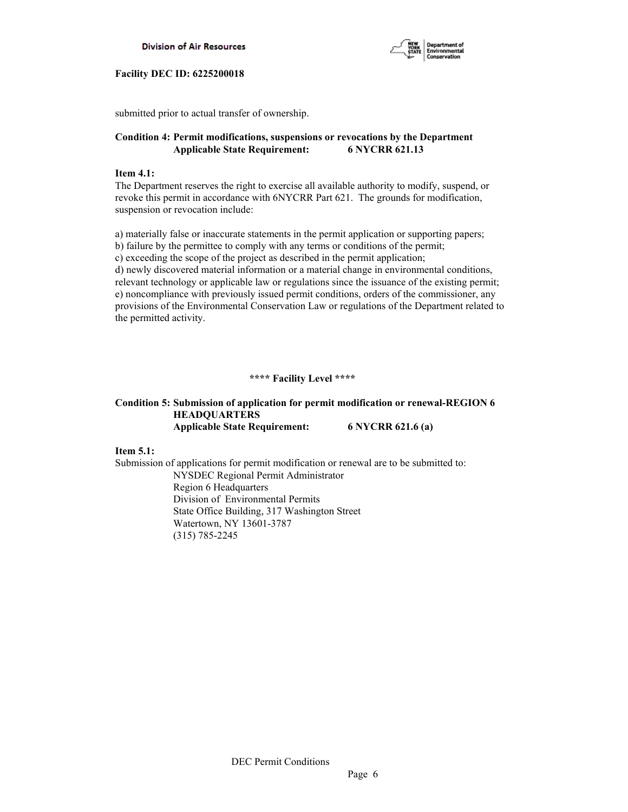



submitted prior to actual transfer of ownership.

# **Condition 4: Permit modifications, suspensions or revocations by the Department Applicable State Requirement: 6 NYCRR 621.13**

### **Item 4.1:**

The Department reserves the right to exercise all available authority to modify, suspend, or revoke this permit in accordance with 6NYCRR Part 621. The grounds for modification, suspension or revocation include:

a) materially false or inaccurate statements in the permit application or supporting papers; b) failure by the permittee to comply with any terms or conditions of the permit; c) exceeding the scope of the project as described in the permit application; d) newly discovered material information or a material change in environmental conditions, relevant technology or applicable law or regulations since the issuance of the existing permit; e) noncompliance with previously issued permit conditions, orders of the commissioner, any provisions of the Environmental Conservation Law or regulations of the Department related to the permitted activity.

# **\*\*\*\* Facility Level \*\*\*\***

# **Condition 5: Submission of application for permit modification or renewal-REGION 6 HEADQUARTERS Applicable State Requirement: 6 NYCRR 621.6 (a)**

**Item 5.1:**

Submission of applications for permit modification or renewal are to be submitted to: NYSDEC Regional Permit Administrator Region 6 Headquarters Division of Environmental Permits State Office Building, 317 Washington Street Watertown, NY 13601-3787 (315) 785-2245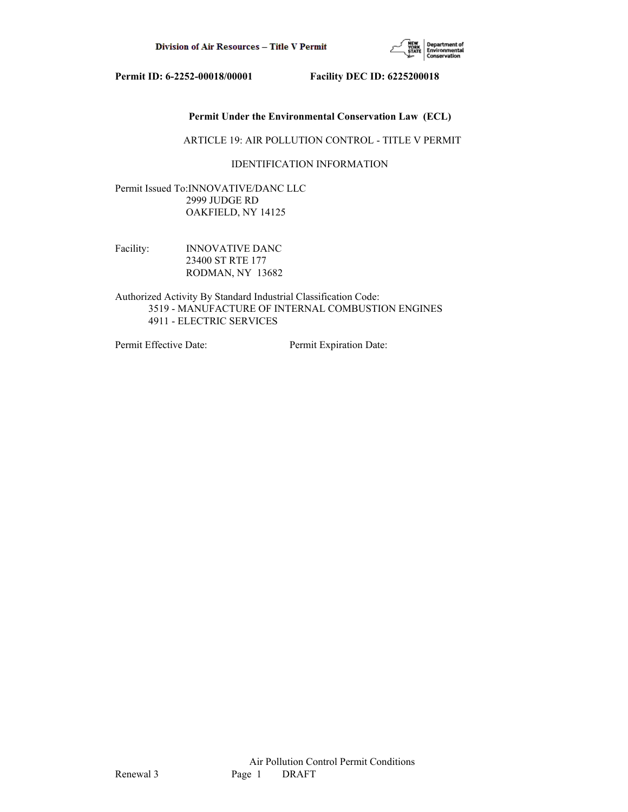

# **Permit Under the Environmental Conservation Law (ECL)**

#### ARTICLE 19: AIR POLLUTION CONTROL - TITLE V PERMIT

# IDENTIFICATION INFORMATION

Permit Issued To:INNOVATIVE/DANC LLC 2999 JUDGE RD OAKFIELD, NY 14125

Facility: **INNOVATIVE DANC**  23400 ST RTE 177 RODMAN, NY 13682

Authorized Activity By Standard Industrial Classification Code: 3519 - MANUFACTURE OF INTERNAL COMBUSTION ENGINES 4911 - ELECTRIC SERVICES

Permit Effective Date: Permit Expiration Date: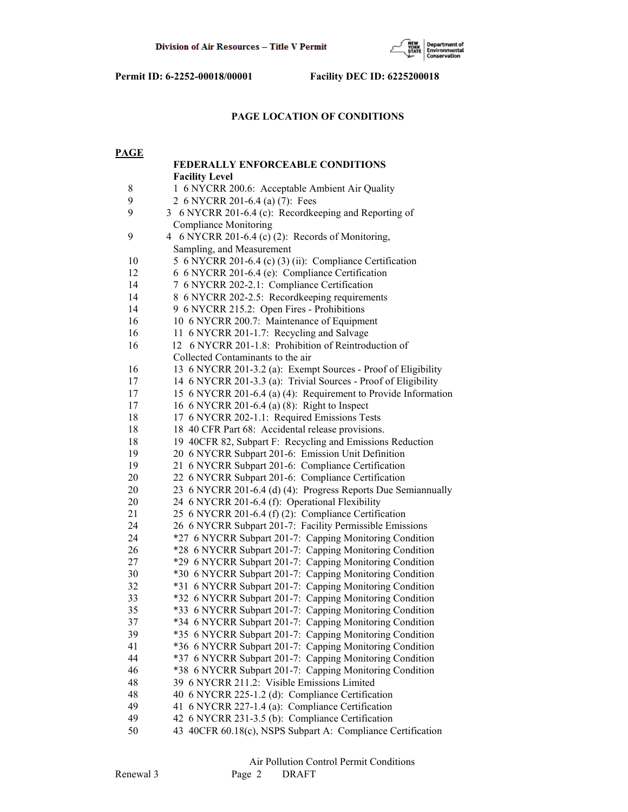

# **PAGE LOCATION OF CONDITIONS**

| <b>PAGE</b> |                                                                                                                 |  |  |  |  |  |
|-------------|-----------------------------------------------------------------------------------------------------------------|--|--|--|--|--|
|             | <b>FEDERALLY ENFORCEABLE CONDITIONS</b>                                                                         |  |  |  |  |  |
|             | <b>Facility Level</b>                                                                                           |  |  |  |  |  |
| $8\,$       | 1 6 NYCRR 200.6: Acceptable Ambient Air Quality                                                                 |  |  |  |  |  |
| 9           | 2 6 NYCRR 201-6.4 (a) (7): Fees                                                                                 |  |  |  |  |  |
| 9           | 3 6 NYCRR 201-6.4 (c): Recordkeeping and Reporting of                                                           |  |  |  |  |  |
|             | <b>Compliance Monitoring</b>                                                                                    |  |  |  |  |  |
| 9           | 4 6 NYCRR 201-6.4 (c) (2): Records of Monitoring,                                                               |  |  |  |  |  |
|             | Sampling, and Measurement                                                                                       |  |  |  |  |  |
| 10          | 5 6 NYCRR 201-6.4 (c) (3) (ii): Compliance Certification                                                        |  |  |  |  |  |
| 12          | 6 6 NYCRR 201-6.4 (e): Compliance Certification                                                                 |  |  |  |  |  |
| 14          | 7 6 NYCRR 202-2.1: Compliance Certification                                                                     |  |  |  |  |  |
| 14          | 8 6 NYCRR 202-2.5: Recordkeeping requirements                                                                   |  |  |  |  |  |
| 14          | 9 6 NYCRR 215.2: Open Fires - Prohibitions                                                                      |  |  |  |  |  |
| 16          | 10 6 NYCRR 200.7: Maintenance of Equipment                                                                      |  |  |  |  |  |
| 16          | 11 6 NYCRR 201-1.7: Recycling and Salvage                                                                       |  |  |  |  |  |
| 16          | 6 NYCRR 201-1.8: Prohibition of Reintroduction of<br>12                                                         |  |  |  |  |  |
|             | Collected Contaminants to the air                                                                               |  |  |  |  |  |
| 16          | 13 6 NYCRR 201-3.2 (a): Exempt Sources - Proof of Eligibility                                                   |  |  |  |  |  |
| 17          | 14 6 NYCRR 201-3.3 (a): Trivial Sources - Proof of Eligibility                                                  |  |  |  |  |  |
| 17          | 15 6 NYCRR 201-6.4 (a) (4): Requirement to Provide Information                                                  |  |  |  |  |  |
| 17          | 16 6 NYCRR 201-6.4 (a) (8): Right to Inspect                                                                    |  |  |  |  |  |
| 18          | 17 6 NYCRR 202-1.1: Required Emissions Tests                                                                    |  |  |  |  |  |
| 18          | 18 40 CFR Part 68: Accidental release provisions.                                                               |  |  |  |  |  |
| 18          |                                                                                                                 |  |  |  |  |  |
| 19          | 19 40CFR 82, Subpart F: Recycling and Emissions Reduction<br>20 6 NYCRR Subpart 201-6: Emission Unit Definition |  |  |  |  |  |
| 19          | 21 6 NYCRR Subpart 201-6: Compliance Certification                                                              |  |  |  |  |  |
| 20          | 22 6 NYCRR Subpart 201-6: Compliance Certification                                                              |  |  |  |  |  |
| 20          | 23 6 NYCRR 201-6.4 (d) (4): Progress Reports Due Semiannually                                                   |  |  |  |  |  |
| 20          | 24 6 NYCRR 201-6.4 (f): Operational Flexibility                                                                 |  |  |  |  |  |
| 21          |                                                                                                                 |  |  |  |  |  |
| 24          | 25 6 NYCRR 201-6.4 (f) (2): Compliance Certification                                                            |  |  |  |  |  |
| 24          | 26 6 NYCRR Subpart 201-7: Facility Permissible Emissions                                                        |  |  |  |  |  |
|             | *27 6 NYCRR Subpart 201-7: Capping Monitoring Condition                                                         |  |  |  |  |  |
| 26<br>27    | *28 6 NYCRR Subpart 201-7: Capping Monitoring Condition                                                         |  |  |  |  |  |
| 30          | *29 6 NYCRR Subpart 201-7: Capping Monitoring Condition                                                         |  |  |  |  |  |
|             | *30 6 NYCRR Subpart 201-7: Capping Monitoring Condition                                                         |  |  |  |  |  |
| 32          | *31 6 NYCRR Subpart 201-7: Capping Monitoring Condition                                                         |  |  |  |  |  |
| 33          | *32 6 NYCRR Subpart 201-7: Capping Monitoring Condition                                                         |  |  |  |  |  |
| 35          | *33 6 NYCRR Subpart 201-7: Capping Monitoring Condition                                                         |  |  |  |  |  |
| 37          | *34 6 NYCRR Subpart 201-7: Capping Monitoring Condition                                                         |  |  |  |  |  |
| 39          | *35 6 NYCRR Subpart 201-7: Capping Monitoring Condition                                                         |  |  |  |  |  |
| 41          | *36 6 NYCRR Subpart 201-7: Capping Monitoring Condition                                                         |  |  |  |  |  |
| 44          | *37 6 NYCRR Subpart 201-7: Capping Monitoring Condition                                                         |  |  |  |  |  |
| 46          | *38 6 NYCRR Subpart 201-7: Capping Monitoring Condition                                                         |  |  |  |  |  |
| 48          | 39 6 NYCRR 211.2: Visible Emissions Limited                                                                     |  |  |  |  |  |
| 48          | 40 6 NYCRR 225-1.2 (d): Compliance Certification                                                                |  |  |  |  |  |
| 49          | 41 6 NYCRR 227-1.4 (a): Compliance Certification                                                                |  |  |  |  |  |
| 49          | 42 6 NYCRR 231-3.5 (b): Compliance Certification                                                                |  |  |  |  |  |
| 50          | 43 40CFR 60.18(c), NSPS Subpart A: Compliance Certification                                                     |  |  |  |  |  |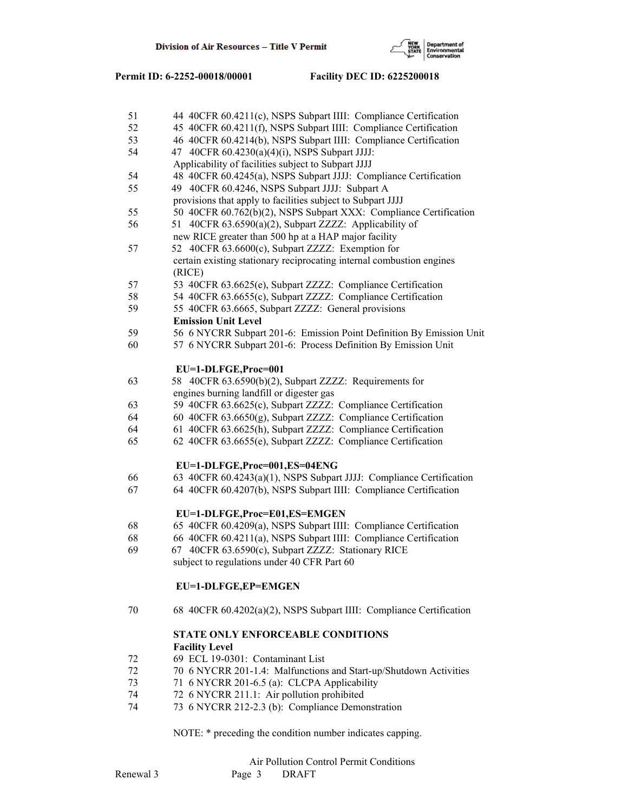

| 51 | 44 40CFR 60.4211(c), NSPS Subpart IIII: Compliance Certification      |
|----|-----------------------------------------------------------------------|
| 52 | 45 40CFR 60.4211(f), NSPS Subpart IIII: Compliance Certification      |
| 53 | 46 40CFR 60.4214(b), NSPS Subpart IIII: Compliance Certification      |
| 54 | 47 40CFR 60.4230(a)(4)(i), NSPS Subpart JJJJ:                         |
|    | Applicability of facilities subject to Subpart JJJJ                   |
| 54 | 48 40CFR 60.4245(a), NSPS Subpart JJJJ: Compliance Certification      |
| 55 | 49 40CFR 60.4246, NSPS Subpart JJJJ: Subpart A                        |
|    | provisions that apply to facilities subject to Subpart JJJJ           |
| 55 | 50 40CFR 60.762(b)(2), NSPS Subpart XXX: Compliance Certification     |
| 56 | 51 40CFR 63.6590(a)(2), Subpart ZZZZ: Applicability of                |
|    | new RICE greater than 500 hp at a HAP major facility                  |
| 57 | 52 40CFR 63.6600(c), Subpart ZZZZ: Exemption for                      |
|    | certain existing stationary reciprocating internal combustion engines |
|    | (RICE)                                                                |
| 57 | 53 40CFR 63.6625(e), Subpart ZZZZ: Compliance Certification           |
| 58 | 54 40CFR 63.6655(c), Subpart ZZZZ: Compliance Certification           |
| 59 | 55 40CFR 63.6665, Subpart ZZZZ: General provisions                    |
|    | <b>Emission Unit Level</b>                                            |
| 59 | 56 6 NYCRR Subpart 201-6: Emission Point Definition By Emission Unit  |
| 60 | 57 6 NYCRR Subpart 201-6: Process Definition By Emission Unit         |
|    |                                                                       |
|    | EU=1-DLFGE,Proc=001                                                   |
| 63 | 58 40CFR 63.6590(b)(2), Subpart ZZZZ: Requirements for                |
|    | engines burning landfill or digester gas                              |
| 63 | 59 40CFR 63.6625(c), Subpart ZZZZ: Compliance Certification           |
| 64 | 60 40CFR 63.6650(g), Subpart ZZZZ: Compliance Certification           |
| 64 | 61 40CFR 63.6625(h), Subpart ZZZZ: Compliance Certification           |
| 65 | 62 40CFR 63.6655(e), Subpart ZZZZ: Compliance Certification           |
|    |                                                                       |
|    | EU=1-DLFGE, Proc=001, ES=04ENG                                        |
| 66 | 63 40CFR 60.4243(a)(1), NSPS Subpart JJJJ: Compliance Certification   |
| 67 | 64 40CFR 60.4207(b), NSPS Subpart IIII: Compliance Certification      |
|    |                                                                       |
|    | EU=1-DLFGE,Proc=E01,ES=EMGEN                                          |
| 68 | 65 40CFR 60.4209(a), NSPS Subpart IIII: Compliance Certification      |
| 68 | 66 40CFR 60.4211(a), NSPS Subpart IIII: Compliance Certification      |
| 69 | 67 40CFR 63.6590(c), Subpart ZZZZ: Stationary RICE                    |
|    | subject to regulations under 40 CFR Part 60                           |
|    |                                                                       |
|    | EU=1-DLFGE,EP=EMGEN                                                   |
|    |                                                                       |
| 70 | 68 40CFR 60.4202(a)(2), NSPS Subpart IIII: Compliance Certification   |
|    | STATE ONLY ENFORCEABLE CONDITIONS                                     |
|    | <b>Facility Level</b>                                                 |
| 72 | 69 ECL 19-0301: Contaminant List                                      |
| 72 | 70 6 NYCRR 201-1.4: Malfunctions and Start-up/Shutdown Activities     |
| 73 | 71 6 NYCRR 201-6.5 (a): CLCPA Applicability                           |
| 74 | 72 6 NYCRR 211.1: Air pollution prohibited                            |
| 74 | 73 6 NYCRR 212-2.3 (b): Compliance Demonstration                      |
|    |                                                                       |
|    |                                                                       |

NOTE: \* preceding the condition number indicates capping.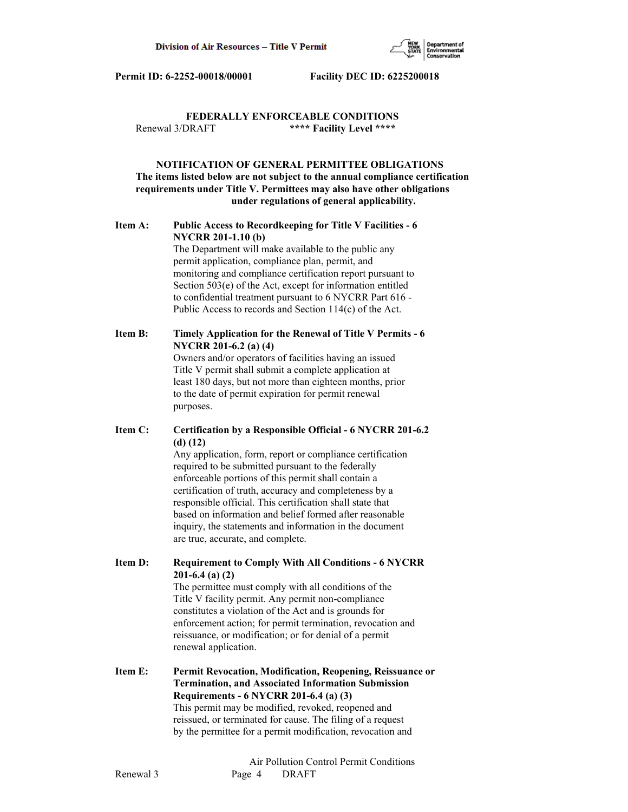

# **FEDERALLY ENFORCEABLE CONDITIONS** Renewal 3/DRAFT **\*\*\*\* Facility Level \*\*\*\***

# **NOTIFICATION OF GENERAL PERMITTEE OBLIGATIONS The items listed below are not subject to the annual compliance certification requirements under Title V. Permittees may also have other obligations under regulations of general applicability.**

# **Item A: Public Access to Recordkeeping for Title V Facilities - 6 NYCRR 201-1.10 (b)**

 The Department will make available to the public any permit application, compliance plan, permit, and monitoring and compliance certification report pursuant to Section 503(e) of the Act, except for information entitled to confidential treatment pursuant to 6 NYCRR Part 616 - Public Access to records and Section 114(c) of the Act.

# **Item B: Timely Application for the Renewal of Title V Permits - 6 NYCRR 201-6.2 (a) (4)**

 Owners and/or operators of facilities having an issued Title V permit shall submit a complete application at least 180 days, but not more than eighteen months, prior to the date of permit expiration for permit renewal purposes.

# **Item C: Certification by a Responsible Official - 6 NYCRR 201-6.2 (d) (12)**

 Any application, form, report or compliance certification required to be submitted pursuant to the federally enforceable portions of this permit shall contain a certification of truth, accuracy and completeness by a responsible official. This certification shall state that based on information and belief formed after reasonable inquiry, the statements and information in the document are true, accurate, and complete.

**Item D: Requirement to Comply With All Conditions - 6 NYCRR 201-6.4 (a) (2)**

 The permittee must comply with all conditions of the Title V facility permit. Any permit non-compliance constitutes a violation of the Act and is grounds for enforcement action; for permit termination, revocation and reissuance, or modification; or for denial of a permit renewal application.

**Item E: Permit Revocation, Modification, Reopening, Reissuance or Termination, and Associated Information Submission Requirements - 6 NYCRR 201-6.4 (a) (3)** This permit may be modified, revoked, reopened and reissued, or terminated for cause. The filing of a request by the permittee for a permit modification, revocation and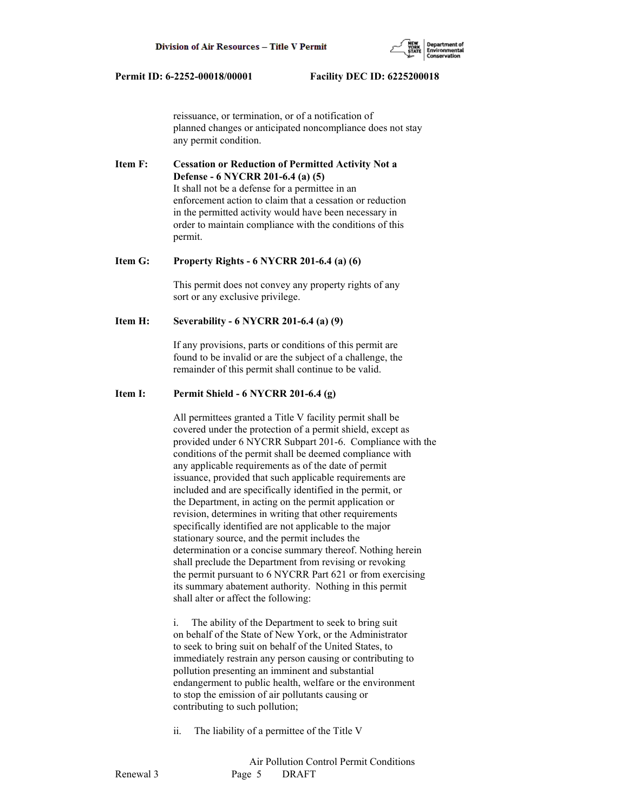

 reissuance, or termination, or of a notification of planned changes or anticipated noncompliance does not stay any permit condition.

**Item F: Cessation or Reduction of Permitted Activity Not a Defense - 6 NYCRR 201-6.4 (a) (5)** It shall not be a defense for a permittee in an enforcement action to claim that a cessation or reduction in the permitted activity would have been necessary in order to maintain compliance with the conditions of this permit.

#### **Item G: Property Rights - 6 NYCRR 201-6.4 (a) (6)**

 This permit does not convey any property rights of any sort or any exclusive privilege.

# **Item H: Severability - 6 NYCRR 201-6.4 (a) (9)**

 If any provisions, parts or conditions of this permit are found to be invalid or are the subject of a challenge, the remainder of this permit shall continue to be valid.

# **Item I: Permit Shield - 6 NYCRR 201-6.4 (g)**

 All permittees granted a Title V facility permit shall be covered under the protection of a permit shield, except as provided under 6 NYCRR Subpart 201-6. Compliance with the conditions of the permit shall be deemed compliance with any applicable requirements as of the date of permit issuance, provided that such applicable requirements are included and are specifically identified in the permit, or the Department, in acting on the permit application or revision, determines in writing that other requirements specifically identified are not applicable to the major stationary source, and the permit includes the determination or a concise summary thereof. Nothing herein shall preclude the Department from revising or revoking the permit pursuant to 6 NYCRR Part 621 or from exercising its summary abatement authority. Nothing in this permit shall alter or affect the following:

 i. The ability of the Department to seek to bring suit on behalf of the State of New York, or the Administrator to seek to bring suit on behalf of the United States, to immediately restrain any person causing or contributing to pollution presenting an imminent and substantial endangerment to public health, welfare or the environment to stop the emission of air pollutants causing or contributing to such pollution;

ii. The liability of a permittee of the Title V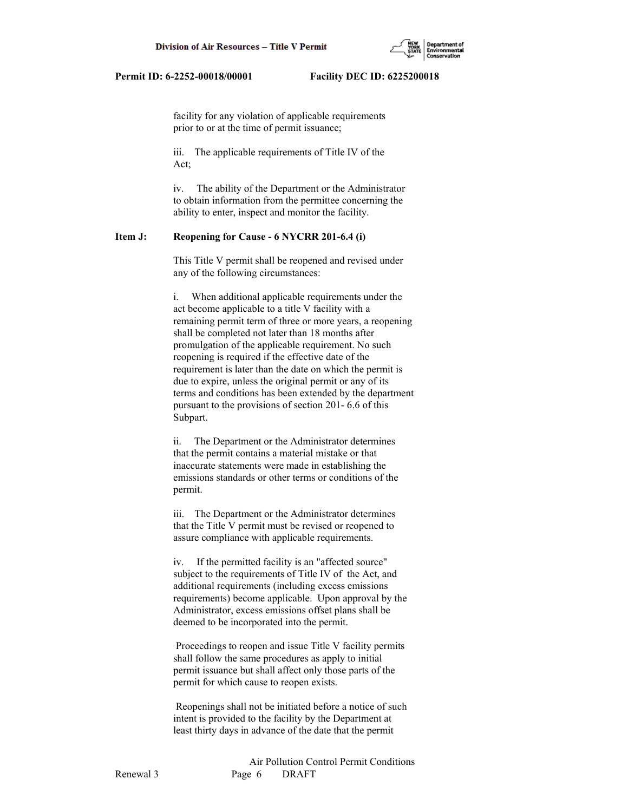

 facility for any violation of applicable requirements prior to or at the time of permit issuance;

 iii. The applicable requirements of Title IV of the Act;

 iv. The ability of the Department or the Administrator to obtain information from the permittee concerning the ability to enter, inspect and monitor the facility.

### **Item J: Reopening for Cause - 6 NYCRR 201-6.4 (i)**

 This Title V permit shall be reopened and revised under any of the following circumstances:

 i. When additional applicable requirements under the act become applicable to a title V facility with a remaining permit term of three or more years, a reopening shall be completed not later than 18 months after promulgation of the applicable requirement. No such reopening is required if the effective date of the requirement is later than the date on which the permit is due to expire, unless the original permit or any of its terms and conditions has been extended by the department pursuant to the provisions of section 201- 6.6 of this Subpart.

 ii. The Department or the Administrator determines that the permit contains a material mistake or that inaccurate statements were made in establishing the emissions standards or other terms or conditions of the permit.

 iii. The Department or the Administrator determines that the Title V permit must be revised or reopened to assure compliance with applicable requirements.

 iv. If the permitted facility is an "affected source" subject to the requirements of Title IV of the Act, and additional requirements (including excess emissions requirements) become applicable. Upon approval by the Administrator, excess emissions offset plans shall be deemed to be incorporated into the permit.

 Proceedings to reopen and issue Title V facility permits shall follow the same procedures as apply to initial permit issuance but shall affect only those parts of the permit for which cause to reopen exists.

 Reopenings shall not be initiated before a notice of such intent is provided to the facility by the Department at least thirty days in advance of the date that the permit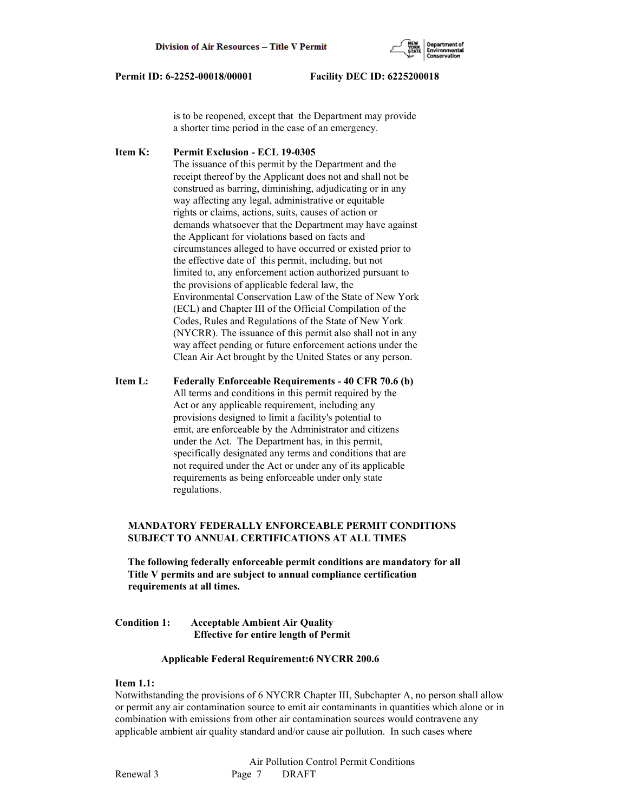

 is to be reopened, except that the Department may provide a shorter time period in the case of an emergency.

**Item K: Permit Exclusion - ECL 19-0305** The issuance of this permit by the Department and the receipt thereof by the Applicant does not and shall not be construed as barring, diminishing, adjudicating or in any way affecting any legal, administrative or equitable rights or claims, actions, suits, causes of action or demands whatsoever that the Department may have against the Applicant for violations based on facts and circumstances alleged to have occurred or existed prior to the effective date of this permit, including, but not limited to, any enforcement action authorized pursuant to the provisions of applicable federal law, the Environmental Conservation Law of the State of New York (ECL) and Chapter III of the Official Compilation of the Codes, Rules and Regulations of the State of New York (NYCRR). The issuance of this permit also shall not in any way affect pending or future enforcement actions under the Clean Air Act brought by the United States or any person.

**Item L: Federally Enforceable Requirements - 40 CFR 70.6 (b)** All terms and conditions in this permit required by the Act or any applicable requirement, including any provisions designed to limit a facility's potential to emit, are enforceable by the Administrator and citizens under the Act. The Department has, in this permit, specifically designated any terms and conditions that are not required under the Act or under any of its applicable requirements as being enforceable under only state regulations.

# **MANDATORY FEDERALLY ENFORCEABLE PERMIT CONDITIONS SUBJECT TO ANNUAL CERTIFICATIONS AT ALL TIMES**

 **The following federally enforceable permit conditions are mandatory for all Title V permits and are subject to annual compliance certification requirements at all times.**

# **Condition 1: Acceptable Ambient Air Quality Effective for entire length of Permit**

#### **Applicable Federal Requirement:6 NYCRR 200.6**

### **Item 1.1:**

Notwithstanding the provisions of 6 NYCRR Chapter III, Subchapter A, no person shall allow or permit any air contamination source to emit air contaminants in quantities which alone or in combination with emissions from other air contamination sources would contravene any applicable ambient air quality standard and/or cause air pollution. In such cases where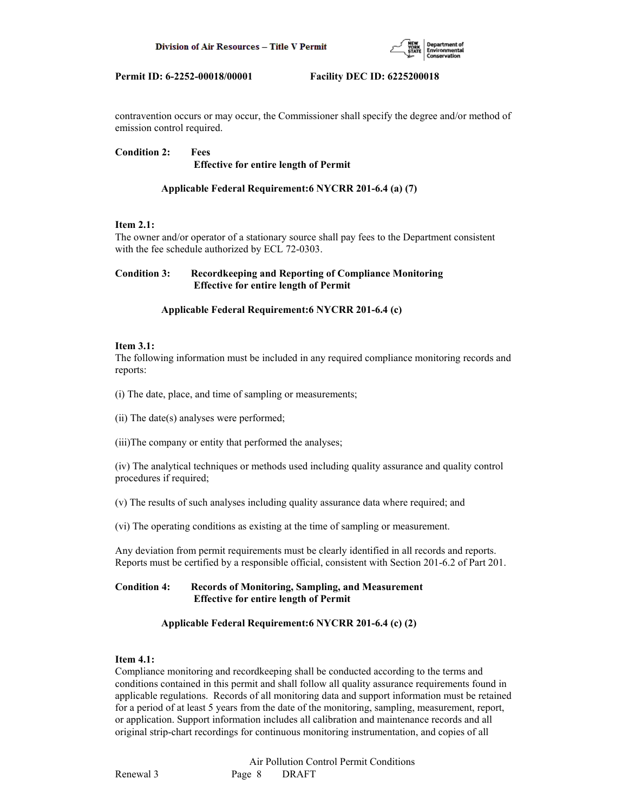

contravention occurs or may occur, the Commissioner shall specify the degree and/or method of emission control required.

**Condition 2: Fees Effective for entire length of Permit**

# **Applicable Federal Requirement:6 NYCRR 201-6.4 (a) (7)**

# **Item 2.1:**

The owner and/or operator of a stationary source shall pay fees to the Department consistent with the fee schedule authorized by ECL 72-0303.

# **Condition 3: Recordkeeping and Reporting of Compliance Monitoring Effective for entire length of Permit**

# **Applicable Federal Requirement:6 NYCRR 201-6.4 (c)**

#### **Item 3.1:**

The following information must be included in any required compliance monitoring records and reports:

(i) The date, place, and time of sampling or measurements;

(ii) The date(s) analyses were performed;

(iii)The company or entity that performed the analyses;

(iv) The analytical techniques or methods used including quality assurance and quality control procedures if required;

(v) The results of such analyses including quality assurance data where required; and

(vi) The operating conditions as existing at the time of sampling or measurement.

Any deviation from permit requirements must be clearly identified in all records and reports. Reports must be certified by a responsible official, consistent with Section 201-6.2 of Part 201.

# **Condition 4: Records of Monitoring, Sampling, and Measurement Effective for entire length of Permit**

# **Applicable Federal Requirement:6 NYCRR 201-6.4 (c) (2)**

# **Item 4.1:**

Compliance monitoring and recordkeeping shall be conducted according to the terms and conditions contained in this permit and shall follow all quality assurance requirements found in applicable regulations. Records of all monitoring data and support information must be retained for a period of at least 5 years from the date of the monitoring, sampling, measurement, report, or application. Support information includes all calibration and maintenance records and all original strip-chart recordings for continuous monitoring instrumentation, and copies of all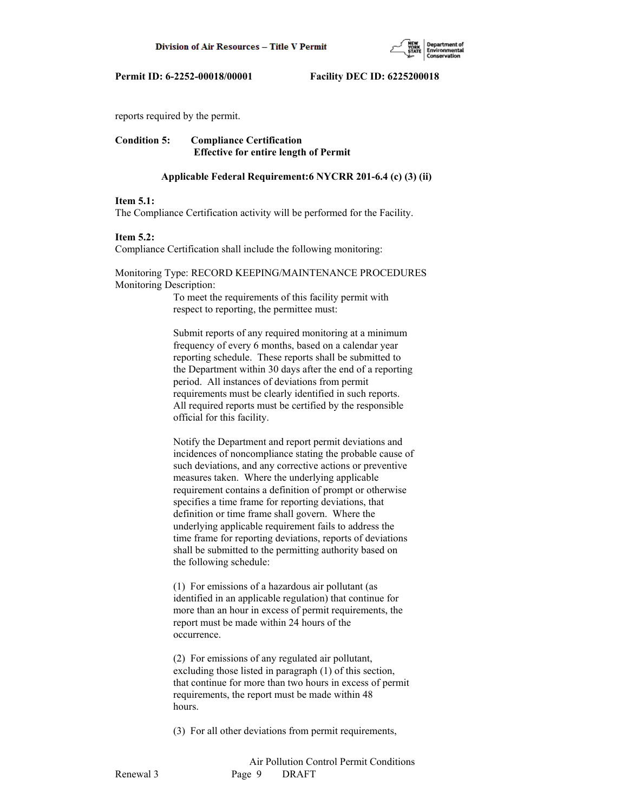

reports required by the permit.

# **Condition 5: Compliance Certification Effective for entire length of Permit**

#### **Applicable Federal Requirement:6 NYCRR 201-6.4 (c) (3) (ii)**

#### **Item 5.1:**

The Compliance Certification activity will be performed for the Facility.

#### **Item 5.2:**

Compliance Certification shall include the following monitoring:

### Monitoring Type: RECORD KEEPING/MAINTENANCE PROCEDURES Monitoring Description:

 To meet the requirements of this facility permit with respect to reporting, the permittee must:

 Submit reports of any required monitoring at a minimum frequency of every 6 months, based on a calendar year reporting schedule. These reports shall be submitted to the Department within 30 days after the end of a reporting period. All instances of deviations from permit requirements must be clearly identified in such reports. All required reports must be certified by the responsible official for this facility.

 Notify the Department and report permit deviations and incidences of noncompliance stating the probable cause of such deviations, and any corrective actions or preventive measures taken. Where the underlying applicable requirement contains a definition of prompt or otherwise specifies a time frame for reporting deviations, that definition or time frame shall govern. Where the underlying applicable requirement fails to address the time frame for reporting deviations, reports of deviations shall be submitted to the permitting authority based on the following schedule:

 (1) For emissions of a hazardous air pollutant (as identified in an applicable regulation) that continue for more than an hour in excess of permit requirements, the report must be made within 24 hours of the occurrence.

 (2) For emissions of any regulated air pollutant, excluding those listed in paragraph (1) of this section, that continue for more than two hours in excess of permit requirements, the report must be made within 48 hours.

(3) For all other deviations from permit requirements,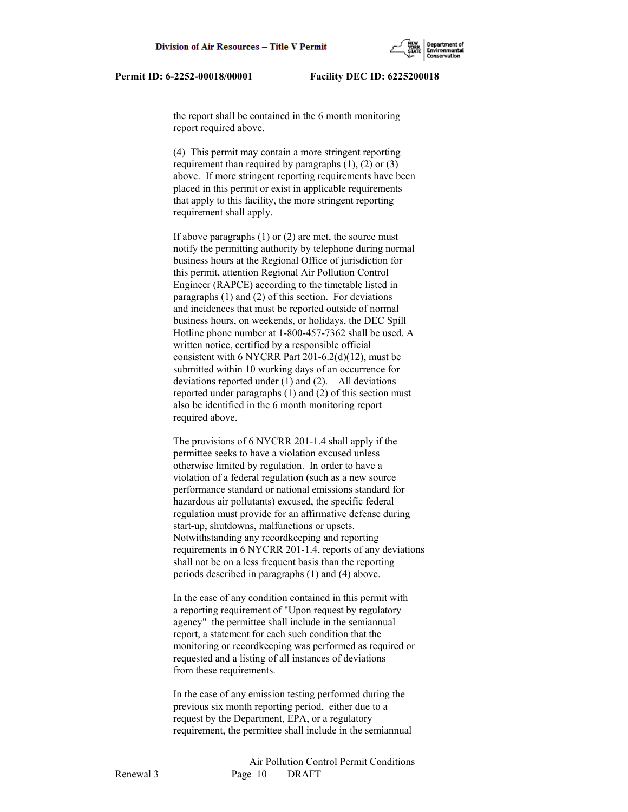the report shall be contained in the 6 month monitoring report required above.

 (4) This permit may contain a more stringent reporting requirement than required by paragraphs  $(1)$ ,  $(2)$  or  $(3)$  above. If more stringent reporting requirements have been placed in this permit or exist in applicable requirements that apply to this facility, the more stringent reporting requirement shall apply.

 If above paragraphs (1) or (2) are met, the source must notify the permitting authority by telephone during normal business hours at the Regional Office of jurisdiction for this permit, attention Regional Air Pollution Control Engineer (RAPCE) according to the timetable listed in paragraphs (1) and (2) of this section. For deviations and incidences that must be reported outside of normal business hours, on weekends, or holidays, the DEC Spill Hotline phone number at 1-800-457-7362 shall be used. A written notice, certified by a responsible official consistent with 6 NYCRR Part 201-6.2(d)(12), must be submitted within 10 working days of an occurrence for deviations reported under (1) and (2). All deviations reported under paragraphs (1) and (2) of this section must also be identified in the 6 month monitoring report required above.

 The provisions of 6 NYCRR 201-1.4 shall apply if the permittee seeks to have a violation excused unless otherwise limited by regulation. In order to have a violation of a federal regulation (such as a new source performance standard or national emissions standard for hazardous air pollutants) excused, the specific federal regulation must provide for an affirmative defense during start-up, shutdowns, malfunctions or upsets. Notwithstanding any recordkeeping and reporting requirements in 6 NYCRR 201-1.4, reports of any deviations shall not be on a less frequent basis than the reporting periods described in paragraphs (1) and (4) above.

 In the case of any condition contained in this permit with a reporting requirement of "Upon request by regulatory agency" the permittee shall include in the semiannual report, a statement for each such condition that the monitoring or recordkeeping was performed as required or requested and a listing of all instances of deviations from these requirements.

 In the case of any emission testing performed during the previous six month reporting period, either due to a request by the Department, EPA, or a regulatory requirement, the permittee shall include in the semiannual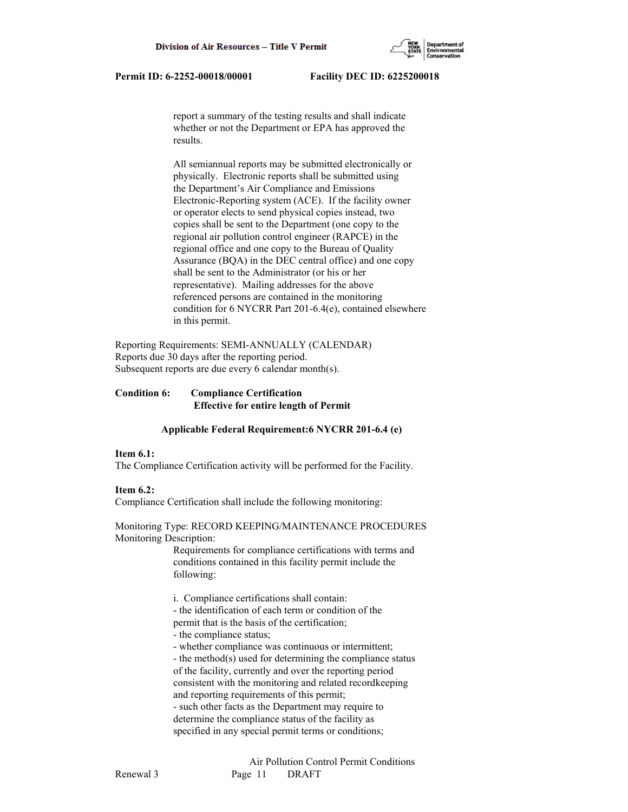report a summary of the testing results and shall indicate whether or not the Department or EPA has approved the results.

 All semiannual reports may be submitted electronically or physically. Electronic reports shall be submitted using the Department's Air Compliance and Emissions Electronic-Reporting system (ACE). If the facility owner or operator elects to send physical copies instead, two copies shall be sent to the Department (one copy to the regional air pollution control engineer (RAPCE) in the regional office and one copy to the Bureau of Quality Assurance (BQA) in the DEC central office) and one copy shall be sent to the Administrator (or his or her representative). Mailing addresses for the above referenced persons are contained in the monitoring condition for 6 NYCRR Part 201-6.4(e), contained elsewhere in this permit.

Reporting Requirements: SEMI-ANNUALLY (CALENDAR) Reports due 30 days after the reporting period. Subsequent reports are due every 6 calendar month(s).

# **Condition 6: Compliance Certification Effective for entire length of Permit**

#### **Applicable Federal Requirement:6 NYCRR 201-6.4 (e)**

#### **Item 6.1:**

The Compliance Certification activity will be performed for the Facility.

#### **Item 6.2:**

Compliance Certification shall include the following monitoring:

#### Monitoring Type: RECORD KEEPING/MAINTENANCE PROCEDURES Monitoring Description:

 Requirements for compliance certifications with terms and conditions contained in this facility permit include the following:

i. Compliance certifications shall contain:

- the identification of each term or condition of the

permit that is the basis of the certification;

- the compliance status;
- whether compliance was continuous or intermittent;

 - the method(s) used for determining the compliance status of the facility, currently and over the reporting period consistent with the monitoring and related recordkeeping and reporting requirements of this permit; - such other facts as the Department may require to determine the compliance status of the facility as specified in any special permit terms or conditions;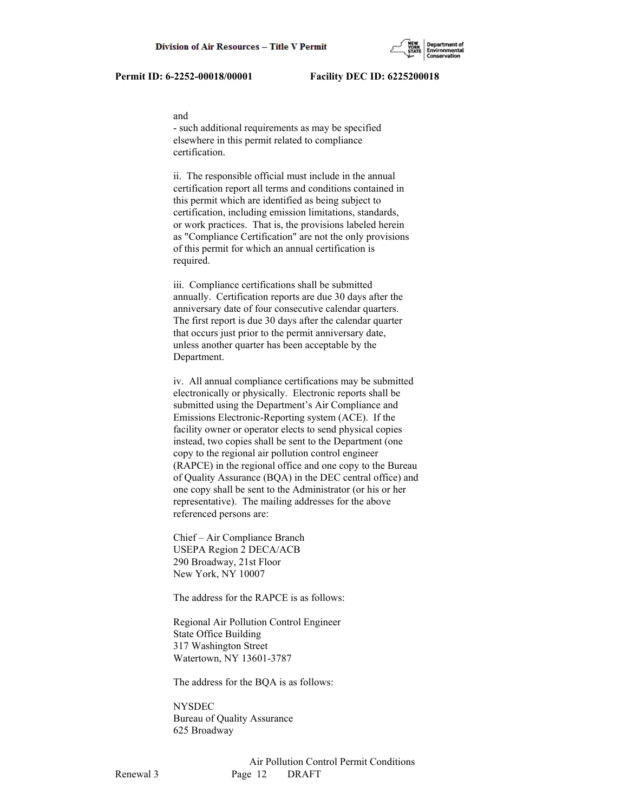#### and

 - such additional requirements as may be specified elsewhere in this permit related to compliance certification.

 ii. The responsible official must include in the annual certification report all terms and conditions contained in this permit which are identified as being subject to certification, including emission limitations, standards, or work practices. That is, the provisions labeled herein as "Compliance Certification" are not the only provisions of this permit for which an annual certification is required.

 iii. Compliance certifications shall be submitted annually. Certification reports are due 30 days after the anniversary date of four consecutive calendar quarters. The first report is due 30 days after the calendar quarter that occurs just prior to the permit anniversary date, unless another quarter has been acceptable by the Department.

 iv. All annual compliance certifications may be submitted electronically or physically. Electronic reports shall be submitted using the Department's Air Compliance and Emissions Electronic-Reporting system (ACE). If the facility owner or operator elects to send physical copies instead, two copies shall be sent to the Department (one copy to the regional air pollution control engineer (RAPCE) in the regional office and one copy to the Bureau of Quality Assurance (BQA) in the DEC central office) and one copy shall be sent to the Administrator (or his or her representative). The mailing addresses for the above referenced persons are:

 Chief – Air Compliance Branch USEPA Region 2 DECA/ACB 290 Broadway, 21st Floor New York, NY 10007

The address for the RAPCE is as follows:

 Regional Air Pollution Control Engineer State Office Building 317 Washington Street Watertown, NY 13601-3787

The address for the BQA is as follows:

 NYSDEC Bureau of Quality Assurance 625 Broadway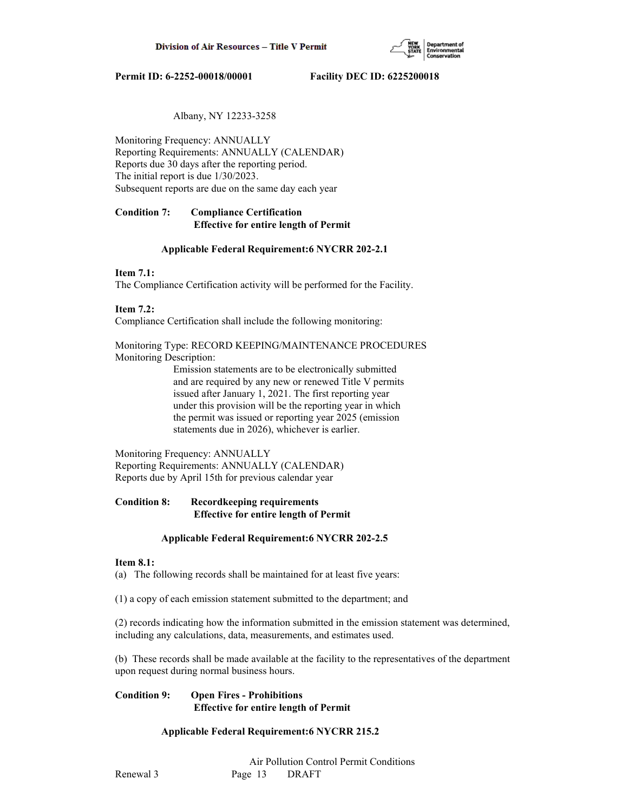

# Albany, NY 12233-3258

Monitoring Frequency: ANNUALLY Reporting Requirements: ANNUALLY (CALENDAR) Reports due 30 days after the reporting period. The initial report is due 1/30/2023. Subsequent reports are due on the same day each year

# **Condition 7: Compliance Certification Effective for entire length of Permit**

#### **Applicable Federal Requirement:6 NYCRR 202-2.1**

# **Item 7.1:**

The Compliance Certification activity will be performed for the Facility.

# **Item 7.2:**

Compliance Certification shall include the following monitoring:

Monitoring Type: RECORD KEEPING/MAINTENANCE PROCEDURES Monitoring Description:

> Emission statements are to be electronically submitted and are required by any new or renewed Title V permits issued after January 1, 2021. The first reporting year under this provision will be the reporting year in which the permit was issued or reporting year 2025 (emission statements due in 2026), whichever is earlier.

Monitoring Frequency: ANNUALLY Reporting Requirements: ANNUALLY (CALENDAR) Reports due by April 15th for previous calendar year

# **Condition 8: Recordkeeping requirements Effective for entire length of Permit**

#### **Applicable Federal Requirement:6 NYCRR 202-2.5**

#### **Item 8.1:**

(a) The following records shall be maintained for at least five years:

(1) a copy of each emission statement submitted to the department; and

(2) records indicating how the information submitted in the emission statement was determined, including any calculations, data, measurements, and estimates used.

(b) These records shall be made available at the facility to the representatives of the department upon request during normal business hours.

# **Condition 9: Open Fires - Prohibitions Effective for entire length of Permit**

# **Applicable Federal Requirement:6 NYCRR 215.2**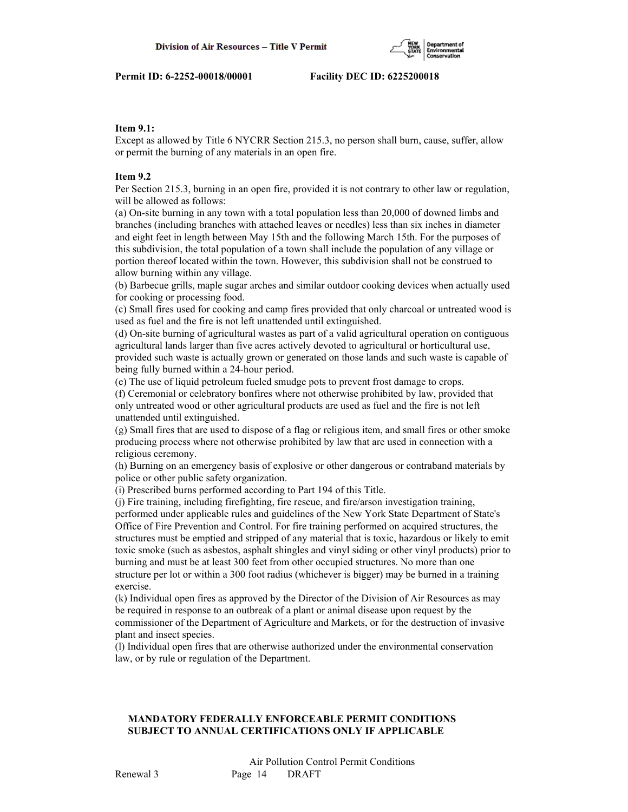

### **Item 9.1:**

Except as allowed by Title 6 NYCRR Section 215.3, no person shall burn, cause, suffer, allow or permit the burning of any materials in an open fire.

# **Item 9.2**

Per Section 215.3, burning in an open fire, provided it is not contrary to other law or regulation, will be allowed as follows:

(a) On-site burning in any town with a total population less than 20,000 of downed limbs and branches (including branches with attached leaves or needles) less than six inches in diameter and eight feet in length between May 15th and the following March 15th. For the purposes of this subdivision, the total population of a town shall include the population of any village or portion thereof located within the town. However, this subdivision shall not be construed to allow burning within any village.

(b) Barbecue grills, maple sugar arches and similar outdoor cooking devices when actually used for cooking or processing food.

(c) Small fires used for cooking and camp fires provided that only charcoal or untreated wood is used as fuel and the fire is not left unattended until extinguished.

(d) On-site burning of agricultural wastes as part of a valid agricultural operation on contiguous agricultural lands larger than five acres actively devoted to agricultural or horticultural use, provided such waste is actually grown or generated on those lands and such waste is capable of being fully burned within a 24-hour period.

(e) The use of liquid petroleum fueled smudge pots to prevent frost damage to crops.

(f) Ceremonial or celebratory bonfires where not otherwise prohibited by law, provided that only untreated wood or other agricultural products are used as fuel and the fire is not left unattended until extinguished.

(g) Small fires that are used to dispose of a flag or religious item, and small fires or other smoke producing process where not otherwise prohibited by law that are used in connection with a religious ceremony.

(h) Burning on an emergency basis of explosive or other dangerous or contraband materials by police or other public safety organization.

(i) Prescribed burns performed according to Part 194 of this Title.

(j) Fire training, including firefighting, fire rescue, and fire/arson investigation training, performed under applicable rules and guidelines of the New York State Department of State's Office of Fire Prevention and Control. For fire training performed on acquired structures, the structures must be emptied and stripped of any material that is toxic, hazardous or likely to emit toxic smoke (such as asbestos, asphalt shingles and vinyl siding or other vinyl products) prior to burning and must be at least 300 feet from other occupied structures. No more than one structure per lot or within a 300 foot radius (whichever is bigger) may be burned in a training exercise.

(k) Individual open fires as approved by the Director of the Division of Air Resources as may be required in response to an outbreak of a plant or animal disease upon request by the commissioner of the Department of Agriculture and Markets, or for the destruction of invasive plant and insect species.

(l) Individual open fires that are otherwise authorized under the environmental conservation law, or by rule or regulation of the Department.

# **MANDATORY FEDERALLY ENFORCEABLE PERMIT CONDITIONS SUBJECT TO ANNUAL CERTIFICATIONS ONLY IF APPLICABLE**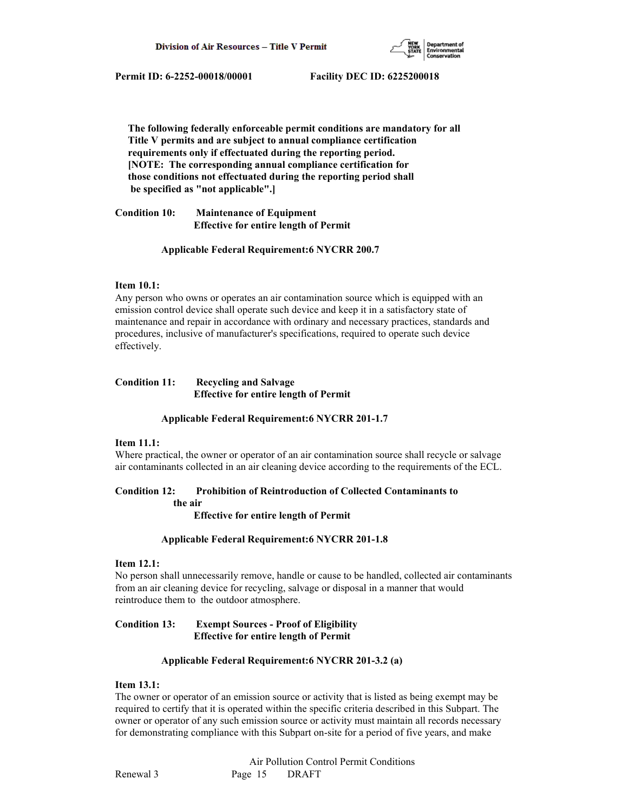

 **The following federally enforceable permit conditions are mandatory for all Title V permits and are subject to annual compliance certification requirements only if effectuated during the reporting period. [NOTE: The corresponding annual compliance certification for those conditions not effectuated during the reporting period shall be specified as "not applicable".]**

**Condition 10: Maintenance of Equipment Effective for entire length of Permit**

#### **Applicable Federal Requirement:6 NYCRR 200.7**

#### **Item 10.1:**

Any person who owns or operates an air contamination source which is equipped with an emission control device shall operate such device and keep it in a satisfactory state of maintenance and repair in accordance with ordinary and necessary practices, standards and procedures, inclusive of manufacturer's specifications, required to operate such device effectively.

### **Condition 11: Recycling and Salvage Effective for entire length of Permit**

#### **Applicable Federal Requirement:6 NYCRR 201-1.7**

# **Item 11.1:**

Where practical, the owner or operator of an air contamination source shall recycle or salvage air contaminants collected in an air cleaning device according to the requirements of the ECL.

#### **Condition 12: Prohibition of Reintroduction of Collected Contaminants to**

 **the air**

 **Effective for entire length of Permit**

#### **Applicable Federal Requirement:6 NYCRR 201-1.8**

# **Item 12.1:**

No person shall unnecessarily remove, handle or cause to be handled, collected air contaminants from an air cleaning device for recycling, salvage or disposal in a manner that would reintroduce them to the outdoor atmosphere.

# **Condition 13: Exempt Sources - Proof of Eligibility Effective for entire length of Permit**

#### **Applicable Federal Requirement:6 NYCRR 201-3.2 (a)**

# **Item 13.1:**

The owner or operator of an emission source or activity that is listed as being exempt may be required to certify that it is operated within the specific criteria described in this Subpart. The owner or operator of any such emission source or activity must maintain all records necessary for demonstrating compliance with this Subpart on-site for a period of five years, and make

 Air Pollution Control Permit Conditions Renewal 3 Page 15 DRAFT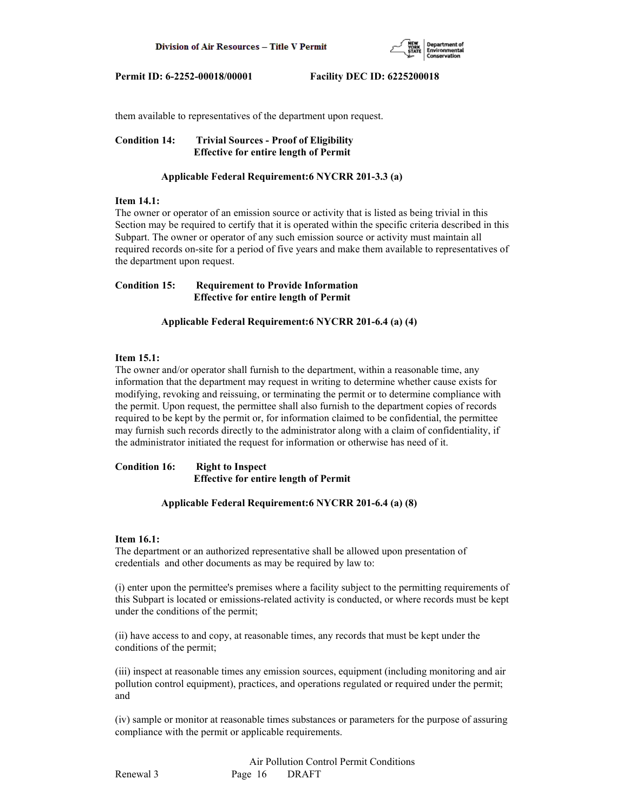

them available to representatives of the department upon request.

**Condition 14: Trivial Sources - Proof of Eligibility Effective for entire length of Permit**

#### **Applicable Federal Requirement:6 NYCRR 201-3.3 (a)**

#### **Item 14.1:**

The owner or operator of an emission source or activity that is listed as being trivial in this Section may be required to certify that it is operated within the specific criteria described in this Subpart. The owner or operator of any such emission source or activity must maintain all required records on-site for a period of five years and make them available to representatives of the department upon request.

**Condition 15: Requirement to Provide Information Effective for entire length of Permit**

 **Applicable Federal Requirement:6 NYCRR 201-6.4 (a) (4)**

## **Item 15.1:**

The owner and/or operator shall furnish to the department, within a reasonable time, any information that the department may request in writing to determine whether cause exists for modifying, revoking and reissuing, or terminating the permit or to determine compliance with the permit. Upon request, the permittee shall also furnish to the department copies of records required to be kept by the permit or, for information claimed to be confidential, the permittee may furnish such records directly to the administrator along with a claim of confidentiality, if the administrator initiated the request for information or otherwise has need of it.

**Condition 16: Right to Inspect Effective for entire length of Permit**

#### **Applicable Federal Requirement:6 NYCRR 201-6.4 (a) (8)**

#### **Item 16.1:**

The department or an authorized representative shall be allowed upon presentation of credentials and other documents as may be required by law to:

(i) enter upon the permittee's premises where a facility subject to the permitting requirements of this Subpart is located or emissions-related activity is conducted, or where records must be kept under the conditions of the permit;

(ii) have access to and copy, at reasonable times, any records that must be kept under the conditions of the permit;

(iii) inspect at reasonable times any emission sources, equipment (including monitoring and air pollution control equipment), practices, and operations regulated or required under the permit; and

(iv) sample or monitor at reasonable times substances or parameters for the purpose of assuring compliance with the permit or applicable requirements.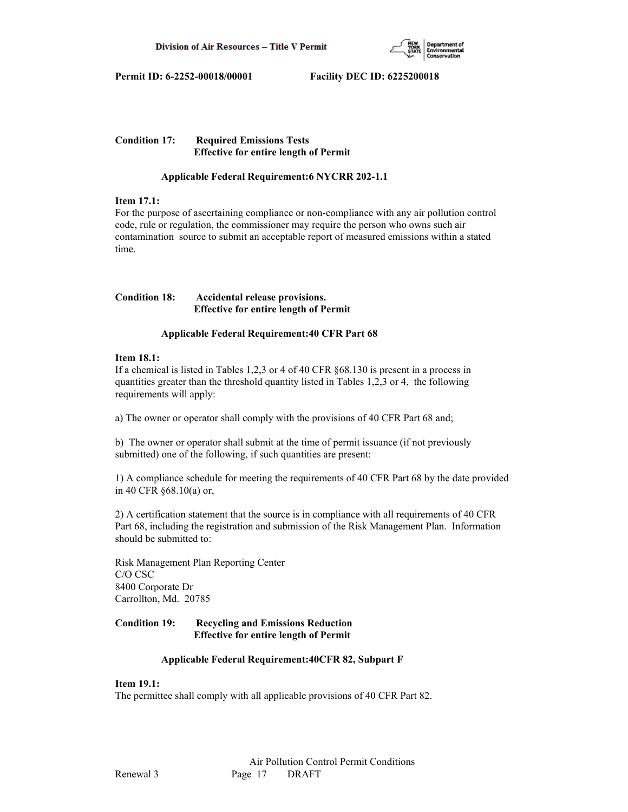

**Condition 17: Required Emissions Tests Effective for entire length of Permit**

# **Applicable Federal Requirement:6 NYCRR 202-1.1**

# **Item 17.1:**

For the purpose of ascertaining compliance or non-compliance with any air pollution control code, rule or regulation, the commissioner may require the person who owns such air contamination source to submit an acceptable report of measured emissions within a stated time.

# **Condition 18: Accidental release provisions. Effective for entire length of Permit**

# **Applicable Federal Requirement:40 CFR Part 68**

# **Item 18.1:**

If a chemical is listed in Tables 1,2,3 or 4 of 40 CFR §68.130 is present in a process in quantities greater than the threshold quantity listed in Tables 1,2,3 or 4, the following requirements will apply:

a) The owner or operator shall comply with the provisions of 40 CFR Part 68 and;

b) The owner or operator shall submit at the time of permit issuance (if not previously submitted) one of the following, if such quantities are present:

1) A compliance schedule for meeting the requirements of 40 CFR Part 68 by the date provided in 40 CFR §68.10(a) or,

2) A certification statement that the source is in compliance with all requirements of 40 CFR Part 68, including the registration and submission of the Risk Management Plan. Information should be submitted to:

Risk Management Plan Reporting Center C/O CSC 8400 Corporate Dr Carrollton, Md. 20785

# **Condition 19: Recycling and Emissions Reduction Effective for entire length of Permit**

# **Applicable Federal Requirement:40CFR 82, Subpart F**

# **Item 19.1:**

The permittee shall comply with all applicable provisions of 40 CFR Part 82.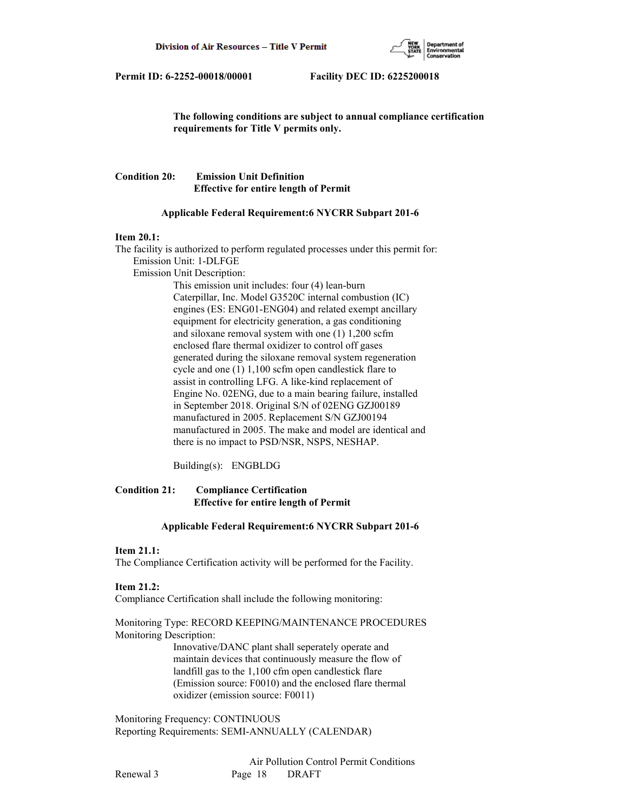

 **The following conditions are subject to annual compliance certification requirements for Title V permits only.**

# **Condition 20: Emission Unit Definition Effective for entire length of Permit**

#### **Applicable Federal Requirement:6 NYCRR Subpart 201-6**

#### **Item 20.1:**

The facility is authorized to perform regulated processes under this permit for: Emission Unit: 1-DLFGE Emission Unit Description: This emission unit includes: four (4) lean-burn Caterpillar, Inc. Model G3520C internal combustion (IC) engines (ES: ENG01-ENG04) and related exempt ancillary equipment for electricity generation, a gas conditioning and siloxane removal system with one (1) 1,200 scfm enclosed flare thermal oxidizer to control off gases generated during the siloxane removal system regeneration cycle and one (1) 1,100 scfm open candlestick flare to assist in controlling LFG. A like-kind replacement of Engine No. 02ENG, due to a main bearing failure, installed in September 2018. Original S/N of 02ENG GZJ00189 manufactured in 2005. Replacement S/N GZJ00194 manufactured in 2005. The make and model are identical and there is no impact to PSD/NSR, NSPS, NESHAP.

Building(s): ENGBLDG

# **Condition 21: Compliance Certification Effective for entire length of Permit**

#### **Applicable Federal Requirement:6 NYCRR Subpart 201-6**

#### **Item 21.1:**

The Compliance Certification activity will be performed for the Facility.

#### **Item 21.2:**

Compliance Certification shall include the following monitoring:

Monitoring Type: RECORD KEEPING/MAINTENANCE PROCEDURES Monitoring Description:

> Innovative/DANC plant shall seperately operate and maintain devices that continuously measure the flow of landfill gas to the 1,100 cfm open candlestick flare (Emission source: F0010) and the enclosed flare thermal oxidizer (emission source: F0011)

Monitoring Frequency: CONTINUOUS Reporting Requirements: SEMI-ANNUALLY (CALENDAR)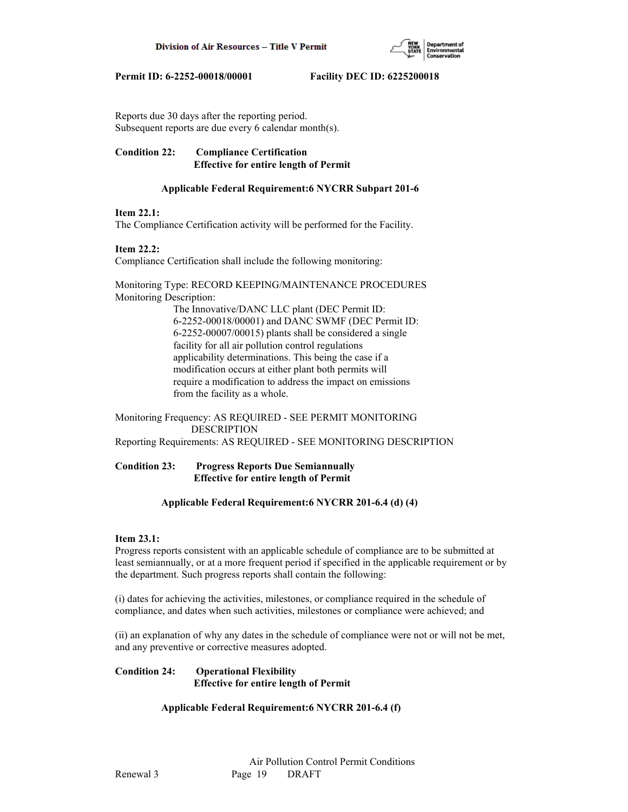

Reports due 30 days after the reporting period. Subsequent reports are due every 6 calendar month(s).

**Condition 22: Compliance Certification Effective for entire length of Permit**

# **Applicable Federal Requirement:6 NYCRR Subpart 201-6**

# **Item 22.1:**

The Compliance Certification activity will be performed for the Facility.

# **Item 22.2:**

Compliance Certification shall include the following monitoring:

Monitoring Type: RECORD KEEPING/MAINTENANCE PROCEDURES Monitoring Description:

> The Innovative/DANC LLC plant (DEC Permit ID: 6-2252-00018/00001) and DANC SWMF (DEC Permit ID: 6-2252-00007/00015) plants shall be considered a single facility for all air pollution control regulations applicability determinations. This being the case if a modification occurs at either plant both permits will require a modification to address the impact on emissions from the facility as a whole.

Monitoring Frequency: AS REQUIRED - SEE PERMIT MONITORING DESCRIPTION Reporting Requirements: AS REQUIRED - SEE MONITORING DESCRIPTION

# **Condition 23: Progress Reports Due Semiannually Effective for entire length of Permit**

# **Applicable Federal Requirement:6 NYCRR 201-6.4 (d) (4)**

#### **Item 23.1:**

Progress reports consistent with an applicable schedule of compliance are to be submitted at least semiannually, or at a more frequent period if specified in the applicable requirement or by the department. Such progress reports shall contain the following:

(i) dates for achieving the activities, milestones, or compliance required in the schedule of compliance, and dates when such activities, milestones or compliance were achieved; and

(ii) an explanation of why any dates in the schedule of compliance were not or will not be met, and any preventive or corrective measures adopted.

# **Condition 24: Operational Flexibility Effective for entire length of Permit**

# **Applicable Federal Requirement:6 NYCRR 201-6.4 (f)**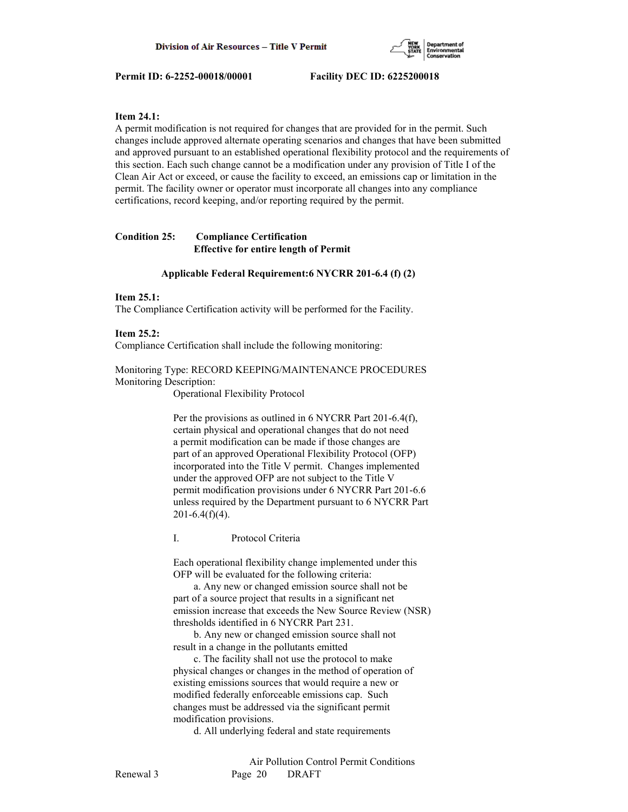

#### **Item 24.1:**

A permit modification is not required for changes that are provided for in the permit. Such changes include approved alternate operating scenarios and changes that have been submitted and approved pursuant to an established operational flexibility protocol and the requirements of this section. Each such change cannot be a modification under any provision of Title I of the Clean Air Act or exceed, or cause the facility to exceed, an emissions cap or limitation in the permit. The facility owner or operator must incorporate all changes into any compliance certifications, record keeping, and/or reporting required by the permit.

#### **Condition 25: Compliance Certification Effective for entire length of Permit**

# **Applicable Federal Requirement:6 NYCRR 201-6.4 (f) (2)**

#### **Item 25.1:**

The Compliance Certification activity will be performed for the Facility.

#### **Item 25.2:**

Compliance Certification shall include the following monitoring:

Monitoring Type: RECORD KEEPING/MAINTENANCE PROCEDURES Monitoring Description:

Operational Flexibility Protocol

 Per the provisions as outlined in 6 NYCRR Part 201-6.4(f), certain physical and operational changes that do not need a permit modification can be made if those changes are part of an approved Operational Flexibility Protocol (OFP) incorporated into the Title V permit. Changes implemented under the approved OFP are not subject to the Title V permit modification provisions under 6 NYCRR Part 201-6.6 unless required by the Department pursuant to 6 NYCRR Part  $201 - 6.4(f)(4)$ .

I. Protocol Criteria

 Each operational flexibility change implemented under this OFP will be evaluated for the following criteria:

 a. Any new or changed emission source shall not be part of a source project that results in a significant net emission increase that exceeds the New Source Review (NSR) thresholds identified in 6 NYCRR Part 231.

 b. Any new or changed emission source shall not result in a change in the pollutants emitted

 c. The facility shall not use the protocol to make physical changes or changes in the method of operation of existing emissions sources that would require a new or modified federally enforceable emissions cap. Such changes must be addressed via the significant permit modification provisions.

d. All underlying federal and state requirements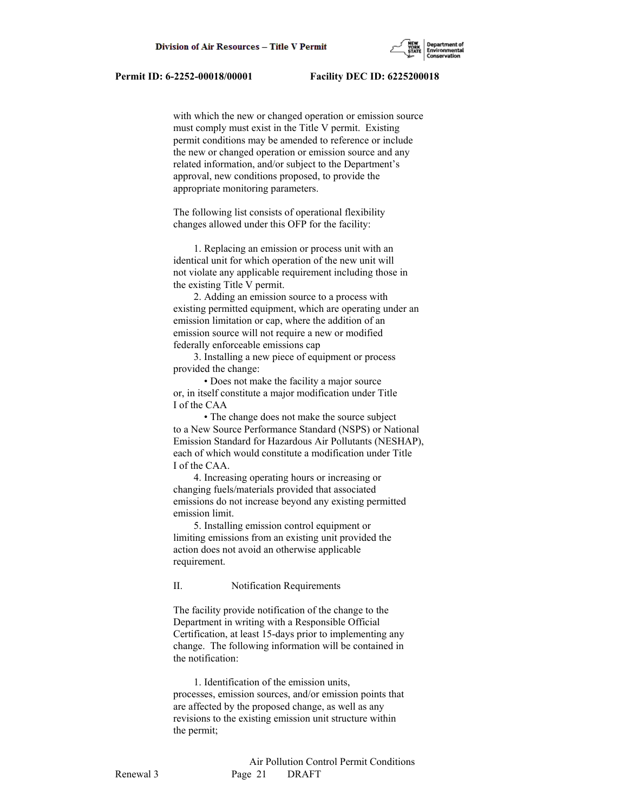

 with which the new or changed operation or emission source must comply must exist in the Title V permit. Existing permit conditions may be amended to reference or include the new or changed operation or emission source and any related information, and/or subject to the Department's approval, new conditions proposed, to provide the appropriate monitoring parameters.

 The following list consists of operational flexibility changes allowed under this OFP for the facility:

 1. Replacing an emission or process unit with an identical unit for which operation of the new unit will not violate any applicable requirement including those in the existing Title V permit.

 2. Adding an emission source to a process with existing permitted equipment, which are operating under an emission limitation or cap, where the addition of an emission source will not require a new or modified federally enforceable emissions cap

 3. Installing a new piece of equipment or process provided the change:

 • Does not make the facility a major source or, in itself constitute a major modification under Title I of the CAA

 • The change does not make the source subject to a New Source Performance Standard (NSPS) or National Emission Standard for Hazardous Air Pollutants (NESHAP), each of which would constitute a modification under Title I of the CAA.

 4. Increasing operating hours or increasing or changing fuels/materials provided that associated emissions do not increase beyond any existing permitted emission limit.

 5. Installing emission control equipment or limiting emissions from an existing unit provided the action does not avoid an otherwise applicable requirement.

### II. Notification Requirements

 The facility provide notification of the change to the Department in writing with a Responsible Official Certification, at least 15-days prior to implementing any change. The following information will be contained in the notification:

 1. Identification of the emission units, processes, emission sources, and/or emission points that are affected by the proposed change, as well as any revisions to the existing emission unit structure within the permit;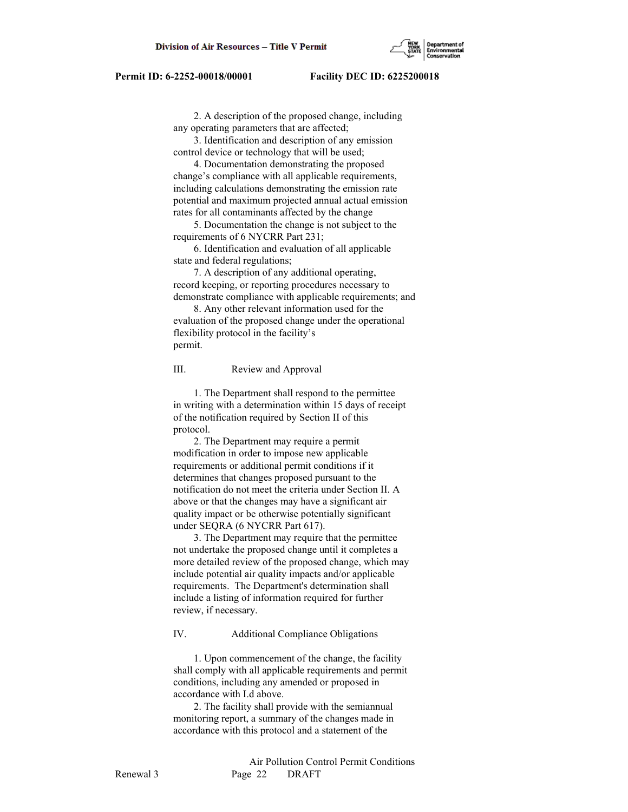2. A description of the proposed change, including any operating parameters that are affected;

 3. Identification and description of any emission control device or technology that will be used;

 4. Documentation demonstrating the proposed change's compliance with all applicable requirements, including calculations demonstrating the emission rate potential and maximum projected annual actual emission rates for all contaminants affected by the change

 5. Documentation the change is not subject to the requirements of 6 NYCRR Part 231;

 6. Identification and evaluation of all applicable state and federal regulations;

 7. A description of any additional operating, record keeping, or reporting procedures necessary to demonstrate compliance with applicable requirements; and

 8. Any other relevant information used for the evaluation of the proposed change under the operational flexibility protocol in the facility's permit.

#### III. Review and Approval

 1. The Department shall respond to the permittee in writing with a determination within 15 days of receipt of the notification required by Section II of this protocol.

 2. The Department may require a permit modification in order to impose new applicable requirements or additional permit conditions if it determines that changes proposed pursuant to the notification do not meet the criteria under Section II. A above or that the changes may have a significant air quality impact or be otherwise potentially significant under SEQRA (6 NYCRR Part 617).

 3. The Department may require that the permittee not undertake the proposed change until it completes a more detailed review of the proposed change, which may include potential air quality impacts and/or applicable requirements. The Department's determination shall include a listing of information required for further review, if necessary.

#### IV. Additional Compliance Obligations

 1. Upon commencement of the change, the facility shall comply with all applicable requirements and permit conditions, including any amended or proposed in accordance with I.d above.

 2. The facility shall provide with the semiannual monitoring report, a summary of the changes made in accordance with this protocol and a statement of the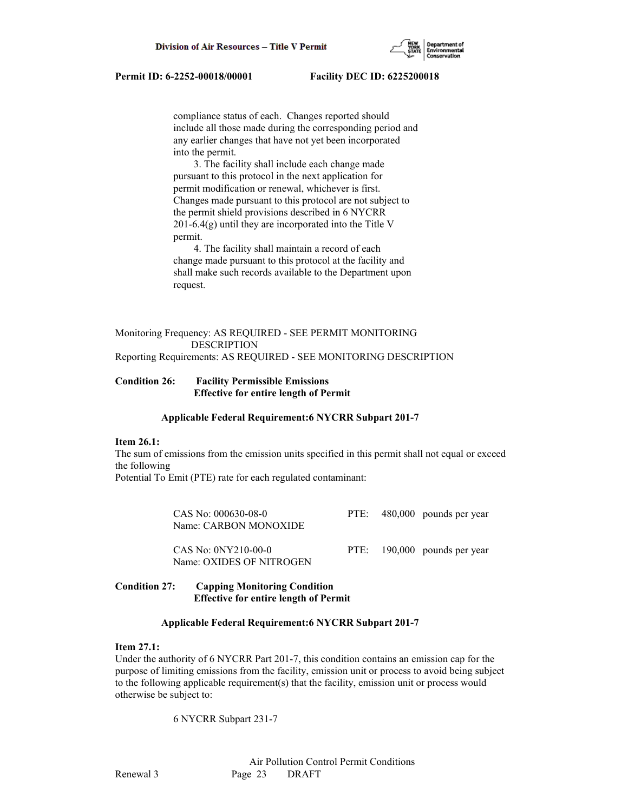compliance status of each. Changes reported should include all those made during the corresponding period and any earlier changes that have not yet been incorporated into the permit.

 3. The facility shall include each change made pursuant to this protocol in the next application for permit modification or renewal, whichever is first. Changes made pursuant to this protocol are not subject to the permit shield provisions described in 6 NYCRR  $201-6.4(g)$  until they are incorporated into the Title V permit.

 4. The facility shall maintain a record of each change made pursuant to this protocol at the facility and shall make such records available to the Department upon request.

### Monitoring Frequency: AS REQUIRED - SEE PERMIT MONITORING DESCRIPTION Reporting Requirements: AS REQUIRED - SEE MONITORING DESCRIPTION

# **Condition 26: Facility Permissible Emissions**

# **Effective for entire length of Permit**

#### **Applicable Federal Requirement:6 NYCRR Subpart 201-7**

#### **Item 26.1:**

The sum of emissions from the emission units specified in this permit shall not equal or exceed the following

Potential To Emit (PTE) rate for each regulated contaminant:

| CAS No: 000630-08-0<br>Name: CARBON MONOXIDE      |  | PTE: 480,000 pounds per year |
|---------------------------------------------------|--|------------------------------|
| $CAS No: ONY210-00-0$<br>Name: OXIDES OF NITROGEN |  | PTE: 190,000 pounds per year |

# **Condition 27: Capping Monitoring Condition Effective for entire length of Permit**

#### **Applicable Federal Requirement:6 NYCRR Subpart 201-7**

#### **Item 27.1:**

Under the authority of 6 NYCRR Part 201-7, this condition contains an emission cap for the purpose of limiting emissions from the facility, emission unit or process to avoid being subject to the following applicable requirement(s) that the facility, emission unit or process would otherwise be subject to:

6 NYCRR Subpart 231-7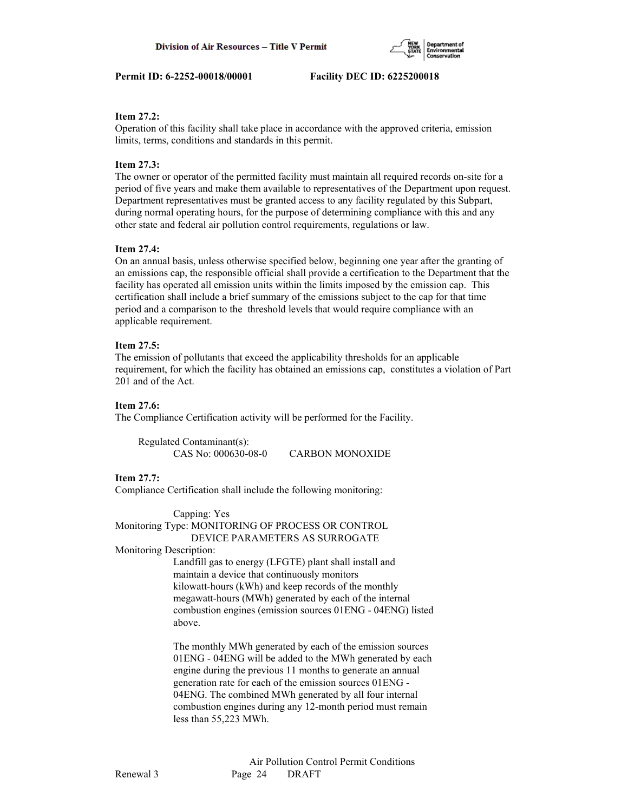# **Item 27.2:**

Operation of this facility shall take place in accordance with the approved criteria, emission limits, terms, conditions and standards in this permit.

# **Item 27.3:**

The owner or operator of the permitted facility must maintain all required records on-site for a period of five years and make them available to representatives of the Department upon request. Department representatives must be granted access to any facility regulated by this Subpart, during normal operating hours, for the purpose of determining compliance with this and any other state and federal air pollution control requirements, regulations or law.

# **Item 27.4:**

On an annual basis, unless otherwise specified below, beginning one year after the granting of an emissions cap, the responsible official shall provide a certification to the Department that the facility has operated all emission units within the limits imposed by the emission cap. This certification shall include a brief summary of the emissions subject to the cap for that time period and a comparison to the threshold levels that would require compliance with an applicable requirement.

# **Item 27.5:**

The emission of pollutants that exceed the applicability thresholds for an applicable requirement, for which the facility has obtained an emissions cap, constitutes a violation of Part 201 and of the Act.

# **Item 27.6:**

The Compliance Certification activity will be performed for the Facility.

 Regulated Contaminant(s): CAS No: 000630-08-0 CARBON MONOXIDE

# **Item 27.7:**

Compliance Certification shall include the following monitoring:

 Capping: Yes Monitoring Type: MONITORING OF PROCESS OR CONTROL DEVICE PARAMETERS AS SURROGATE

Monitoring Description:

 Landfill gas to energy (LFGTE) plant shall install and maintain a device that continuously monitors kilowatt-hours (kWh) and keep records of the monthly megawatt-hours (MWh) generated by each of the internal combustion engines (emission sources 01ENG - 04ENG) listed above.

 The monthly MWh generated by each of the emission sources 01ENG - 04ENG will be added to the MWh generated by each engine during the previous 11 months to generate an annual generation rate for each of the emission sources 01ENG - 04ENG. The combined MWh generated by all four internal combustion engines during any 12-month period must remain less than 55,223 MWh.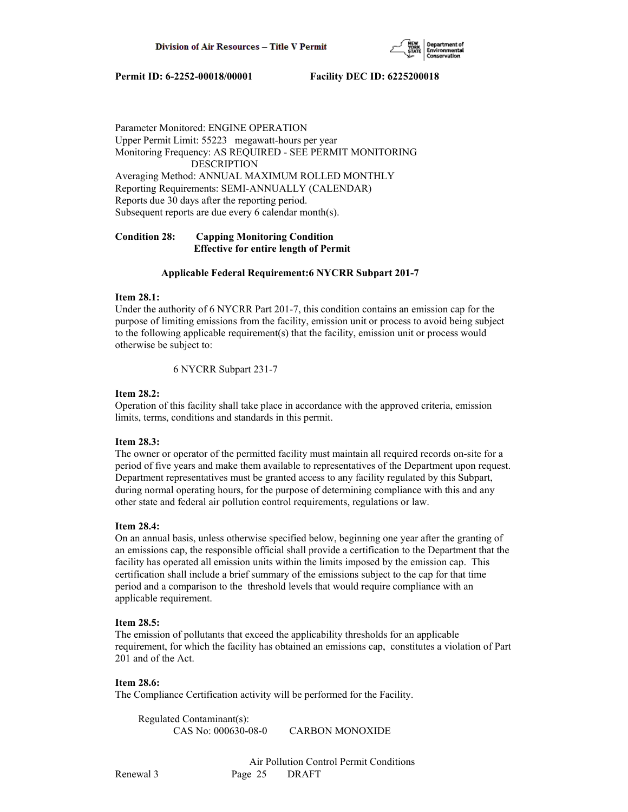

Parameter Monitored: ENGINE OPERATION Upper Permit Limit: 55223 megawatt-hours per year Monitoring Frequency: AS REQUIRED - SEE PERMIT MONITORING DESCRIPTION Averaging Method: ANNUAL MAXIMUM ROLLED MONTHLY Reporting Requirements: SEMI-ANNUALLY (CALENDAR) Reports due 30 days after the reporting period. Subsequent reports are due every 6 calendar month(s).

# **Condition 28: Capping Monitoring Condition Effective for entire length of Permit**

#### **Applicable Federal Requirement:6 NYCRR Subpart 201-7**

#### **Item 28.1:**

Under the authority of 6 NYCRR Part 201-7, this condition contains an emission cap for the purpose of limiting emissions from the facility, emission unit or process to avoid being subject to the following applicable requirement(s) that the facility, emission unit or process would otherwise be subject to:

6 NYCRR Subpart 231-7

# **Item 28.2:**

Operation of this facility shall take place in accordance with the approved criteria, emission limits, terms, conditions and standards in this permit.

#### **Item 28.3:**

The owner or operator of the permitted facility must maintain all required records on-site for a period of five years and make them available to representatives of the Department upon request. Department representatives must be granted access to any facility regulated by this Subpart, during normal operating hours, for the purpose of determining compliance with this and any other state and federal air pollution control requirements, regulations or law.

#### **Item 28.4:**

On an annual basis, unless otherwise specified below, beginning one year after the granting of an emissions cap, the responsible official shall provide a certification to the Department that the facility has operated all emission units within the limits imposed by the emission cap. This certification shall include a brief summary of the emissions subject to the cap for that time period and a comparison to the threshold levels that would require compliance with an applicable requirement.

#### **Item 28.5:**

The emission of pollutants that exceed the applicability thresholds for an applicable requirement, for which the facility has obtained an emissions cap, constitutes a violation of Part 201 and of the Act.

# **Item 28.6:**

The Compliance Certification activity will be performed for the Facility.

 Regulated Contaminant(s): CAS No: 000630-08-0 CARBON MONOXIDE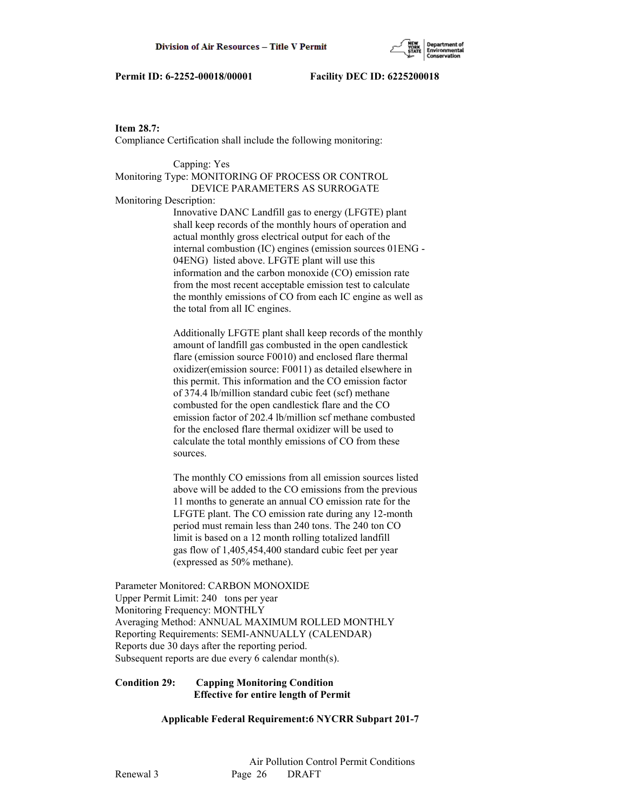

**Item 28.7:**

Compliance Certification shall include the following monitoring:

 Capping: Yes Monitoring Type: MONITORING OF PROCESS OR CONTROL DEVICE PARAMETERS AS SURROGATE Monitoring Description: Innovative DANC Landfill gas to energy (LFGTE) plant shall keep records of the monthly hours of operation and actual monthly gross electrical output for each of the internal combustion (IC) engines (emission sources 01ENG - 04ENG) listed above. LFGTE plant will use this information and the carbon monoxide (CO) emission rate from the most recent acceptable emission test to calculate the monthly emissions of CO from each IC engine as well as the total from all IC engines.

> Additionally LFGTE plant shall keep records of the monthly amount of landfill gas combusted in the open candlestick flare (emission source F0010) and enclosed flare thermal oxidizer(emission source: F0011) as detailed elsewhere in this permit. This information and the CO emission factor of 374.4 lb/million standard cubic feet (scf) methane combusted for the open candlestick flare and the CO emission factor of 202.4 lb/million scf methane combusted for the enclosed flare thermal oxidizer will be used to calculate the total monthly emissions of CO from these sources.

 The monthly CO emissions from all emission sources listed above will be added to the CO emissions from the previous 11 months to generate an annual CO emission rate for the LFGTE plant. The CO emission rate during any 12-month period must remain less than 240 tons. The 240 ton CO limit is based on a 12 month rolling totalized landfill gas flow of 1,405,454,400 standard cubic feet per year (expressed as 50% methane).

Parameter Monitored: CARBON MONOXIDE Upper Permit Limit: 240 tons per year Monitoring Frequency: MONTHLY Averaging Method: ANNUAL MAXIMUM ROLLED MONTHLY Reporting Requirements: SEMI-ANNUALLY (CALENDAR) Reports due 30 days after the reporting period. Subsequent reports are due every 6 calendar month(s).

# **Condition 29: Capping Monitoring Condition Effective for entire length of Permit**

 **Applicable Federal Requirement:6 NYCRR Subpart 201-7**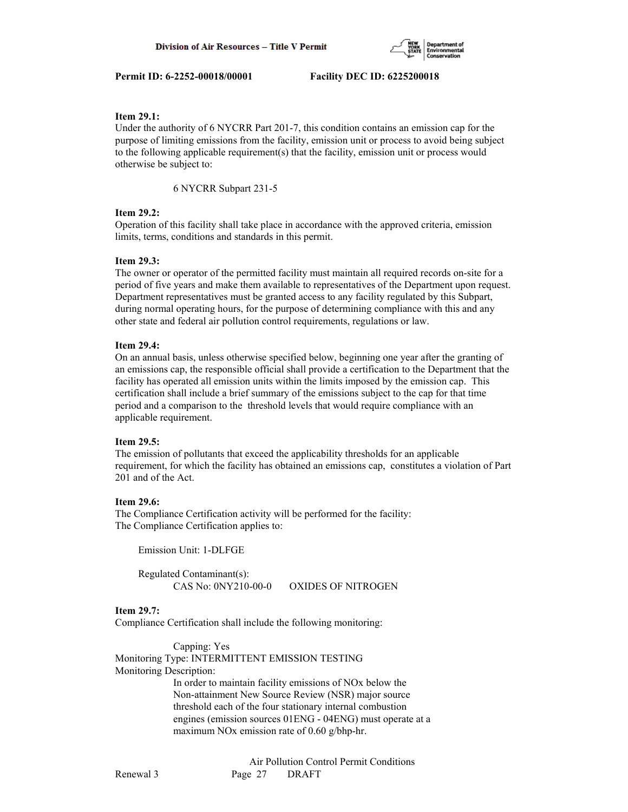

# **Item 29.1:**

Under the authority of 6 NYCRR Part 201-7, this condition contains an emission cap for the purpose of limiting emissions from the facility, emission unit or process to avoid being subject to the following applicable requirement(s) that the facility, emission unit or process would otherwise be subject to:

6 NYCRR Subpart 231-5

#### **Item 29.2:**

Operation of this facility shall take place in accordance with the approved criteria, emission limits, terms, conditions and standards in this permit.

#### **Item 29.3:**

The owner or operator of the permitted facility must maintain all required records on-site for a period of five years and make them available to representatives of the Department upon request. Department representatives must be granted access to any facility regulated by this Subpart, during normal operating hours, for the purpose of determining compliance with this and any other state and federal air pollution control requirements, regulations or law.

#### **Item 29.4:**

On an annual basis, unless otherwise specified below, beginning one year after the granting of an emissions cap, the responsible official shall provide a certification to the Department that the facility has operated all emission units within the limits imposed by the emission cap. This certification shall include a brief summary of the emissions subject to the cap for that time period and a comparison to the threshold levels that would require compliance with an applicable requirement.

#### **Item 29.5:**

The emission of pollutants that exceed the applicability thresholds for an applicable requirement, for which the facility has obtained an emissions cap, constitutes a violation of Part 201 and of the Act.

# **Item 29.6:**

The Compliance Certification activity will be performed for the facility: The Compliance Certification applies to:

Emission Unit: 1-DLFGE

 Regulated Contaminant(s): CAS No: 0NY210-00-0 OXIDES OF NITROGEN

### **Item 29.7:**

Compliance Certification shall include the following monitoring:

 Capping: Yes Monitoring Type: INTERMITTENT EMISSION TESTING Monitoring Description: In order to maintain facility emissions of NOx below the Non-attainment New Source Review (NSR) major source threshold each of the four stationary internal combustion engines (emission sources 01ENG - 04ENG) must operate at a maximum NOx emission rate of 0.60 g/bhp-hr.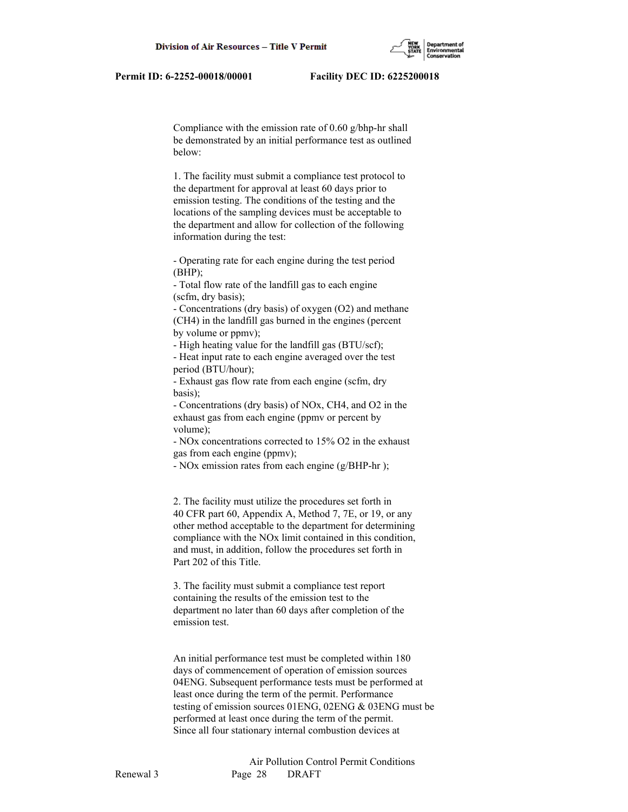Compliance with the emission rate of 0.60 g/bhp-hr shall be demonstrated by an initial performance test as outlined below:

 1. The facility must submit a compliance test protocol to the department for approval at least 60 days prior to emission testing. The conditions of the testing and the locations of the sampling devices must be acceptable to the department and allow for collection of the following information during the test:

 - Operating rate for each engine during the test period  $(BHP);$ 

 - Total flow rate of the landfill gas to each engine (scfm, dry basis);

 - Concentrations (dry basis) of oxygen (O2) and methane (CH4) in the landfill gas burned in the engines (percent by volume or ppmv);

- High heating value for the landfill gas (BTU/scf);

 - Heat input rate to each engine averaged over the test period (BTU/hour);

 - Exhaust gas flow rate from each engine (scfm, dry basis);

 - Concentrations (dry basis) of NOx, CH4, and O2 in the exhaust gas from each engine (ppmv or percent by volume);

 - NOx concentrations corrected to 15% O2 in the exhaust gas from each engine (ppmv);

- NOx emission rates from each engine (g/BHP-hr );

 2. The facility must utilize the procedures set forth in 40 CFR part 60, Appendix A, Method 7, 7E, or 19, or any other method acceptable to the department for determining compliance with the NOx limit contained in this condition, and must, in addition, follow the procedures set forth in Part 202 of this Title.

 3. The facility must submit a compliance test report containing the results of the emission test to the department no later than 60 days after completion of the emission test.

 An initial performance test must be completed within 180 days of commencement of operation of emission sources 04ENG. Subsequent performance tests must be performed at least once during the term of the permit. Performance testing of emission sources 01ENG, 02ENG & 03ENG must be performed at least once during the term of the permit. Since all four stationary internal combustion devices at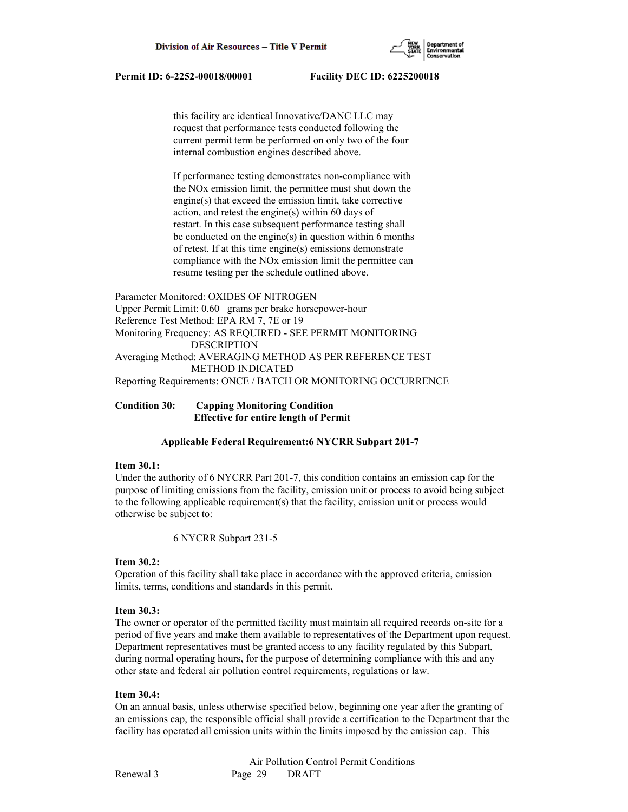

 this facility are identical Innovative/DANC LLC may request that performance tests conducted following the current permit term be performed on only two of the four internal combustion engines described above.

 If performance testing demonstrates non-compliance with the NOx emission limit, the permittee must shut down the engine(s) that exceed the emission limit, take corrective action, and retest the engine(s) within 60 days of restart. In this case subsequent performance testing shall be conducted on the engine(s) in question within 6 months of retest. If at this time engine(s) emissions demonstrate compliance with the NOx emission limit the permittee can resume testing per the schedule outlined above.

Parameter Monitored: OXIDES OF NITROGEN Upper Permit Limit: 0.60 grams per brake horsepower-hour Reference Test Method: EPA RM 7, 7E or 19 Monitoring Frequency: AS REQUIRED - SEE PERMIT MONITORING DESCRIPTION Averaging Method: AVERAGING METHOD AS PER REFERENCE TEST METHOD INDICATED Reporting Requirements: ONCE / BATCH OR MONITORING OCCURRENCE

**Condition 30: Capping Monitoring Condition Effective for entire length of Permit**

#### **Applicable Federal Requirement:6 NYCRR Subpart 201-7**

#### **Item 30.1:**

Under the authority of 6 NYCRR Part 201-7, this condition contains an emission cap for the purpose of limiting emissions from the facility, emission unit or process to avoid being subject to the following applicable requirement(s) that the facility, emission unit or process would otherwise be subject to:

6 NYCRR Subpart 231-5

#### **Item 30.2:**

Operation of this facility shall take place in accordance with the approved criteria, emission limits, terms, conditions and standards in this permit.

#### **Item 30.3:**

The owner or operator of the permitted facility must maintain all required records on-site for a period of five years and make them available to representatives of the Department upon request. Department representatives must be granted access to any facility regulated by this Subpart, during normal operating hours, for the purpose of determining compliance with this and any other state and federal air pollution control requirements, regulations or law.

#### **Item 30.4:**

On an annual basis, unless otherwise specified below, beginning one year after the granting of an emissions cap, the responsible official shall provide a certification to the Department that the facility has operated all emission units within the limits imposed by the emission cap. This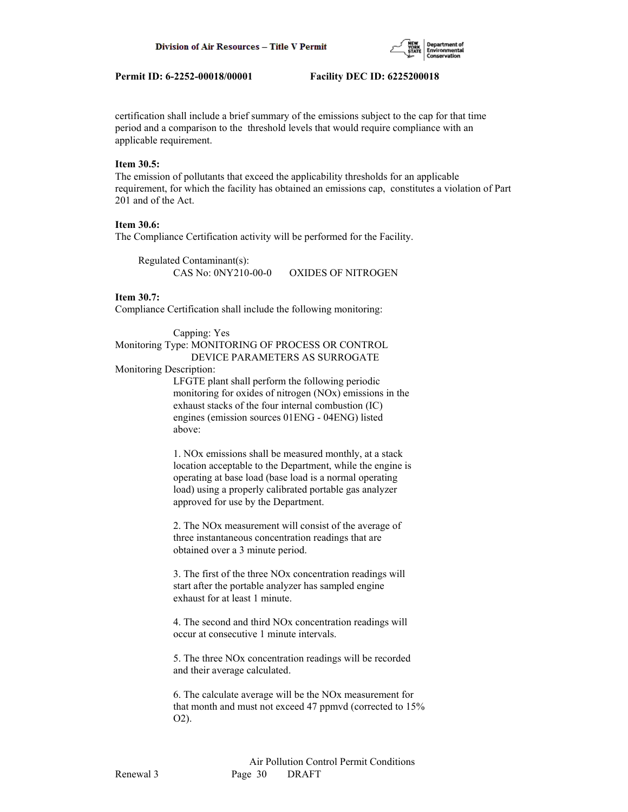

certification shall include a brief summary of the emissions subject to the cap for that time period and a comparison to the threshold levels that would require compliance with an applicable requirement.

# **Item 30.5:**

The emission of pollutants that exceed the applicability thresholds for an applicable requirement, for which the facility has obtained an emissions cap, constitutes a violation of Part 201 and of the Act.

# **Item 30.6:**

The Compliance Certification activity will be performed for the Facility.

 Regulated Contaminant(s): CAS No: 0NY210-00-0 OXIDES OF NITROGEN

#### **Item 30.7:**

Compliance Certification shall include the following monitoring:

#### Capping: Yes Monitoring Type: MONITORING OF PROCESS OR CONTROL DEVICE PARAMETERS AS SURROGATE

#### Monitoring Description:

 LFGTE plant shall perform the following periodic monitoring for oxides of nitrogen (NOx) emissions in the exhaust stacks of the four internal combustion (IC) engines (emission sources 01ENG - 04ENG) listed above:

 1. NOx emissions shall be measured monthly, at a stack location acceptable to the Department, while the engine is operating at base load (base load is a normal operating load) using a properly calibrated portable gas analyzer approved for use by the Department.

 2. The NOx measurement will consist of the average of three instantaneous concentration readings that are obtained over a 3 minute period.

 3. The first of the three NOx concentration readings will start after the portable analyzer has sampled engine exhaust for at least 1 minute.

 4. The second and third NOx concentration readings will occur at consecutive 1 minute intervals.

 5. The three NOx concentration readings will be recorded and their average calculated.

 6. The calculate average will be the NOx measurement for that month and must not exceed 47 ppmvd (corrected to 15% O2).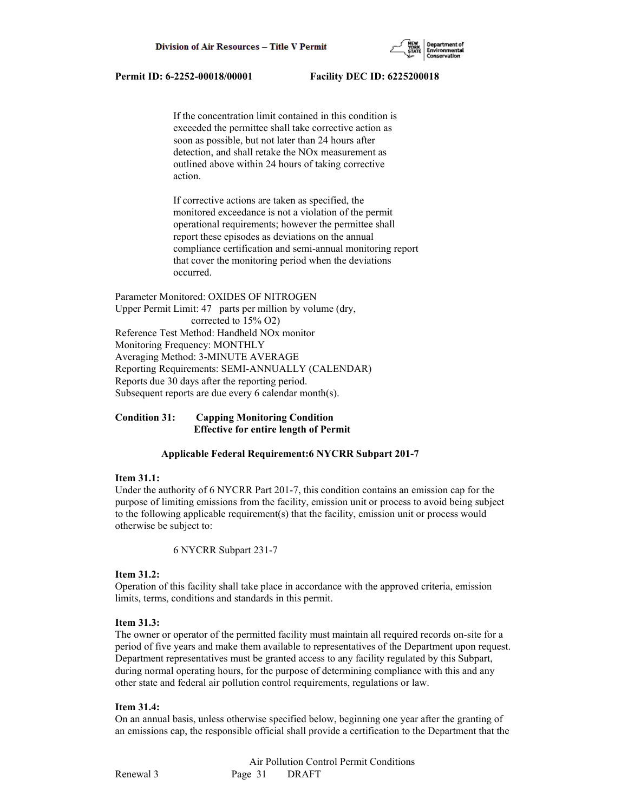

 If the concentration limit contained in this condition is exceeded the permittee shall take corrective action as soon as possible, but not later than 24 hours after detection, and shall retake the NOx measurement as outlined above within 24 hours of taking corrective action.

 If corrective actions are taken as specified, the monitored exceedance is not a violation of the permit operational requirements; however the permittee shall report these episodes as deviations on the annual compliance certification and semi-annual monitoring report that cover the monitoring period when the deviations occurred.

Parameter Monitored: OXIDES OF NITROGEN Upper Permit Limit: 47 parts per million by volume (dry, corrected to 15% O2) Reference Test Method: Handheld NOx monitor Monitoring Frequency: MONTHLY Averaging Method: 3-MINUTE AVERAGE Reporting Requirements: SEMI-ANNUALLY (CALENDAR) Reports due 30 days after the reporting period. Subsequent reports are due every 6 calendar month(s).

**Condition 31: Capping Monitoring Condition Effective for entire length of Permit**

## **Applicable Federal Requirement:6 NYCRR Subpart 201-7**

#### **Item 31.1:**

Under the authority of 6 NYCRR Part 201-7, this condition contains an emission cap for the purpose of limiting emissions from the facility, emission unit or process to avoid being subject to the following applicable requirement(s) that the facility, emission unit or process would otherwise be subject to:

6 NYCRR Subpart 231-7

### **Item 31.2:**

Operation of this facility shall take place in accordance with the approved criteria, emission limits, terms, conditions and standards in this permit.

## **Item 31.3:**

The owner or operator of the permitted facility must maintain all required records on-site for a period of five years and make them available to representatives of the Department upon request. Department representatives must be granted access to any facility regulated by this Subpart, during normal operating hours, for the purpose of determining compliance with this and any other state and federal air pollution control requirements, regulations or law.

## **Item 31.4:**

On an annual basis, unless otherwise specified below, beginning one year after the granting of an emissions cap, the responsible official shall provide a certification to the Department that the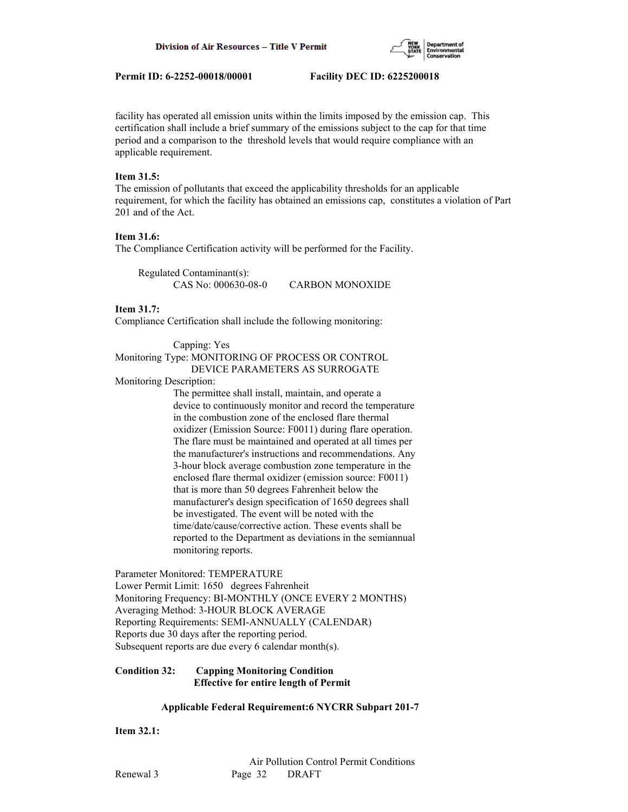

facility has operated all emission units within the limits imposed by the emission cap. This certification shall include a brief summary of the emissions subject to the cap for that time period and a comparison to the threshold levels that would require compliance with an applicable requirement.

## **Item 31.5:**

The emission of pollutants that exceed the applicability thresholds for an applicable requirement, for which the facility has obtained an emissions cap, constitutes a violation of Part 201 and of the Act.

# **Item 31.6:**

The Compliance Certification activity will be performed for the Facility.

 Regulated Contaminant(s): CAS No: 000630-08-0 CARBON MONOXIDE

## **Item 31.7:**

Compliance Certification shall include the following monitoring:

# Capping: Yes Monitoring Type: MONITORING OF PROCESS OR CONTROL DEVICE PARAMETERS AS SURROGATE

Monitoring Description:

 The permittee shall install, maintain, and operate a device to continuously monitor and record the temperature in the combustion zone of the enclosed flare thermal oxidizer (Emission Source: F0011) during flare operation. The flare must be maintained and operated at all times per the manufacturer's instructions and recommendations. Any 3-hour block average combustion zone temperature in the enclosed flare thermal oxidizer (emission source: F0011) that is more than 50 degrees Fahrenheit below the manufacturer's design specification of 1650 degrees shall be investigated. The event will be noted with the time/date/cause/corrective action. These events shall be reported to the Department as deviations in the semiannual monitoring reports.

Parameter Monitored: TEMPERATURE Lower Permit Limit: 1650 degrees Fahrenheit Monitoring Frequency: BI-MONTHLY (ONCE EVERY 2 MONTHS) Averaging Method: 3-HOUR BLOCK AVERAGE Reporting Requirements: SEMI-ANNUALLY (CALENDAR) Reports due 30 days after the reporting period. Subsequent reports are due every 6 calendar month(s).

## **Condition 32: Capping Monitoring Condition Effective for entire length of Permit**

## **Applicable Federal Requirement:6 NYCRR Subpart 201-7**

**Item 32.1:**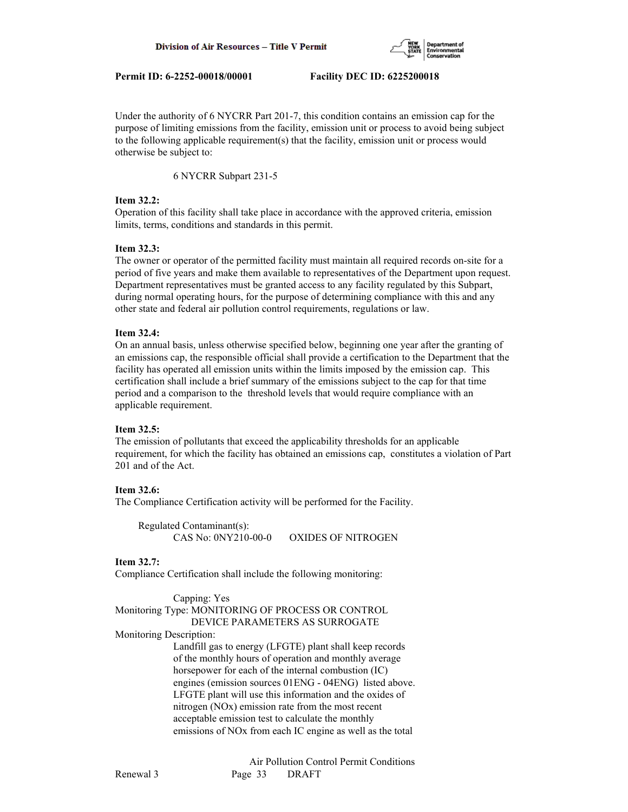

Under the authority of 6 NYCRR Part 201-7, this condition contains an emission cap for the purpose of limiting emissions from the facility, emission unit or process to avoid being subject to the following applicable requirement(s) that the facility, emission unit or process would otherwise be subject to:

6 NYCRR Subpart 231-5

## **Item 32.2:**

Operation of this facility shall take place in accordance with the approved criteria, emission limits, terms, conditions and standards in this permit.

## **Item 32.3:**

The owner or operator of the permitted facility must maintain all required records on-site for a period of five years and make them available to representatives of the Department upon request. Department representatives must be granted access to any facility regulated by this Subpart, during normal operating hours, for the purpose of determining compliance with this and any other state and federal air pollution control requirements, regulations or law.

## **Item 32.4:**

On an annual basis, unless otherwise specified below, beginning one year after the granting of an emissions cap, the responsible official shall provide a certification to the Department that the facility has operated all emission units within the limits imposed by the emission cap. This certification shall include a brief summary of the emissions subject to the cap for that time period and a comparison to the threshold levels that would require compliance with an applicable requirement.

# **Item 32.5:**

The emission of pollutants that exceed the applicability thresholds for an applicable requirement, for which the facility has obtained an emissions cap, constitutes a violation of Part 201 and of the Act.

# **Item 32.6:**

The Compliance Certification activity will be performed for the Facility.

```
 Regulated Contaminant(s):
CAS No: 0NY210-00-0 OXIDES OF NITROGEN
```
## **Item 32.7:**

Compliance Certification shall include the following monitoring:

 Capping: Yes Monitoring Type: MONITORING OF PROCESS OR CONTROL DEVICE PARAMETERS AS SURROGATE Monitoring Description: Landfill gas to energy (LFGTE) plant shall keep records of the monthly hours of operation and monthly average horsepower for each of the internal combustion (IC) engines (emission sources 01ENG - 04ENG) listed above. LFGTE plant will use this information and the oxides of nitrogen (NOx) emission rate from the most recent acceptable emission test to calculate the monthly emissions of NOx from each IC engine as well as the total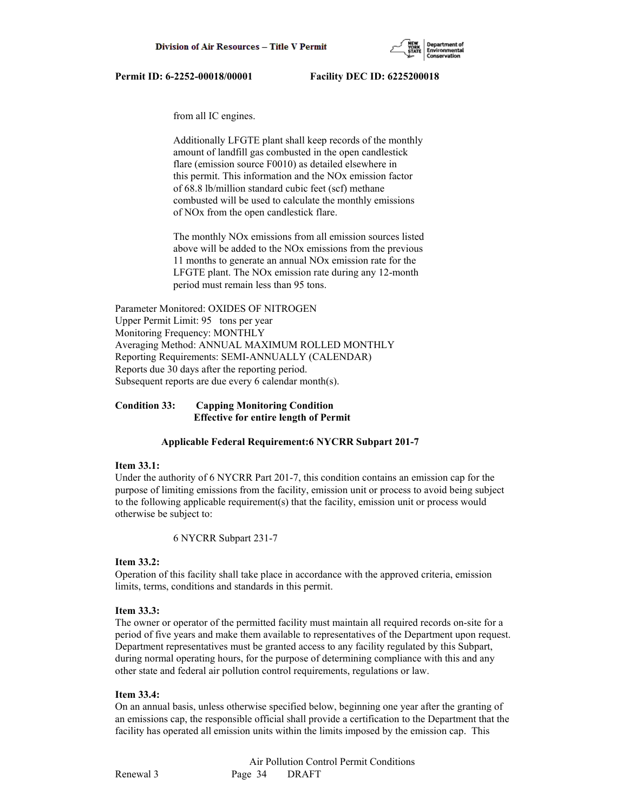

from all IC engines.

 Additionally LFGTE plant shall keep records of the monthly amount of landfill gas combusted in the open candlestick flare (emission source F0010) as detailed elsewhere in this permit. This information and the NOx emission factor of 68.8 lb/million standard cubic feet (scf) methane combusted will be used to calculate the monthly emissions of NOx from the open candlestick flare.

 The monthly NOx emissions from all emission sources listed above will be added to the NOx emissions from the previous 11 months to generate an annual NOx emission rate for the LFGTE plant. The NOx emission rate during any 12-month period must remain less than 95 tons.

Parameter Monitored: OXIDES OF NITROGEN Upper Permit Limit: 95 tons per year Monitoring Frequency: MONTHLY Averaging Method: ANNUAL MAXIMUM ROLLED MONTHLY Reporting Requirements: SEMI-ANNUALLY (CALENDAR) Reports due 30 days after the reporting period. Subsequent reports are due every 6 calendar month(s).

## **Condition 33: Capping Monitoring Condition Effective for entire length of Permit**

#### **Applicable Federal Requirement:6 NYCRR Subpart 201-7**

#### **Item 33.1:**

Under the authority of 6 NYCRR Part 201-7, this condition contains an emission cap for the purpose of limiting emissions from the facility, emission unit or process to avoid being subject to the following applicable requirement(s) that the facility, emission unit or process would otherwise be subject to:

6 NYCRR Subpart 231-7

#### **Item 33.2:**

Operation of this facility shall take place in accordance with the approved criteria, emission limits, terms, conditions and standards in this permit.

#### **Item 33.3:**

The owner or operator of the permitted facility must maintain all required records on-site for a period of five years and make them available to representatives of the Department upon request. Department representatives must be granted access to any facility regulated by this Subpart, during normal operating hours, for the purpose of determining compliance with this and any other state and federal air pollution control requirements, regulations or law.

#### **Item 33.4:**

On an annual basis, unless otherwise specified below, beginning one year after the granting of an emissions cap, the responsible official shall provide a certification to the Department that the facility has operated all emission units within the limits imposed by the emission cap. This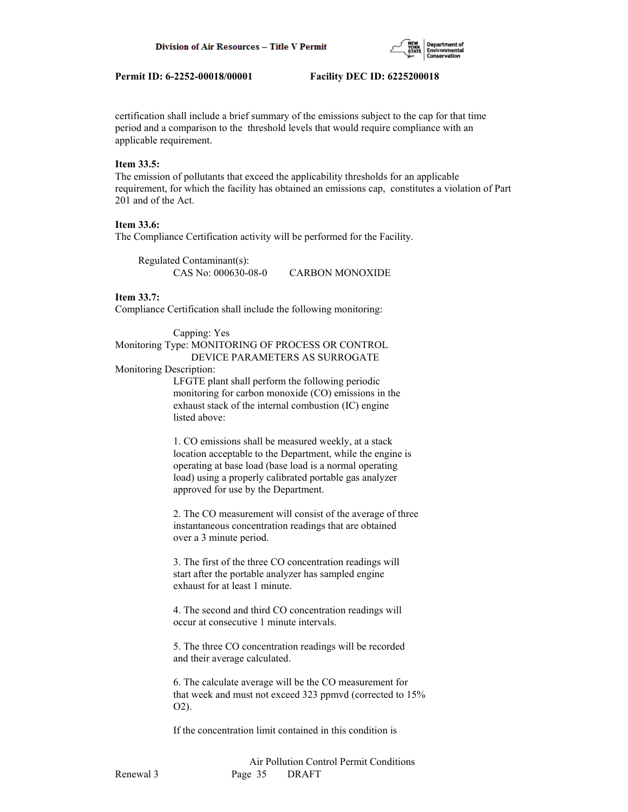

certification shall include a brief summary of the emissions subject to the cap for that time period and a comparison to the threshold levels that would require compliance with an applicable requirement.

#### **Item 33.5:**

The emission of pollutants that exceed the applicability thresholds for an applicable requirement, for which the facility has obtained an emissions cap, constitutes a violation of Part 201 and of the Act.

# **Item 33.6:**

The Compliance Certification activity will be performed for the Facility.

 Regulated Contaminant(s): CAS No: 000630-08-0 CARBON MONOXIDE

#### **Item 33.7:**

Compliance Certification shall include the following monitoring:

### Capping: Yes Monitoring Type: MONITORING OF PROCESS OR CONTROL DEVICE PARAMETERS AS SURROGATE

#### Monitoring Description:

 LFGTE plant shall perform the following periodic monitoring for carbon monoxide (CO) emissions in the exhaust stack of the internal combustion (IC) engine listed above:

 1. CO emissions shall be measured weekly, at a stack location acceptable to the Department, while the engine is operating at base load (base load is a normal operating load) using a properly calibrated portable gas analyzer approved for use by the Department.

 2. The CO measurement will consist of the average of three instantaneous concentration readings that are obtained over a 3 minute period.

 3. The first of the three CO concentration readings will start after the portable analyzer has sampled engine exhaust for at least 1 minute.

 4. The second and third CO concentration readings will occur at consecutive 1 minute intervals.

 5. The three CO concentration readings will be recorded and their average calculated.

 6. The calculate average will be the CO measurement for that week and must not exceed 323 ppmvd (corrected to 15% O2).

If the concentration limit contained in this condition is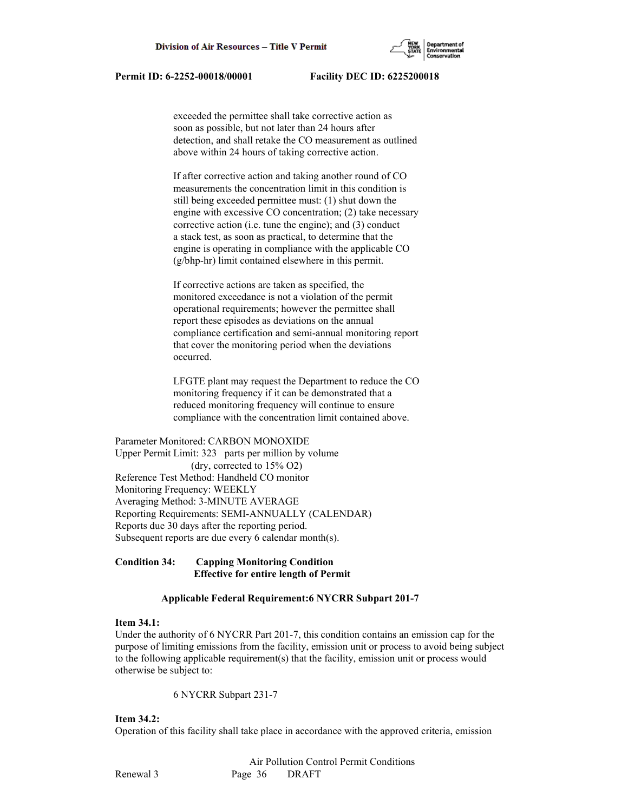

 exceeded the permittee shall take corrective action as soon as possible, but not later than 24 hours after detection, and shall retake the CO measurement as outlined above within 24 hours of taking corrective action.

 If after corrective action and taking another round of CO measurements the concentration limit in this condition is still being exceeded permittee must: (1) shut down the engine with excessive CO concentration; (2) take necessary corrective action (i.e. tune the engine); and (3) conduct a stack test, as soon as practical, to determine that the engine is operating in compliance with the applicable CO (g/bhp-hr) limit contained elsewhere in this permit.

 If corrective actions are taken as specified, the monitored exceedance is not a violation of the permit operational requirements; however the permittee shall report these episodes as deviations on the annual compliance certification and semi-annual monitoring report that cover the monitoring period when the deviations occurred.

 LFGTE plant may request the Department to reduce the CO monitoring frequency if it can be demonstrated that a reduced monitoring frequency will continue to ensure compliance with the concentration limit contained above.

Parameter Monitored: CARBON MONOXIDE Upper Permit Limit: 323 parts per million by volume (dry, corrected to 15% O2) Reference Test Method: Handheld CO monitor Monitoring Frequency: WEEKLY Averaging Method: 3-MINUTE AVERAGE Reporting Requirements: SEMI-ANNUALLY (CALENDAR) Reports due 30 days after the reporting period. Subsequent reports are due every 6 calendar month(s).

## **Condition 34: Capping Monitoring Condition Effective for entire length of Permit**

### **Applicable Federal Requirement:6 NYCRR Subpart 201-7**

#### **Item 34.1:**

Under the authority of 6 NYCRR Part 201-7, this condition contains an emission cap for the purpose of limiting emissions from the facility, emission unit or process to avoid being subject to the following applicable requirement(s) that the facility, emission unit or process would otherwise be subject to:

6 NYCRR Subpart 231-7

## **Item 34.2:**

Operation of this facility shall take place in accordance with the approved criteria, emission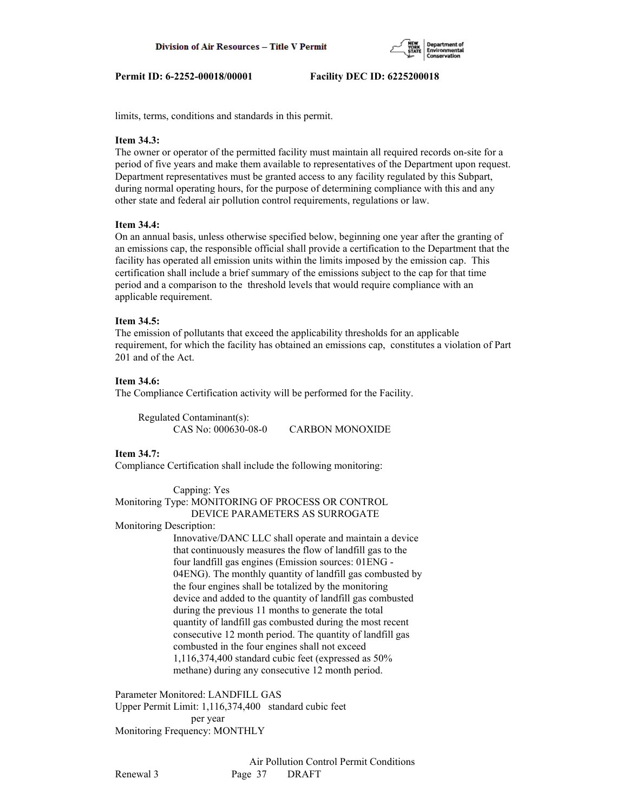

limits, terms, conditions and standards in this permit.

## **Item 34.3:**

The owner or operator of the permitted facility must maintain all required records on-site for a period of five years and make them available to representatives of the Department upon request. Department representatives must be granted access to any facility regulated by this Subpart, during normal operating hours, for the purpose of determining compliance with this and any other state and federal air pollution control requirements, regulations or law.

## **Item 34.4:**

On an annual basis, unless otherwise specified below, beginning one year after the granting of an emissions cap, the responsible official shall provide a certification to the Department that the facility has operated all emission units within the limits imposed by the emission cap. This certification shall include a brief summary of the emissions subject to the cap for that time period and a comparison to the threshold levels that would require compliance with an applicable requirement.

## **Item 34.5:**

The emission of pollutants that exceed the applicability thresholds for an applicable requirement, for which the facility has obtained an emissions cap, constitutes a violation of Part 201 and of the Act.

## **Item 34.6:**

The Compliance Certification activity will be performed for the Facility.

 Regulated Contaminant(s): CAS No: 000630-08-0 CARBON MONOXIDE

## **Item 34.7:**

Compliance Certification shall include the following monitoring:

 Capping: Yes Monitoring Type: MONITORING OF PROCESS OR CONTROL DEVICE PARAMETERS AS SURROGATE

Monitoring Description:

 Innovative/DANC LLC shall operate and maintain a device that continuously measures the flow of landfill gas to the four landfill gas engines (Emission sources: 01ENG - 04ENG). The monthly quantity of landfill gas combusted by the four engines shall be totalized by the monitoring device and added to the quantity of landfill gas combusted during the previous 11 months to generate the total quantity of landfill gas combusted during the most recent consecutive 12 month period. The quantity of landfill gas combusted in the four engines shall not exceed 1,116,374,400 standard cubic feet (expressed as 50% methane) during any consecutive 12 month period.

Parameter Monitored: LANDFILL GAS Upper Permit Limit: 1,116,374,400 standard cubic feet per year Monitoring Frequency: MONTHLY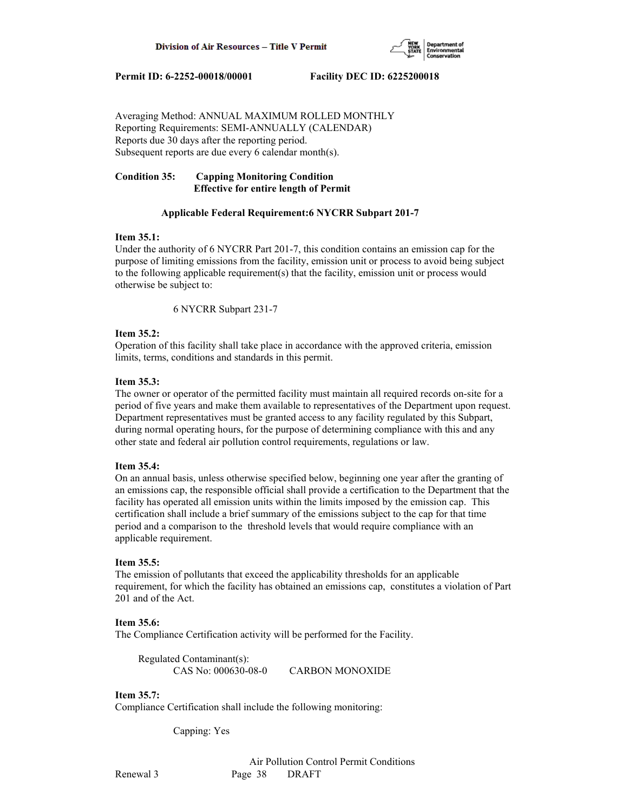

Averaging Method: ANNUAL MAXIMUM ROLLED MONTHLY Reporting Requirements: SEMI-ANNUALLY (CALENDAR) Reports due 30 days after the reporting period. Subsequent reports are due every 6 calendar month(s).

# **Condition 35: Capping Monitoring Condition Effective for entire length of Permit**

## **Applicable Federal Requirement:6 NYCRR Subpart 201-7**

## **Item 35.1:**

Under the authority of 6 NYCRR Part 201-7, this condition contains an emission cap for the purpose of limiting emissions from the facility, emission unit or process to avoid being subject to the following applicable requirement(s) that the facility, emission unit or process would otherwise be subject to:

6 NYCRR Subpart 231-7

# **Item 35.2:**

Operation of this facility shall take place in accordance with the approved criteria, emission limits, terms, conditions and standards in this permit.

## **Item 35.3:**

The owner or operator of the permitted facility must maintain all required records on-site for a period of five years and make them available to representatives of the Department upon request. Department representatives must be granted access to any facility regulated by this Subpart, during normal operating hours, for the purpose of determining compliance with this and any other state and federal air pollution control requirements, regulations or law.

## **Item 35.4:**

On an annual basis, unless otherwise specified below, beginning one year after the granting of an emissions cap, the responsible official shall provide a certification to the Department that the facility has operated all emission units within the limits imposed by the emission cap. This certification shall include a brief summary of the emissions subject to the cap for that time period and a comparison to the threshold levels that would require compliance with an applicable requirement.

# **Item 35.5:**

The emission of pollutants that exceed the applicability thresholds for an applicable requirement, for which the facility has obtained an emissions cap, constitutes a violation of Part 201 and of the Act.

# **Item 35.6:**

The Compliance Certification activity will be performed for the Facility.

 Regulated Contaminant(s): CAS No: 000630-08-0 CARBON MONOXIDE

# **Item 35.7:**

Compliance Certification shall include the following monitoring:

Capping: Yes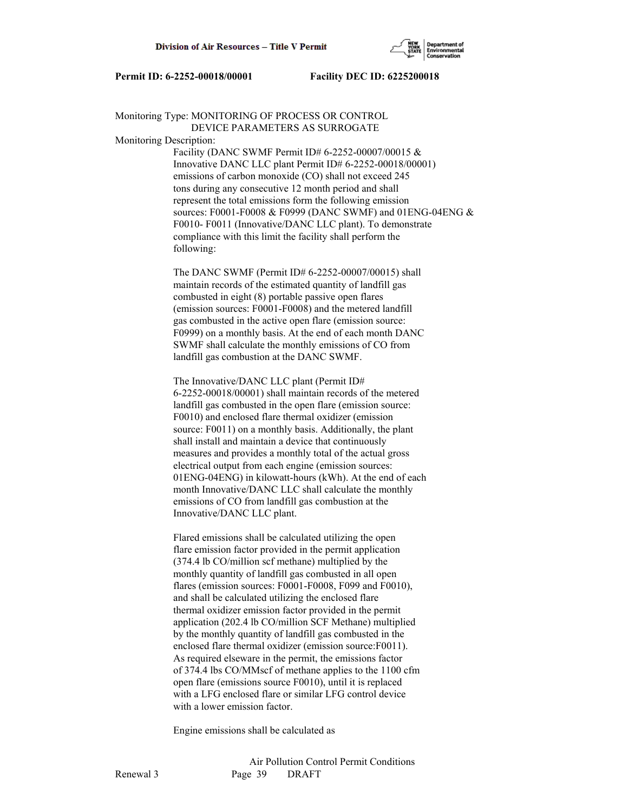

# Monitoring Type: MONITORING OF PROCESS OR CONTROL DEVICE PARAMETERS AS SURROGATE

Monitoring Description:

 Facility (DANC SWMF Permit ID# 6-2252-00007/00015 & Innovative DANC LLC plant Permit ID# 6-2252-00018/00001) emissions of carbon monoxide (CO) shall not exceed 245 tons during any consecutive 12 month period and shall represent the total emissions form the following emission sources: F0001-F0008 & F0999 (DANC SWMF) and 01ENG-04ENG & F0010- F0011 (Innovative/DANC LLC plant). To demonstrate compliance with this limit the facility shall perform the following:

 The DANC SWMF (Permit ID# 6-2252-00007/00015) shall maintain records of the estimated quantity of landfill gas combusted in eight (8) portable passive open flares (emission sources: F0001-F0008) and the metered landfill gas combusted in the active open flare (emission source: F0999) on a monthly basis. At the end of each month DANC SWMF shall calculate the monthly emissions of CO from landfill gas combustion at the DANC SWMF.

 The Innovative/DANC LLC plant (Permit ID# 6-2252-00018/00001) shall maintain records of the metered landfill gas combusted in the open flare (emission source: F0010) and enclosed flare thermal oxidizer (emission source: F0011) on a monthly basis. Additionally, the plant shall install and maintain a device that continuously measures and provides a monthly total of the actual gross electrical output from each engine (emission sources: 01ENG-04ENG) in kilowatt-hours (kWh). At the end of each month Innovative/DANC LLC shall calculate the monthly emissions of CO from landfill gas combustion at the Innovative/DANC LLC plant.

 Flared emissions shall be calculated utilizing the open flare emission factor provided in the permit application (374.4 lb CO/million scf methane) multiplied by the monthly quantity of landfill gas combusted in all open flares (emission sources: F0001-F0008, F099 and F0010), and shall be calculated utilizing the enclosed flare thermal oxidizer emission factor provided in the permit application (202.4 lb CO/million SCF Methane) multiplied by the monthly quantity of landfill gas combusted in the enclosed flare thermal oxidizer (emission source:F0011). As required elseware in the permit, the emissions factor of 374.4 lbs CO/MMscf of methane applies to the 1100 cfm open flare (emissions source F0010), until it is replaced with a LFG enclosed flare or similar LFG control device with a lower emission factor.

Engine emissions shall be calculated as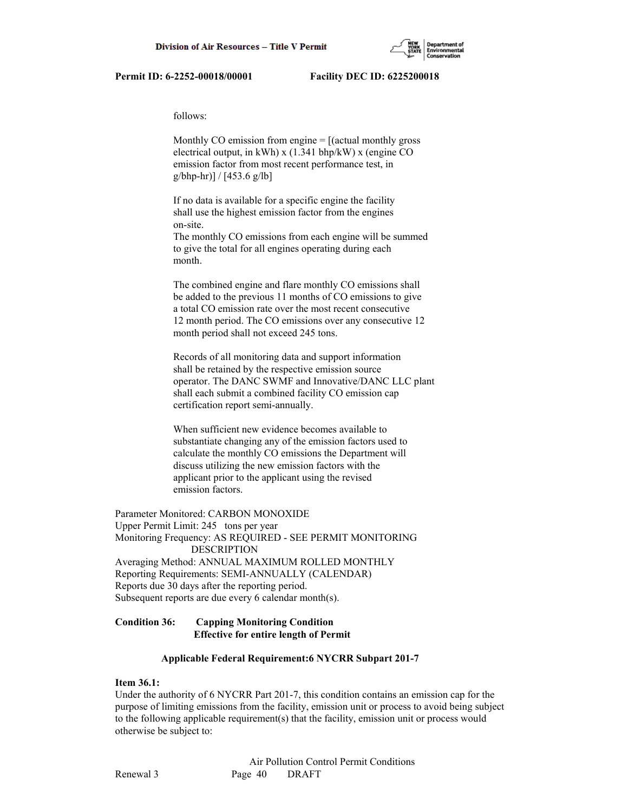

follows:

Monthly CO emission from engine  $=$  [(actual monthly gross electrical output, in kWh) x (1.341 bhp/kW) x (engine CO emission factor from most recent performance test, in g/bhp-hr)] / [453.6 g/lb]

 If no data is available for a specific engine the facility shall use the highest emission factor from the engines on-site.

 The monthly CO emissions from each engine will be summed to give the total for all engines operating during each month.

 The combined engine and flare monthly CO emissions shall be added to the previous 11 months of CO emissions to give a total CO emission rate over the most recent consecutive 12 month period. The CO emissions over any consecutive 12 month period shall not exceed 245 tons.

 Records of all monitoring data and support information shall be retained by the respective emission source operator. The DANC SWMF and Innovative/DANC LLC plant shall each submit a combined facility CO emission cap certification report semi-annually.

 When sufficient new evidence becomes available to substantiate changing any of the emission factors used to calculate the monthly CO emissions the Department will discuss utilizing the new emission factors with the applicant prior to the applicant using the revised emission factors.

Parameter Monitored: CARBON MONOXIDE Upper Permit Limit: 245 tons per year Monitoring Frequency: AS REQUIRED - SEE PERMIT MONITORING DESCRIPTION Averaging Method: ANNUAL MAXIMUM ROLLED MONTHLY Reporting Requirements: SEMI-ANNUALLY (CALENDAR) Reports due 30 days after the reporting period. Subsequent reports are due every 6 calendar month(s).

## **Condition 36: Capping Monitoring Condition Effective for entire length of Permit**

## **Applicable Federal Requirement:6 NYCRR Subpart 201-7**

# **Item 36.1:**

Under the authority of 6 NYCRR Part 201-7, this condition contains an emission cap for the purpose of limiting emissions from the facility, emission unit or process to avoid being subject to the following applicable requirement(s) that the facility, emission unit or process would otherwise be subject to: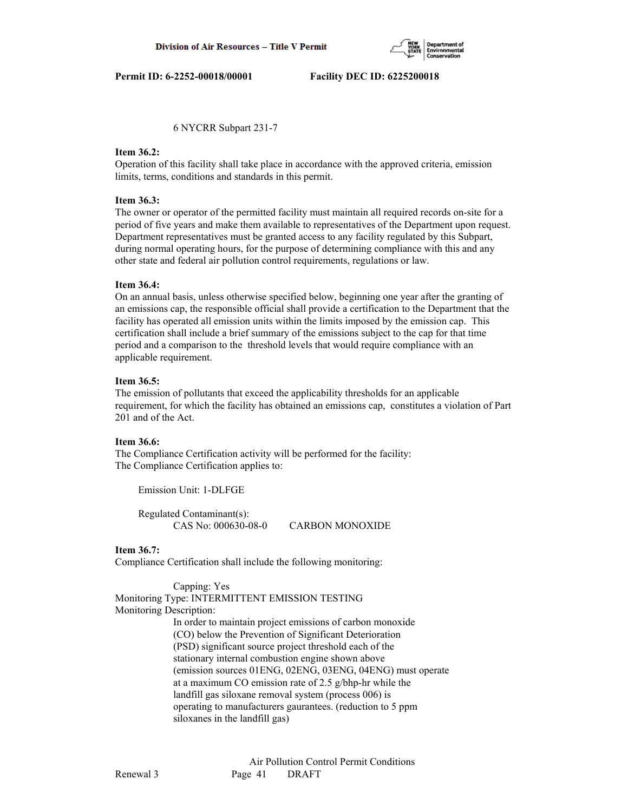

6 NYCRR Subpart 231-7

#### **Item 36.2:**

Operation of this facility shall take place in accordance with the approved criteria, emission limits, terms, conditions and standards in this permit.

## **Item 36.3:**

The owner or operator of the permitted facility must maintain all required records on-site for a period of five years and make them available to representatives of the Department upon request. Department representatives must be granted access to any facility regulated by this Subpart, during normal operating hours, for the purpose of determining compliance with this and any other state and federal air pollution control requirements, regulations or law.

## **Item 36.4:**

On an annual basis, unless otherwise specified below, beginning one year after the granting of an emissions cap, the responsible official shall provide a certification to the Department that the facility has operated all emission units within the limits imposed by the emission cap. This certification shall include a brief summary of the emissions subject to the cap for that time period and a comparison to the threshold levels that would require compliance with an applicable requirement.

## **Item 36.5:**

The emission of pollutants that exceed the applicability thresholds for an applicable requirement, for which the facility has obtained an emissions cap, constitutes a violation of Part 201 and of the Act.

## **Item 36.6:**

The Compliance Certification activity will be performed for the facility: The Compliance Certification applies to:

Emission Unit: 1-DLFGE

 Regulated Contaminant(s): CAS No: 000630-08-0 CARBON MONOXIDE

## **Item 36.7:**

Compliance Certification shall include the following monitoring:

Capping: Yes

Monitoring Type: INTERMITTENT EMISSION TESTING Monitoring Description:

> In order to maintain project emissions of carbon monoxide (CO) below the Prevention of Significant Deterioration (PSD) significant source project threshold each of the stationary internal combustion engine shown above (emission sources 01ENG, 02ENG, 03ENG, 04ENG) must operate at a maximum CO emission rate of 2.5 g/bhp-hr while the landfill gas siloxane removal system (process 006) is operating to manufacturers gaurantees. (reduction to 5 ppm siloxanes in the landfill gas)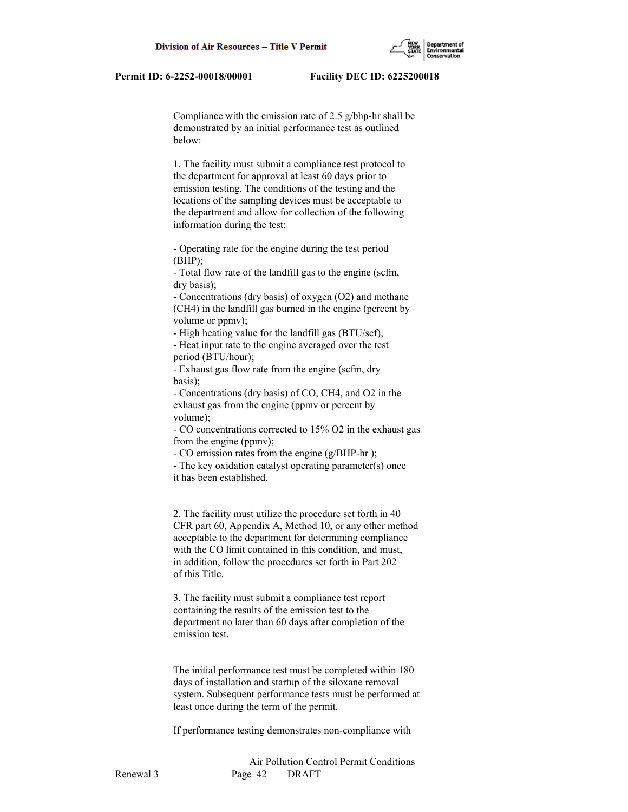Compliance with the emission rate of 2.5 g/bhp-hr shall be demonstrated by an initial performance test as outlined below:

 1. The facility must submit a compliance test protocol to the department for approval at least 60 days prior to emission testing. The conditions of the testing and the locations of the sampling devices must be acceptable to the department and allow for collection of the following information during the test:

 - Operating rate for the engine during the test period  $(BHP)$ ;

 - Total flow rate of the landfill gas to the engine (scfm, dry basis);

 - Concentrations (dry basis) of oxygen (O2) and methane (CH4) in the landfill gas burned in the engine (percent by volume or ppmv);

- High heating value for the landfill gas (BTU/scf);

 - Heat input rate to the engine averaged over the test period (BTU/hour);

 - Exhaust gas flow rate from the engine (scfm, dry basis);

 - Concentrations (dry basis) of CO, CH4, and O2 in the exhaust gas from the engine (ppmv or percent by volume);

 - CO concentrations corrected to 15% O2 in the exhaust gas from the engine (ppmv);

- CO emission rates from the engine (g/BHP-hr );

 - The key oxidation catalyst operating parameter(s) once it has been established.

 2. The facility must utilize the procedure set forth in 40 CFR part 60, Appendix A, Method 10, or any other method acceptable to the department for determining compliance with the CO limit contained in this condition, and must, in addition, follow the procedures set forth in Part 202 of this Title.

 3. The facility must submit a compliance test report containing the results of the emission test to the department no later than 60 days after completion of the emission test.

 The initial performance test must be completed within 180 days of installation and startup of the siloxane removal system. Subsequent performance tests must be performed at least once during the term of the permit.

If performance testing demonstrates non-compliance with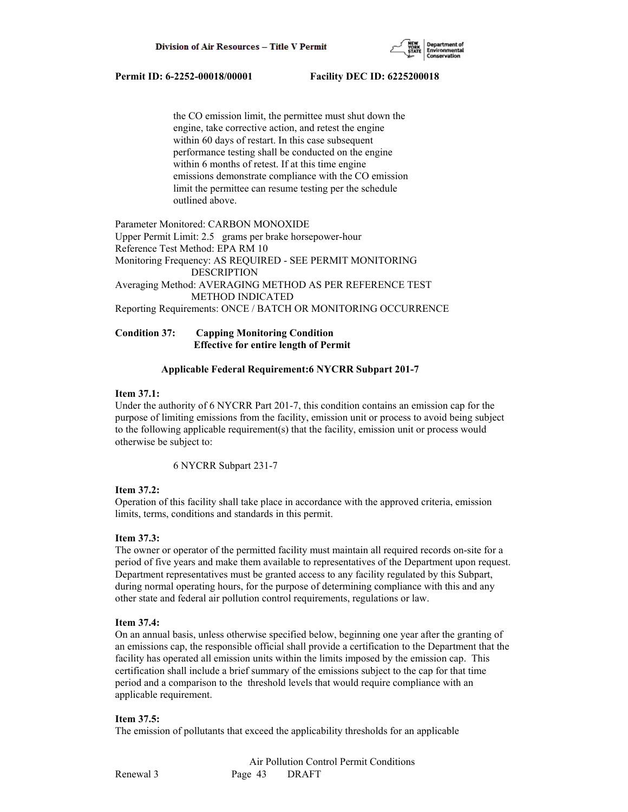

 the CO emission limit, the permittee must shut down the engine, take corrective action, and retest the engine within 60 days of restart. In this case subsequent performance testing shall be conducted on the engine within 6 months of retest. If at this time engine emissions demonstrate compliance with the CO emission limit the permittee can resume testing per the schedule outlined above.

Parameter Monitored: CARBON MONOXIDE Upper Permit Limit: 2.5 grams per brake horsepower-hour Reference Test Method: EPA RM 10 Monitoring Frequency: AS REQUIRED - SEE PERMIT MONITORING DESCRIPTION Averaging Method: AVERAGING METHOD AS PER REFERENCE TEST METHOD INDICATED Reporting Requirements: ONCE / BATCH OR MONITORING OCCURRENCE

# **Condition 37: Capping Monitoring Condition Effective for entire length of Permit**

# **Applicable Federal Requirement:6 NYCRR Subpart 201-7**

## **Item 37.1:**

Under the authority of 6 NYCRR Part 201-7, this condition contains an emission cap for the purpose of limiting emissions from the facility, emission unit or process to avoid being subject to the following applicable requirement(s) that the facility, emission unit or process would otherwise be subject to:

6 NYCRR Subpart 231-7

## **Item 37.2:**

Operation of this facility shall take place in accordance with the approved criteria, emission limits, terms, conditions and standards in this permit.

# **Item 37.3:**

The owner or operator of the permitted facility must maintain all required records on-site for a period of five years and make them available to representatives of the Department upon request. Department representatives must be granted access to any facility regulated by this Subpart, during normal operating hours, for the purpose of determining compliance with this and any other state and federal air pollution control requirements, regulations or law.

## **Item 37.4:**

On an annual basis, unless otherwise specified below, beginning one year after the granting of an emissions cap, the responsible official shall provide a certification to the Department that the facility has operated all emission units within the limits imposed by the emission cap. This certification shall include a brief summary of the emissions subject to the cap for that time period and a comparison to the threshold levels that would require compliance with an applicable requirement.

## **Item 37.5:**

The emission of pollutants that exceed the applicability thresholds for an applicable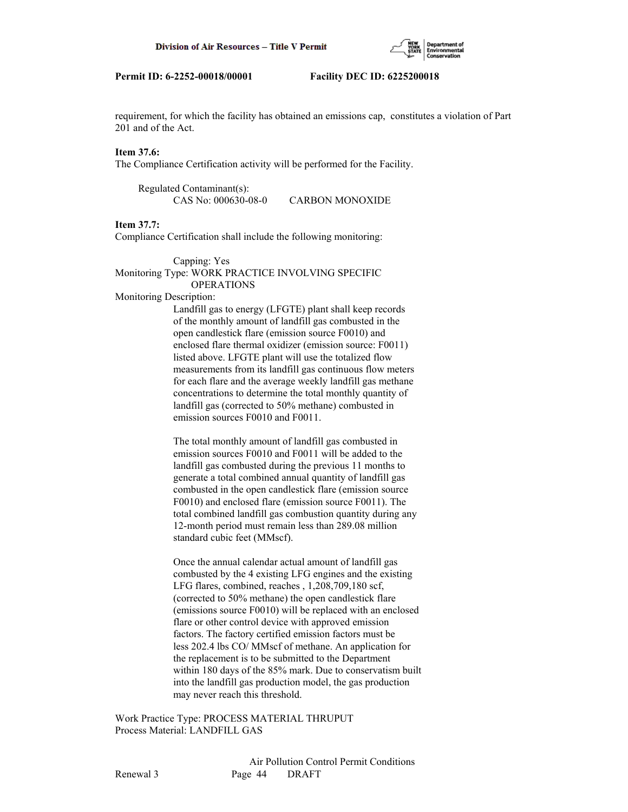

requirement, for which the facility has obtained an emissions cap, constitutes a violation of Part 201 and of the Act.

# **Item 37.6:**

The Compliance Certification activity will be performed for the Facility.

 Regulated Contaminant(s): CAS No: 000630-08-0 CARBON MONOXIDE

# **Item 37.7:**

Compliance Certification shall include the following monitoring:

#### Capping: Yes Monitoring Type: WORK PRACTICE INVOLVING SPECIFIC **OPERATIONS**

#### Monitoring Description:

 Landfill gas to energy (LFGTE) plant shall keep records of the monthly amount of landfill gas combusted in the open candlestick flare (emission source F0010) and enclosed flare thermal oxidizer (emission source: F0011) listed above. LFGTE plant will use the totalized flow measurements from its landfill gas continuous flow meters for each flare and the average weekly landfill gas methane concentrations to determine the total monthly quantity of landfill gas (corrected to 50% methane) combusted in emission sources F0010 and F0011.

 The total monthly amount of landfill gas combusted in emission sources F0010 and F0011 will be added to the landfill gas combusted during the previous 11 months to generate a total combined annual quantity of landfill gas combusted in the open candlestick flare (emission source F0010) and enclosed flare (emission source F0011). The total combined landfill gas combustion quantity during any 12-month period must remain less than 289.08 million standard cubic feet (MMscf).

 Once the annual calendar actual amount of landfill gas combusted by the 4 existing LFG engines and the existing LFG flares, combined, reaches , 1,208,709,180 scf, (corrected to 50% methane) the open candlestick flare (emissions source F0010) will be replaced with an enclosed flare or other control device with approved emission factors. The factory certified emission factors must be less 202.4 lbs CO/ MMscf of methane. An application for the replacement is to be submitted to the Department within 180 days of the 85% mark. Due to conservatism built into the landfill gas production model, the gas production may never reach this threshold.

Work Practice Type: PROCESS MATERIAL THRUPUT Process Material: LANDFILL GAS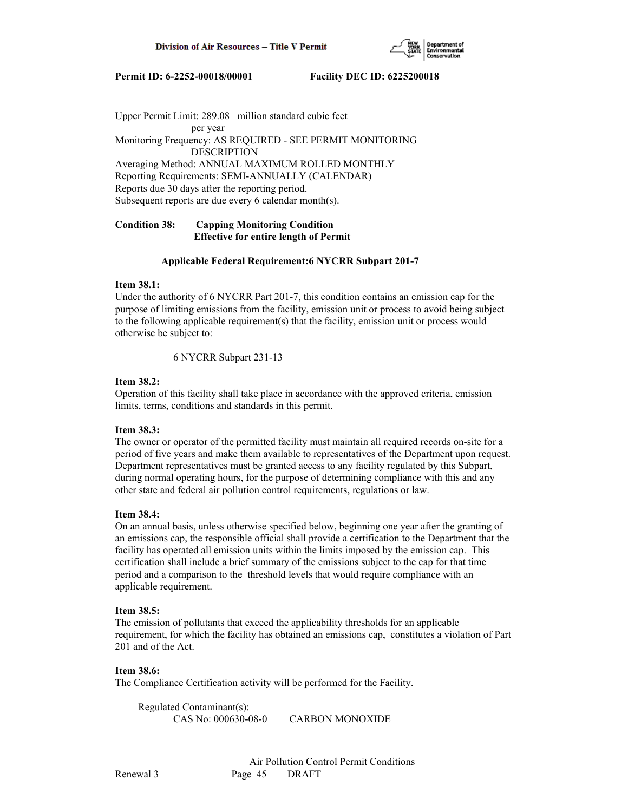

Upper Permit Limit: 289.08 million standard cubic feet per year Monitoring Frequency: AS REQUIRED - SEE PERMIT MONITORING DESCRIPTION Averaging Method: ANNUAL MAXIMUM ROLLED MONTHLY Reporting Requirements: SEMI-ANNUALLY (CALENDAR) Reports due 30 days after the reporting period. Subsequent reports are due every 6 calendar month(s).

# **Condition 38: Capping Monitoring Condition Effective for entire length of Permit**

## **Applicable Federal Requirement:6 NYCRR Subpart 201-7**

## **Item 38.1:**

Under the authority of 6 NYCRR Part 201-7, this condition contains an emission cap for the purpose of limiting emissions from the facility, emission unit or process to avoid being subject to the following applicable requirement(s) that the facility, emission unit or process would otherwise be subject to:

6 NYCRR Subpart 231-13

## **Item 38.2:**

Operation of this facility shall take place in accordance with the approved criteria, emission limits, terms, conditions and standards in this permit.

# **Item 38.3:**

The owner or operator of the permitted facility must maintain all required records on-site for a period of five years and make them available to representatives of the Department upon request. Department representatives must be granted access to any facility regulated by this Subpart, during normal operating hours, for the purpose of determining compliance with this and any other state and federal air pollution control requirements, regulations or law.

## **Item 38.4:**

On an annual basis, unless otherwise specified below, beginning one year after the granting of an emissions cap, the responsible official shall provide a certification to the Department that the facility has operated all emission units within the limits imposed by the emission cap. This certification shall include a brief summary of the emissions subject to the cap for that time period and a comparison to the threshold levels that would require compliance with an applicable requirement.

## **Item 38.5:**

The emission of pollutants that exceed the applicability thresholds for an applicable requirement, for which the facility has obtained an emissions cap, constitutes a violation of Part 201 and of the Act.

## **Item 38.6:**

The Compliance Certification activity will be performed for the Facility.

 Regulated Contaminant(s): CAS No: 000630-08-0 CARBON MONOXIDE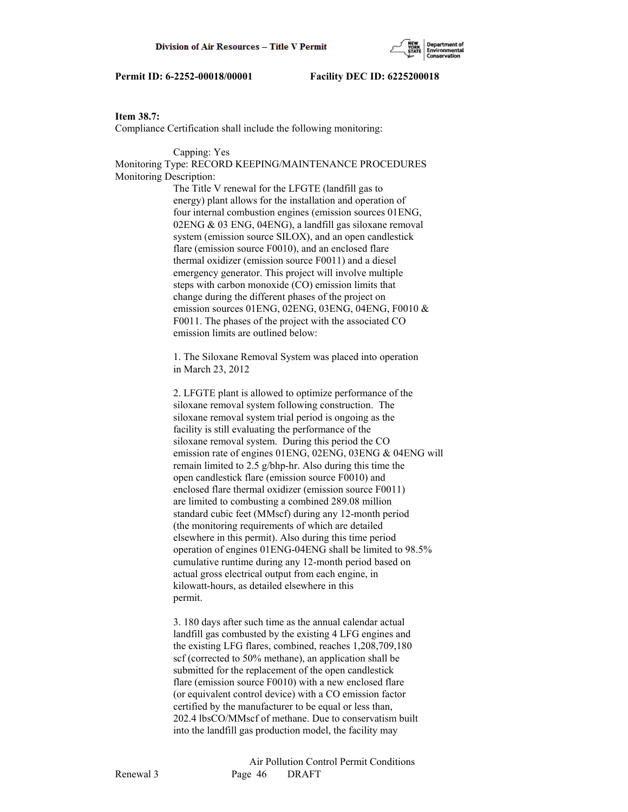## **Item 38.7:**

Compliance Certification shall include the following monitoring:

### Capping: Yes

Monitoring Type: RECORD KEEPING/MAINTENANCE PROCEDURES Monitoring Description:

> The Title V renewal for the LFGTE (landfill gas to energy) plant allows for the installation and operation of four internal combustion engines (emission sources 01ENG, 02ENG & 03 ENG, 04ENG), a landfill gas siloxane removal system (emission source SILOX), and an open candlestick flare (emission source F0010), and an enclosed flare thermal oxidizer (emission source F0011) and a diesel emergency generator. This project will involve multiple steps with carbon monoxide (CO) emission limits that change during the different phases of the project on emission sources 01ENG, 02ENG, 03ENG, 04ENG, F0010 & F0011. The phases of the project with the associated CO emission limits are outlined below:

 1. The Siloxane Removal System was placed into operation in March 23, 2012

 2. LFGTE plant is allowed to optimize performance of the siloxane removal system following construction. The siloxane removal system trial period is ongoing as the facility is still evaluating the performance of the siloxane removal system. During this period the CO emission rate of engines 01ENG, 02ENG, 03ENG & 04ENG will remain limited to 2.5 g/bhp-hr. Also during this time the open candlestick flare (emission source F0010) and enclosed flare thermal oxidizer (emission source F0011) are limited to combusting a combined 289.08 million standard cubic feet (MMscf) during any 12-month period (the monitoring requirements of which are detailed elsewhere in this permit). Also during this time period operation of engines 01ENG-04ENG shall be limited to 98.5% cumulative runtime during any 12-month period based on actual gross electrical output from each engine, in kilowatt-hours, as detailed elsewhere in this permit.

 3. 180 days after such time as the annual calendar actual landfill gas combusted by the existing 4 LFG engines and the existing LFG flares, combined, reaches 1,208,709,180 scf (corrected to 50% methane), an application shall be submitted for the replacement of the open candlestick flare (emission source F0010) with a new enclosed flare (or equivalent control device) with a CO emission factor certified by the manufacturer to be equal or less than, 202.4 lbsCO/MMscf of methane. Due to conservatism built into the landfill gas production model, the facility may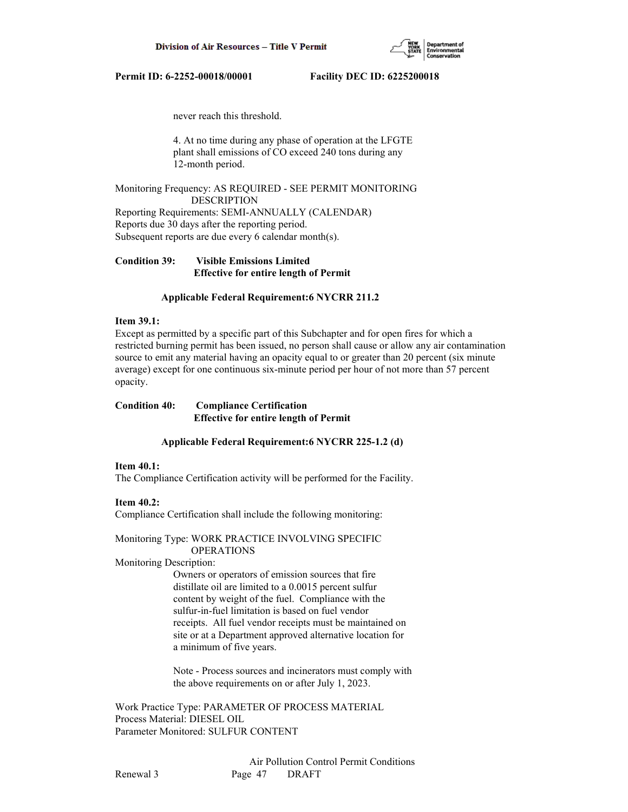

never reach this threshold.

 4. At no time during any phase of operation at the LFGTE plant shall emissions of CO exceed 240 tons during any 12-month period.

Monitoring Frequency: AS REQUIRED - SEE PERMIT MONITORING DESCRIPTION Reporting Requirements: SEMI-ANNUALLY (CALENDAR)

Reports due 30 days after the reporting period. Subsequent reports are due every 6 calendar month(s).

**Condition 39: Visible Emissions Limited Effective for entire length of Permit**

#### **Applicable Federal Requirement:6 NYCRR 211.2**

#### **Item 39.1:**

Except as permitted by a specific part of this Subchapter and for open fires for which a restricted burning permit has been issued, no person shall cause or allow any air contamination source to emit any material having an opacity equal to or greater than 20 percent (six minute average) except for one continuous six-minute period per hour of not more than 57 percent opacity.

## **Condition 40: Compliance Certification Effective for entire length of Permit**

#### **Applicable Federal Requirement:6 NYCRR 225-1.2 (d)**

# **Item 40.1:**

The Compliance Certification activity will be performed for the Facility.

#### **Item 40.2:**

Compliance Certification shall include the following monitoring:

#### Monitoring Type: WORK PRACTICE INVOLVING SPECIFIC OPERATIONS

### Monitoring Description:

 Owners or operators of emission sources that fire distillate oil are limited to a 0.0015 percent sulfur content by weight of the fuel. Compliance with the sulfur-in-fuel limitation is based on fuel vendor receipts. All fuel vendor receipts must be maintained on site or at a Department approved alternative location for a minimum of five years.

 Note - Process sources and incinerators must comply with the above requirements on or after July 1, 2023.

Work Practice Type: PARAMETER OF PROCESS MATERIAL Process Material: DIESEL OIL Parameter Monitored: SULFUR CONTENT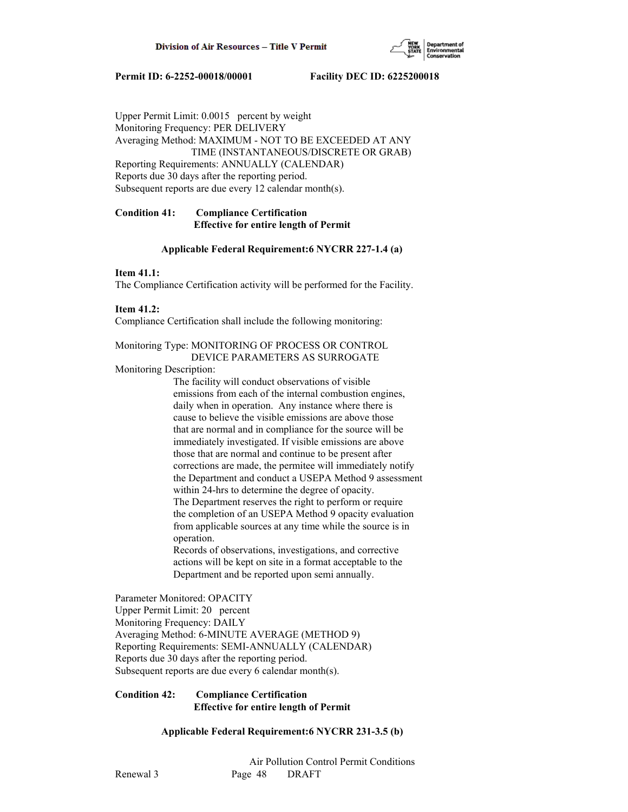

Upper Permit Limit: 0.0015 percent by weight Monitoring Frequency: PER DELIVERY Averaging Method: MAXIMUM - NOT TO BE EXCEEDED AT ANY TIME (INSTANTANEOUS/DISCRETE OR GRAB) Reporting Requirements: ANNUALLY (CALENDAR) Reports due 30 days after the reporting period. Subsequent reports are due every 12 calendar month(s).

# **Condition 41: Compliance Certification Effective for entire length of Permit**

## **Applicable Federal Requirement:6 NYCRR 227-1.4 (a)**

## **Item 41.1:**

The Compliance Certification activity will be performed for the Facility.

## **Item 41.2:**

Compliance Certification shall include the following monitoring:

### Monitoring Type: MONITORING OF PROCESS OR CONTROL DEVICE PARAMETERS AS SURROGATE

## Monitoring Description:

 The facility will conduct observations of visible emissions from each of the internal combustion engines, daily when in operation. Any instance where there is cause to believe the visible emissions are above those that are normal and in compliance for the source will be immediately investigated. If visible emissions are above those that are normal and continue to be present after corrections are made, the permitee will immediately notify the Department and conduct a USEPA Method 9 assessment within 24-hrs to determine the degree of opacity. The Department reserves the right to perform or require the completion of an USEPA Method 9 opacity evaluation from applicable sources at any time while the source is in operation.

 Records of observations, investigations, and corrective actions will be kept on site in a format acceptable to the Department and be reported upon semi annually.

Parameter Monitored: OPACITY Upper Permit Limit: 20 percent Monitoring Frequency: DAILY Averaging Method: 6-MINUTE AVERAGE (METHOD 9) Reporting Requirements: SEMI-ANNUALLY (CALENDAR) Reports due 30 days after the reporting period. Subsequent reports are due every 6 calendar month(s).

## **Condition 42: Compliance Certification Effective for entire length of Permit**

# **Applicable Federal Requirement:6 NYCRR 231-3.5 (b)**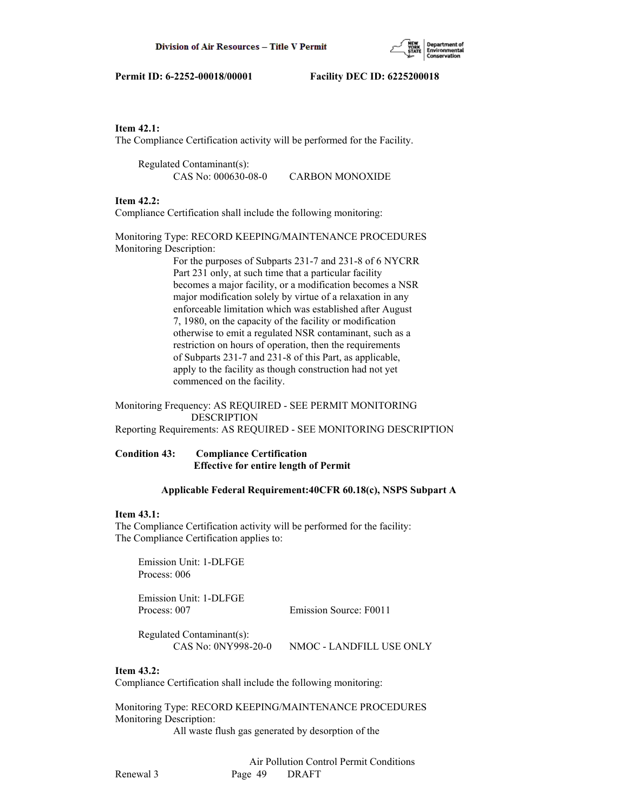

## **Item 42.1:**

The Compliance Certification activity will be performed for the Facility.

 Regulated Contaminant(s): CAS No: 000630-08-0 CARBON MONOXIDE

### **Item 42.2:**

Compliance Certification shall include the following monitoring:

Monitoring Type: RECORD KEEPING/MAINTENANCE PROCEDURES Monitoring Description:

> For the purposes of Subparts 231-7 and 231-8 of 6 NYCRR Part 231 only, at such time that a particular facility becomes a major facility, or a modification becomes a NSR major modification solely by virtue of a relaxation in any enforceable limitation which was established after August 7, 1980, on the capacity of the facility or modification otherwise to emit a regulated NSR contaminant, such as a restriction on hours of operation, then the requirements of Subparts 231-7 and 231-8 of this Part, as applicable, apply to the facility as though construction had not yet commenced on the facility.

## Monitoring Frequency: AS REQUIRED - SEE PERMIT MONITORING DESCRIPTION

Reporting Requirements: AS REQUIRED - SEE MONITORING DESCRIPTION

## **Condition 43: Compliance Certification Effective for entire length of Permit**

#### **Applicable Federal Requirement:40CFR 60.18(c), NSPS Subpart A**

#### **Item 43.1:**

The Compliance Certification activity will be performed for the facility: The Compliance Certification applies to:

 Emission Unit: 1-DLFGE Process: 006

 Emission Unit: 1-DLFGE Process: 007 Emission Source: F0011

 Regulated Contaminant(s): CAS No: 0NY998-20-0 NMOC - LANDFILL USE ONLY

#### **Item 43.2:**

Compliance Certification shall include the following monitoring:

Monitoring Type: RECORD KEEPING/MAINTENANCE PROCEDURES Monitoring Description:

All waste flush gas generated by desorption of the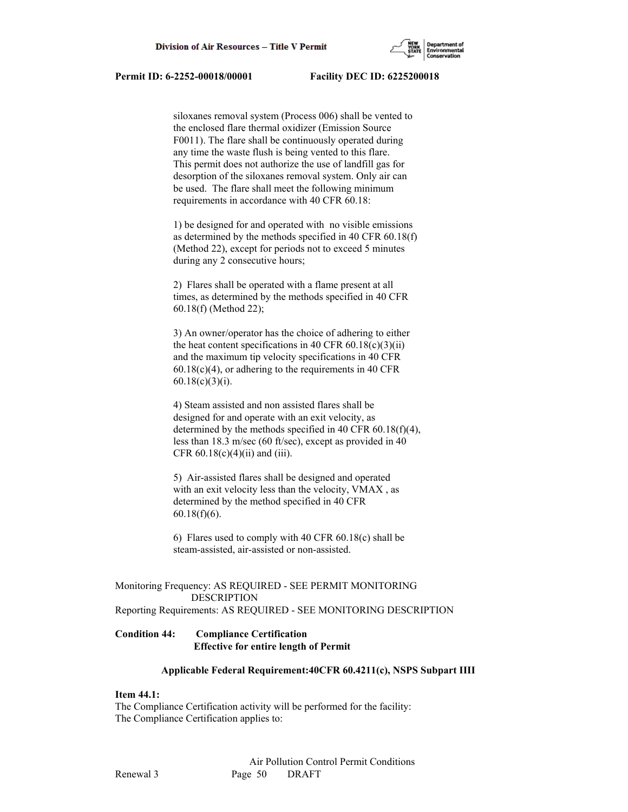

 siloxanes removal system (Process 006) shall be vented to the enclosed flare thermal oxidizer (Emission Source F0011). The flare shall be continuously operated during any time the waste flush is being vented to this flare. This permit does not authorize the use of landfill gas for desorption of the siloxanes removal system. Only air can be used. The flare shall meet the following minimum requirements in accordance with 40 CFR 60.18:

 1) be designed for and operated with no visible emissions as determined by the methods specified in 40 CFR 60.18(f) (Method 22), except for periods not to exceed 5 minutes during any 2 consecutive hours;

 2) Flares shall be operated with a flame present at all times, as determined by the methods specified in 40 CFR 60.18(f) (Method 22);

 3) An owner/operator has the choice of adhering to either the heat content specifications in 40 CFR  $60.18(c)(3)(ii)$  and the maximum tip velocity specifications in 40 CFR  $60.18(c)(4)$ , or adhering to the requirements in 40 CFR 60.18(c)(3)(i).

 4) Steam assisted and non assisted flares shall be designed for and operate with an exit velocity, as determined by the methods specified in 40 CFR 60.18(f)(4), less than 18.3 m/sec (60 ft/sec), except as provided in 40 CFR  $60.18(c)(4)(ii)$  and (iii).

 5) Air-assisted flares shall be designed and operated with an exit velocity less than the velocity, VMAX , as determined by the method specified in 40 CFR 60.18(f)(6).

 6) Flares used to comply with 40 CFR 60.18(c) shall be steam-assisted, air-assisted or non-assisted.

## Monitoring Frequency: AS REQUIRED - SEE PERMIT MONITORING DESCRIPTION Reporting Requirements: AS REQUIRED - SEE MONITORING DESCRIPTION

# **Condition 44: Compliance Certification Effective for entire length of Permit**

#### **Applicable Federal Requirement:40CFR 60.4211(c), NSPS Subpart IIII**

#### **Item 44.1:**

The Compliance Certification activity will be performed for the facility: The Compliance Certification applies to: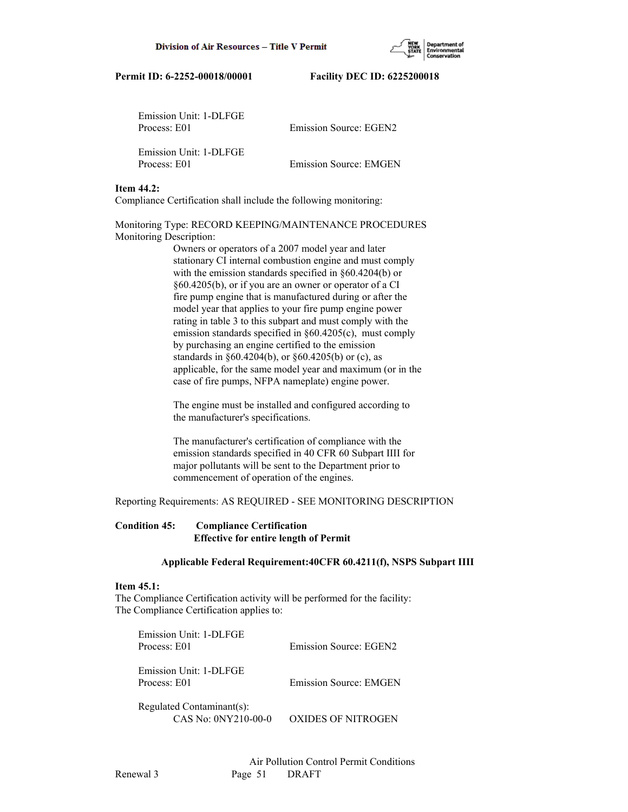| Emission Unit: 1-DLFGE<br>Process: E01 | Emission Source: EGEN2        |
|----------------------------------------|-------------------------------|
| Emission Unit: 1-DLFGE<br>Process: E01 | <b>Emission Source: EMGEN</b> |

## **Item 44.2:**

Compliance Certification shall include the following monitoring:

Monitoring Type: RECORD KEEPING/MAINTENANCE PROCEDURES Monitoring Description:

> Owners or operators of a 2007 model year and later stationary CI internal combustion engine and must comply with the emission standards specified in §60.4204(b) or §60.4205(b), or if you are an owner or operator of a CI fire pump engine that is manufactured during or after the model year that applies to your fire pump engine power rating in table 3 to this subpart and must comply with the emission standards specified in §60.4205(c), must comply by purchasing an engine certified to the emission standards in §60.4204(b), or §60.4205(b) or (c), as applicable, for the same model year and maximum (or in the case of fire pumps, NFPA nameplate) engine power.

 The engine must be installed and configured according to the manufacturer's specifications.

 The manufacturer's certification of compliance with the emission standards specified in 40 CFR 60 Subpart IIII for major pollutants will be sent to the Department prior to commencement of operation of the engines.

Reporting Requirements: AS REQUIRED - SEE MONITORING DESCRIPTION

# **Condition 45: Compliance Certification Effective for entire length of Permit**

## **Applicable Federal Requirement:40CFR 60.4211(f), NSPS Subpart IIII**

# **Item 45.1:**

The Compliance Certification activity will be performed for the facility: The Compliance Certification applies to:

| Emission Unit: 1-DLFGE<br>Process: E01           | Emission Source: EGEN2        |
|--------------------------------------------------|-------------------------------|
| Emission Unit: 1-DLFGE<br>Process: E01           | <b>Emission Source: EMGEN</b> |
| Regulated Contaminant(s):<br>CAS No: 0NY210-00-0 | OXIDES OF NITROGEN            |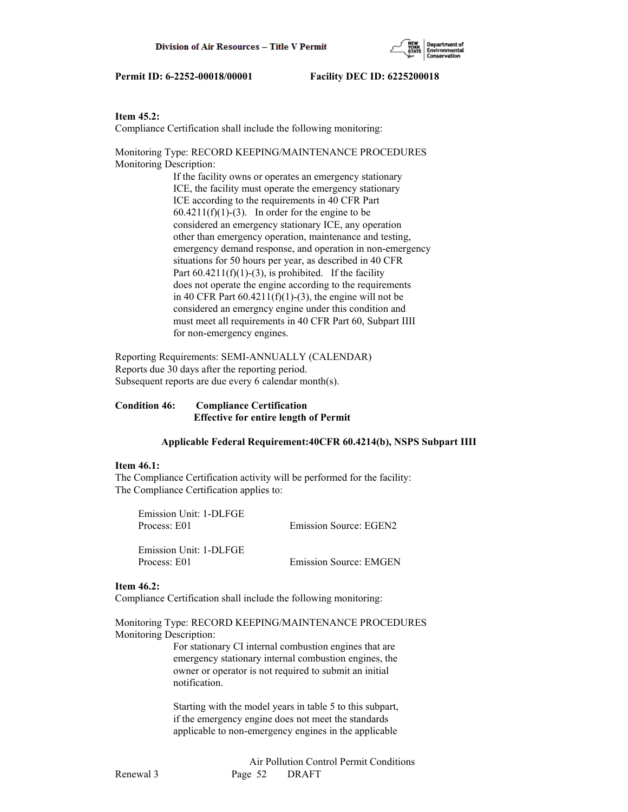## **Item 45.2:**

Compliance Certification shall include the following monitoring:

Monitoring Type: RECORD KEEPING/MAINTENANCE PROCEDURES Monitoring Description:

> If the facility owns or operates an emergency stationary ICE, the facility must operate the emergency stationary ICE according to the requirements in 40 CFR Part  $60.4211(f)(1)-(3)$ . In order for the engine to be considered an emergency stationary ICE, any operation other than emergency operation, maintenance and testing, emergency demand response, and operation in non-emergency situations for 50 hours per year, as described in 40 CFR Part  $60.4211(f)(1)-(3)$ , is prohibited. If the facility does not operate the engine according to the requirements in 40 CFR Part  $60.4211(f)(1)-(3)$ , the engine will not be considered an emergncy engine under this condition and must meet all requirements in 40 CFR Part 60, Subpart IIII for non-emergency engines.

Reporting Requirements: SEMI-ANNUALLY (CALENDAR) Reports due 30 days after the reporting period. Subsequent reports are due every 6 calendar month(s).

## **Condition 46: Compliance Certification Effective for entire length of Permit**

## **Applicable Federal Requirement:40CFR 60.4214(b), NSPS Subpart IIII**

#### **Item 46.1:**

The Compliance Certification activity will be performed for the facility: The Compliance Certification applies to:

 Emission Unit: 1-DLFGE Process: E01 Emission Source: EGEN2 Emission Unit: 1-DLFGE

Process: E01 Emission Source: EMGEN

#### **Item 46.2:**

Compliance Certification shall include the following monitoring:

Monitoring Type: RECORD KEEPING/MAINTENANCE PROCEDURES Monitoring Description:

> For stationary CI internal combustion engines that are emergency stationary internal combustion engines, the owner or operator is not required to submit an initial notification.

> Starting with the model years in table 5 to this subpart, if the emergency engine does not meet the standards applicable to non-emergency engines in the applicable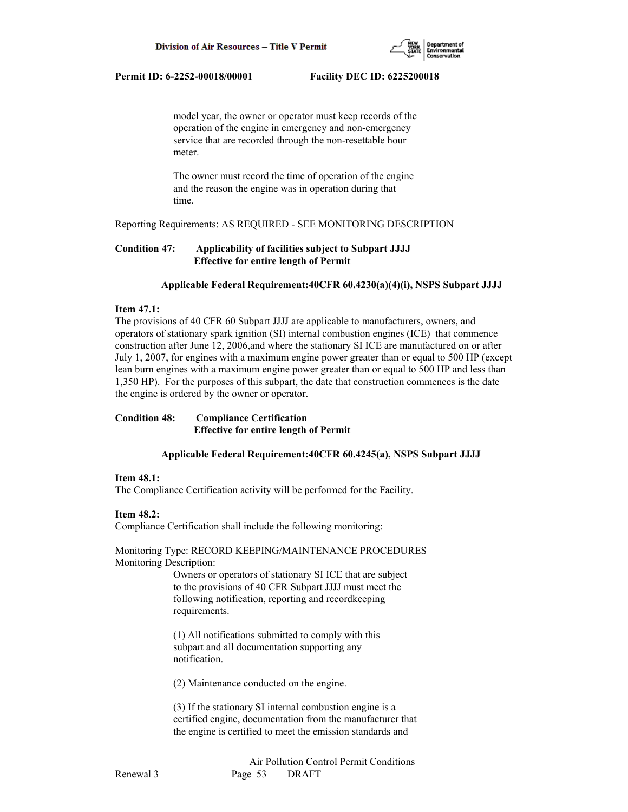

 model year, the owner or operator must keep records of the operation of the engine in emergency and non-emergency service that are recorded through the non-resettable hour meter.

 The owner must record the time of operation of the engine and the reason the engine was in operation during that time.

Reporting Requirements: AS REQUIRED - SEE MONITORING DESCRIPTION

## **Condition 47: Applicability of facilities subject to Subpart JJJJ Effective for entire length of Permit**

#### **Applicable Federal Requirement:40CFR 60.4230(a)(4)(i), NSPS Subpart JJJJ**

## **Item 47.1:**

The provisions of 40 CFR 60 Subpart JJJJ are applicable to manufacturers, owners, and operators of stationary spark ignition (SI) internal combustion engines (ICE) that commence construction after June 12, 2006,and where the stationary SI ICE are manufactured on or after July 1, 2007, for engines with a maximum engine power greater than or equal to 500 HP (except lean burn engines with a maximum engine power greater than or equal to 500 HP and less than 1,350 HP). For the purposes of this subpart, the date that construction commences is the date the engine is ordered by the owner or operator.

# **Condition 48: Compliance Certification Effective for entire length of Permit**

## **Applicable Federal Requirement:40CFR 60.4245(a), NSPS Subpart JJJJ**

#### **Item 48.1:**

The Compliance Certification activity will be performed for the Facility.

#### **Item 48.2:**

Compliance Certification shall include the following monitoring:

Monitoring Type: RECORD KEEPING/MAINTENANCE PROCEDURES Monitoring Description:

> Owners or operators of stationary SI ICE that are subject to the provisions of 40 CFR Subpart JJJJ must meet the following notification, reporting and recordkeeping requirements.

 (1) All notifications submitted to comply with this subpart and all documentation supporting any notification.

(2) Maintenance conducted on the engine.

 (3) If the stationary SI internal combustion engine is a certified engine, documentation from the manufacturer that the engine is certified to meet the emission standards and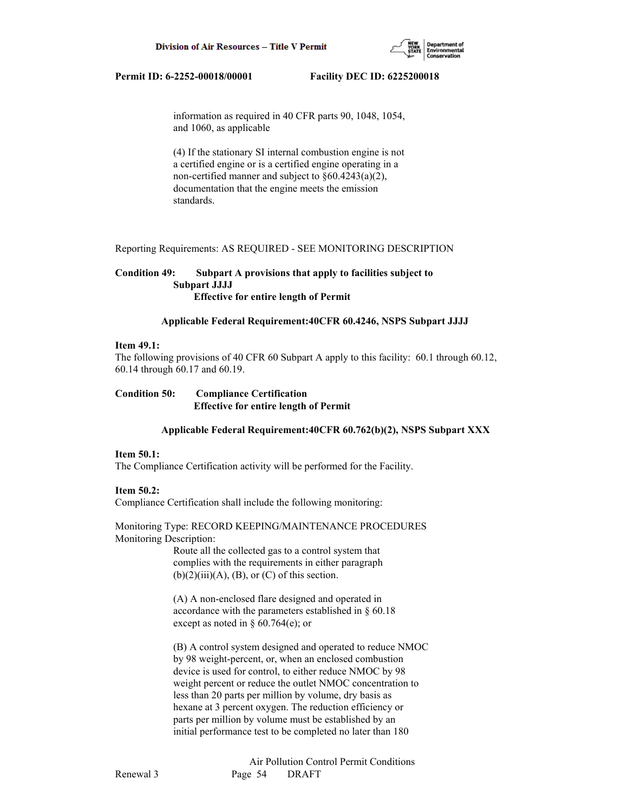

 information as required in 40 CFR parts 90, 1048, 1054, and 1060, as applicable

 (4) If the stationary SI internal combustion engine is not a certified engine or is a certified engine operating in a non-certified manner and subject to §60.4243(a)(2), documentation that the engine meets the emission standards.

Reporting Requirements: AS REQUIRED - SEE MONITORING DESCRIPTION

## **Condition 49: Subpart A provisions that apply to facilities subject to Subpart JJJJ Effective for entire length of Permit**

#### **Applicable Federal Requirement:40CFR 60.4246, NSPS Subpart JJJJ**

#### **Item 49.1:**

The following provisions of 40 CFR 60 Subpart A apply to this facility: 60.1 through 60.12, 60.14 through 60.17 and 60.19.

| <b>Condition 50:</b> | <b>Compliance Certification</b>              |
|----------------------|----------------------------------------------|
|                      | <b>Effective for entire length of Permit</b> |

#### **Applicable Federal Requirement:40CFR 60.762(b)(2), NSPS Subpart XXX**

#### **Item 50.1:**

The Compliance Certification activity will be performed for the Facility.

#### **Item 50.2:**

Compliance Certification shall include the following monitoring:

Monitoring Type: RECORD KEEPING/MAINTENANCE PROCEDURES Monitoring Description:

> Route all the collected gas to a control system that complies with the requirements in either paragraph  $(b)(2)(iii)(A), (B), or (C)$  of this section.

 (A) A non-enclosed flare designed and operated in accordance with the parameters established in § 60.18 except as noted in § 60.764(e); or

 (B) A control system designed and operated to reduce NMOC by 98 weight-percent, or, when an enclosed combustion device is used for control, to either reduce NMOC by 98 weight percent or reduce the outlet NMOC concentration to less than 20 parts per million by volume, dry basis as hexane at 3 percent oxygen. The reduction efficiency or parts per million by volume must be established by an initial performance test to be completed no later than 180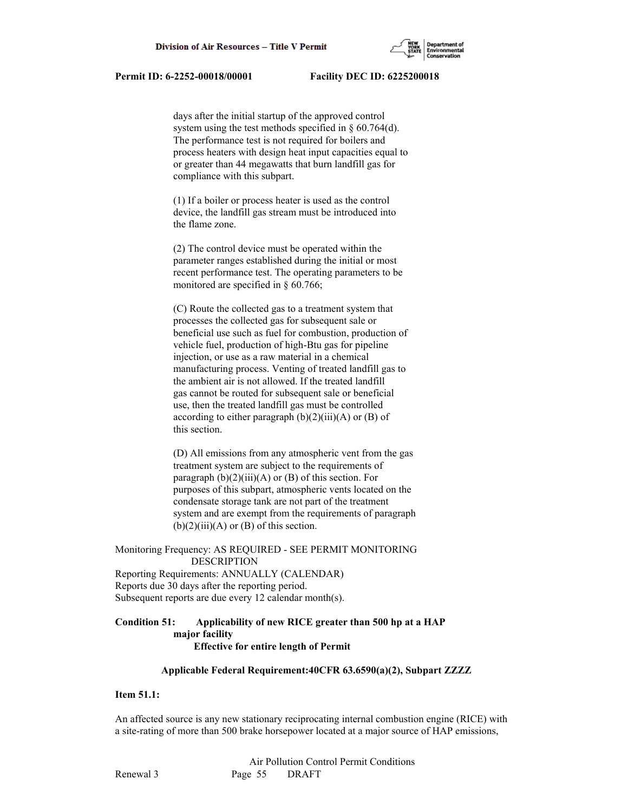days after the initial startup of the approved control system using the test methods specified in § 60.764(d). The performance test is not required for boilers and process heaters with design heat input capacities equal to or greater than 44 megawatts that burn landfill gas for compliance with this subpart.

 (1) If a boiler or process heater is used as the control device, the landfill gas stream must be introduced into the flame zone.

 (2) The control device must be operated within the parameter ranges established during the initial or most recent performance test. The operating parameters to be monitored are specified in § 60.766;

 (C) Route the collected gas to a treatment system that processes the collected gas for subsequent sale or beneficial use such as fuel for combustion, production of vehicle fuel, production of high-Btu gas for pipeline injection, or use as a raw material in a chemical manufacturing process. Venting of treated landfill gas to the ambient air is not allowed. If the treated landfill gas cannot be routed for subsequent sale or beneficial use, then the treated landfill gas must be controlled according to either paragraph  $(b)(2)(iii)(A)$  or  $(B)$  of this section.

 (D) All emissions from any atmospheric vent from the gas treatment system are subject to the requirements of paragraph  $(b)(2)(iii)(A)$  or  $(B)$  of this section. For purposes of this subpart, atmospheric vents located on the condensate storage tank are not part of the treatment system and are exempt from the requirements of paragraph  $(b)(2)(iii)(A)$  or  $(B)$  of this section.

Monitoring Frequency: AS REQUIRED - SEE PERMIT MONITORING DESCRIPTION

Reporting Requirements: ANNUALLY (CALENDAR) Reports due 30 days after the reporting period. Subsequent reports are due every 12 calendar month(s).

## **Condition 51: Applicability of new RICE greater than 500 hp at a HAP major facility Effective for entire length of Permit**

## **Applicable Federal Requirement:40CFR 63.6590(a)(2), Subpart ZZZZ**

# **Item 51.1:**

An affected source is any new stationary reciprocating internal combustion engine (RICE) with a site-rating of more than 500 brake horsepower located at a major source of HAP emissions,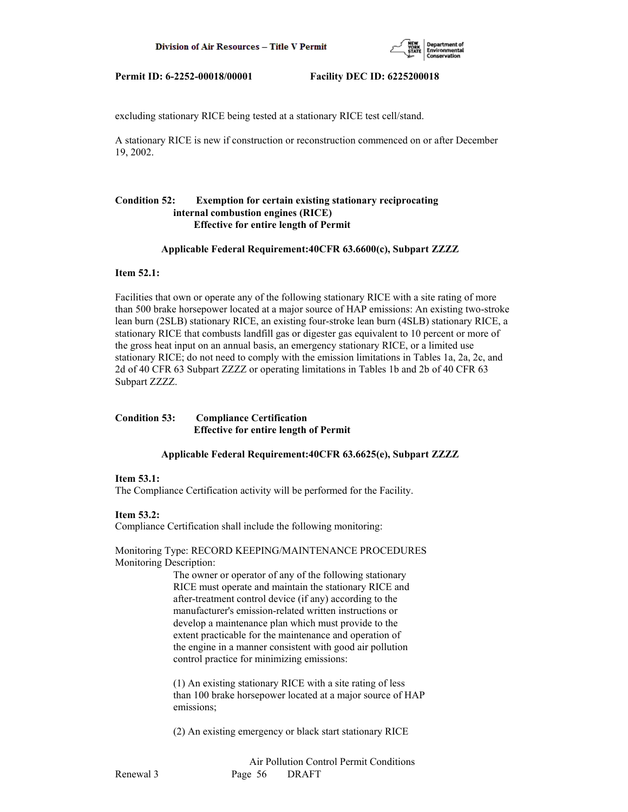

excluding stationary RICE being tested at a stationary RICE test cell/stand.

A stationary RICE is new if construction or reconstruction commenced on or after December 19, 2002.

# **Condition 52: Exemption for certain existing stationary reciprocating internal combustion engines (RICE) Effective for entire length of Permit**

#### **Applicable Federal Requirement:40CFR 63.6600(c), Subpart ZZZZ**

#### **Item 52.1:**

Facilities that own or operate any of the following stationary RICE with a site rating of more than 500 brake horsepower located at a major source of HAP emissions: An existing two-stroke lean burn (2SLB) stationary RICE, an existing four-stroke lean burn (4SLB) stationary RICE, a stationary RICE that combusts landfill gas or digester gas equivalent to 10 percent or more of the gross heat input on an annual basis, an emergency stationary RICE, or a limited use stationary RICE; do not need to comply with the emission limitations in Tables 1a, 2a, 2c, and 2d of 40 CFR 63 Subpart ZZZZ or operating limitations in Tables 1b and 2b of 40 CFR 63 Subpart ZZZZ.

# **Condition 53: Compliance Certification Effective for entire length of Permit**

#### **Applicable Federal Requirement:40CFR 63.6625(e), Subpart ZZZZ**

#### **Item 53.1:**

The Compliance Certification activity will be performed for the Facility.

#### **Item 53.2:**

Compliance Certification shall include the following monitoring:

Monitoring Type: RECORD KEEPING/MAINTENANCE PROCEDURES Monitoring Description:

> The owner or operator of any of the following stationary RICE must operate and maintain the stationary RICE and after-treatment control device (if any) according to the manufacturer's emission-related written instructions or develop a maintenance plan which must provide to the extent practicable for the maintenance and operation of the engine in a manner consistent with good air pollution control practice for minimizing emissions:

 (1) An existing stationary RICE with a site rating of less than 100 brake horsepower located at a major source of HAP emissions;

(2) An existing emergency or black start stationary RICE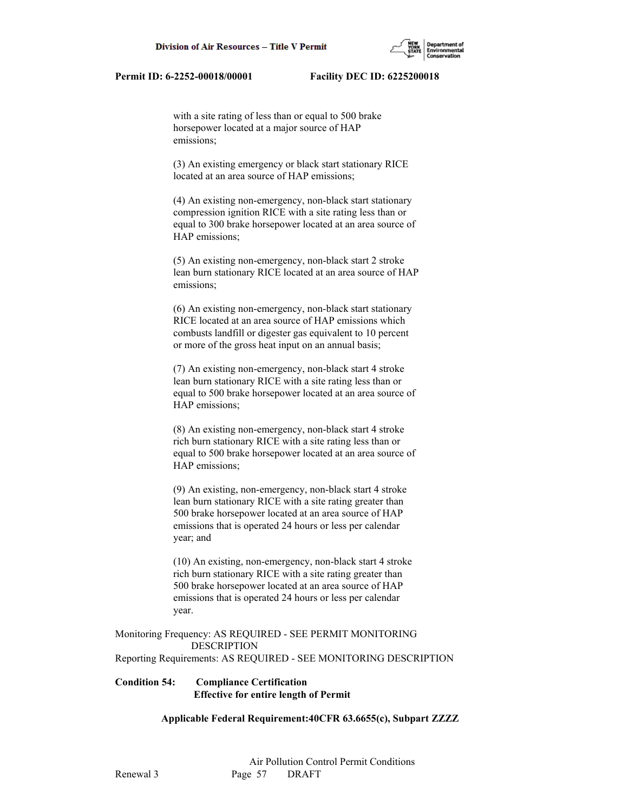with a site rating of less than or equal to 500 brake horsepower located at a major source of HAP emissions;

 (3) An existing emergency or black start stationary RICE located at an area source of HAP emissions;

 (4) An existing non-emergency, non-black start stationary compression ignition RICE with a site rating less than or equal to 300 brake horsepower located at an area source of HAP emissions;

 (5) An existing non-emergency, non-black start 2 stroke lean burn stationary RICE located at an area source of HAP emissions;

 (6) An existing non-emergency, non-black start stationary RICE located at an area source of HAP emissions which combusts landfill or digester gas equivalent to 10 percent or more of the gross heat input on an annual basis;

 (7) An existing non-emergency, non-black start 4 stroke lean burn stationary RICE with a site rating less than or equal to 500 brake horsepower located at an area source of HAP emissions;

 (8) An existing non-emergency, non-black start 4 stroke rich burn stationary RICE with a site rating less than or equal to 500 brake horsepower located at an area source of HAP emissions;

 (9) An existing, non-emergency, non-black start 4 stroke lean burn stationary RICE with a site rating greater than 500 brake horsepower located at an area source of HAP emissions that is operated 24 hours or less per calendar year; and

 (10) An existing, non-emergency, non-black start 4 stroke rich burn stationary RICE with a site rating greater than 500 brake horsepower located at an area source of HAP emissions that is operated 24 hours or less per calendar year.

Monitoring Frequency: AS REQUIRED - SEE PERMIT MONITORING DESCRIPTION Reporting Requirements: AS REQUIRED - SEE MONITORING DESCRIPTION

# **Condition 54: Compliance Certification Effective for entire length of Permit**

 **Applicable Federal Requirement:40CFR 63.6655(c), Subpart ZZZZ**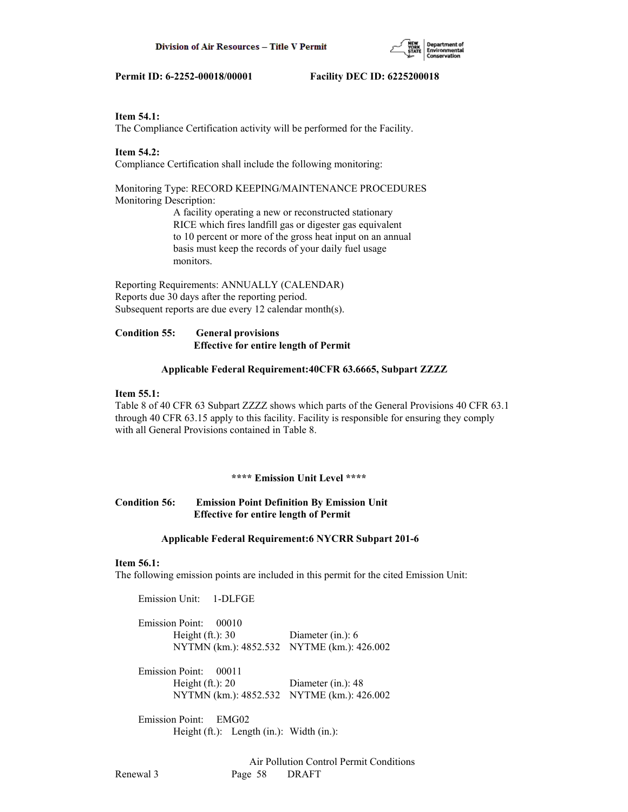

## **Item 54.1:**

The Compliance Certification activity will be performed for the Facility.

## **Item 54.2:**

Compliance Certification shall include the following monitoring:

## Monitoring Type: RECORD KEEPING/MAINTENANCE PROCEDURES Monitoring Description:

 A facility operating a new or reconstructed stationary RICE which fires landfill gas or digester gas equivalent to 10 percent or more of the gross heat input on an annual basis must keep the records of your daily fuel usage monitors.

Reporting Requirements: ANNUALLY (CALENDAR) Reports due 30 days after the reporting period. Subsequent reports are due every 12 calendar month(s).

# **Condition 55: General provisions Effective for entire length of Permit**

# **Applicable Federal Requirement:40CFR 63.6665, Subpart ZZZZ**

## **Item 55.1:**

Table 8 of 40 CFR 63 Subpart ZZZZ shows which parts of the General Provisions 40 CFR 63.1 through 40 CFR 63.15 apply to this facility. Facility is responsible for ensuring they comply with all General Provisions contained in Table 8.

## **\*\*\*\* Emission Unit Level \*\*\*\***

# **Condition 56: Emission Point Definition By Emission Unit Effective for entire length of Permit**

## **Applicable Federal Requirement:6 NYCRR Subpart 201-6**

## **Item 56.1:**

The following emission points are included in this permit for the cited Emission Unit:

Emission Unit: 1-DLFGE

| Emission Point: 00010                      |                      |
|--------------------------------------------|----------------------|
| Height $(ft.): 30$                         | Diameter $(in.)$ : 6 |
| NYTMN (km.): 4852.532 NYTME (km.): 426.002 |                      |

| Emission Point: 00011                      |                    |
|--------------------------------------------|--------------------|
| Height $(ft.)$ : 20                        | Diameter (in.): 48 |
| NYTMN (km.): 4852.532 NYTME (km.): 426.002 |                    |

 Emission Point: EMG02 Height (ft.): Length (in.): Width (in.):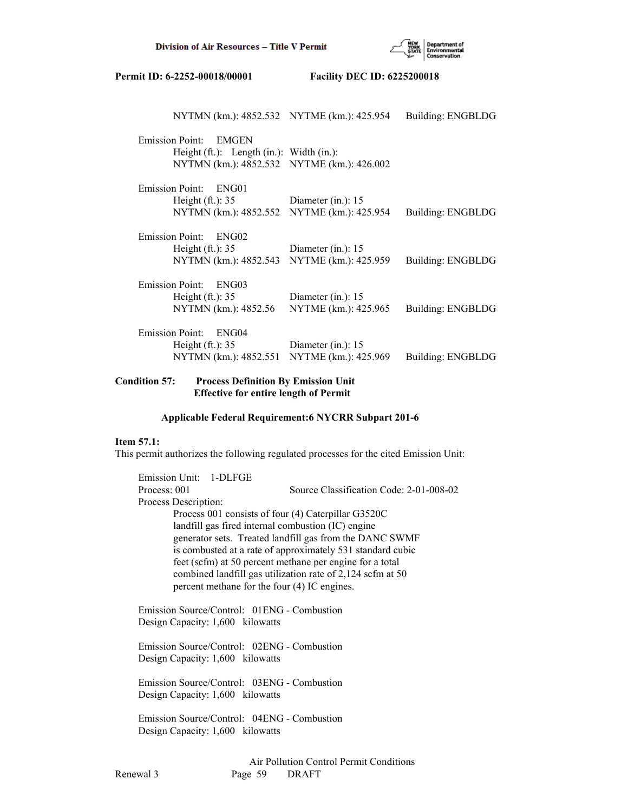

| NYTMN (km.): 4852.532 NYTME (km.): 425.954        |                       | Building: ENGBLDG |
|---------------------------------------------------|-----------------------|-------------------|
| Emission Point: EMGEN                             |                       |                   |
| Height $(ft.)$ : Length $(in.)$ : Width $(in.)$ : |                       |                   |
| NYTMN (km.): 4852.532 NYTME (km.): 426.002        |                       |                   |
| <b>Emission Point:</b><br>ENG01                   |                       |                   |
| Height $(ft.)$ : 35                               | Diameter $(in.)$ : 15 |                   |
| NYTMN (km.): 4852.552                             | NYTME (km.): 425.954  | Building: ENGBLDG |
| Emission Point: ENG02                             |                       |                   |
| Height $(ft.)$ : 35                               | Diameter (in.): $15$  |                   |
| NYTMN (km.): 4852.543                             | NYTME (km.): 425.959  | Building: ENGBLDG |
| Emission Point: ENG03                             |                       |                   |
| Height $(ft.)$ : 35                               | Diameter $(in.)$ : 15 |                   |
| NYTMN (km.): 4852.56                              | NYTME (km.): 425.965  | Building: ENGBLDG |
| Emission Point: ENG04                             |                       |                   |
| Height $(ft.)$ : 35                               | Diameter (in.): $15$  |                   |
| NYTMN (km.): 4852.551                             | NYTME (km.): 425.969  | Building: ENGBLDG |
|                                                   |                       |                   |

## **Condition 57: Process Definition By Emission Unit Effective for entire length of Permit**

## **Applicable Federal Requirement:6 NYCRR Subpart 201-6**

## **Item 57.1:**

This permit authorizes the following regulated processes for the cited Emission Unit:

 Emission Unit: 1-DLFGE Process: 001 Source Classification Code: 2-01-008-02 Process Description: Process 001 consists of four (4) Caterpillar G3520C landfill gas fired internal combustion (IC) engine generator sets. Treated landfill gas from the DANC SWMF is combusted at a rate of approximately 531 standard cubic feet (scfm) at 50 percent methane per engine for a total combined landfill gas utilization rate of 2,124 scfm at 50 percent methane for the four (4) IC engines.

 Emission Source/Control: 01ENG - Combustion Design Capacity: 1,600 kilowatts

 Emission Source/Control: 02ENG - Combustion Design Capacity: 1,600 kilowatts

 Emission Source/Control: 03ENG - Combustion Design Capacity: 1,600 kilowatts

 Emission Source/Control: 04ENG - Combustion Design Capacity: 1,600 kilowatts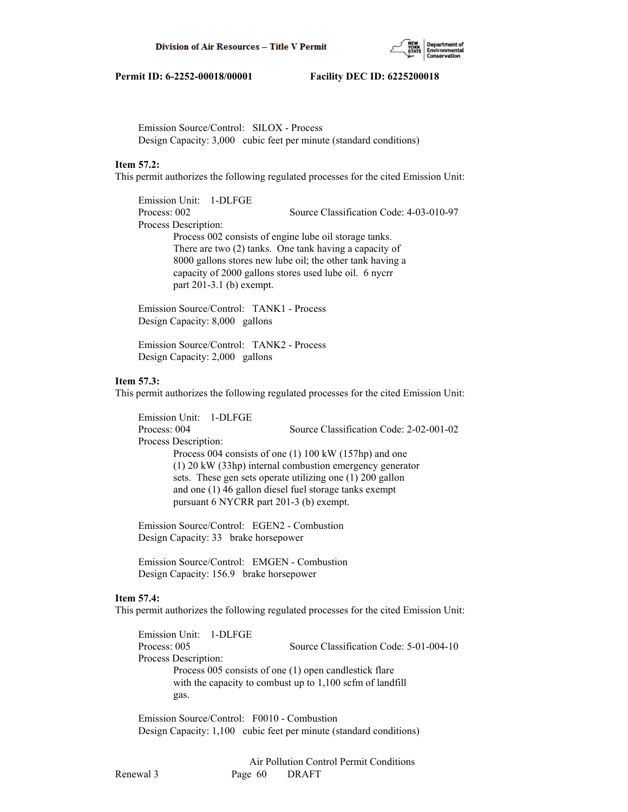

 Emission Source/Control: SILOX - Process Design Capacity: 3,000 cubic feet per minute (standard conditions)

## **Item 57.2:**

This permit authorizes the following regulated processes for the cited Emission Unit:

 Emission Unit: 1-DLFGE Process: 002 Source Classification Code: 4-03-010-97 Process Description: Process 002 consists of engine lube oil storage tanks. There are two (2) tanks. One tank having a capacity of 8000 gallons stores new lube oil; the other tank having a capacity of 2000 gallons stores used lube oil. 6 nycrr part 201-3.1 (b) exempt.

 Emission Source/Control: TANK1 - Process Design Capacity: 8,000 gallons

 Emission Source/Control: TANK2 - Process Design Capacity: 2,000 gallons

#### **Item 57.3:**

This permit authorizes the following regulated processes for the cited Emission Unit:

 Emission Unit: 1-DLFGE Process: 004 Source Classification Code: 2-02-001-02 Process Description: Process 004 consists of one (1) 100 kW (157hp) and one (1) 20 kW (33hp) internal combustion emergency generator sets. These gen sets operate utilizing one (1) 200 gallon and one (1) 46 gallon diesel fuel storage tanks exempt pursuant 6 NYCRR part 201-3 (b) exempt.

 Emission Source/Control: EGEN2 - Combustion Design Capacity: 33 brake horsepower

 Emission Source/Control: EMGEN - Combustion Design Capacity: 156.9 brake horsepower

#### **Item 57.4:**

This permit authorizes the following regulated processes for the cited Emission Unit:

 Emission Unit: 1-DLFGE Process: 005 Source Classification Code: 5-01-004-10 Process Description: Process 005 consists of one (1) open candlestick flare with the capacity to combust up to 1,100 scfm of landfill gas.

 Emission Source/Control: F0010 - Combustion Design Capacity: 1,100 cubic feet per minute (standard conditions)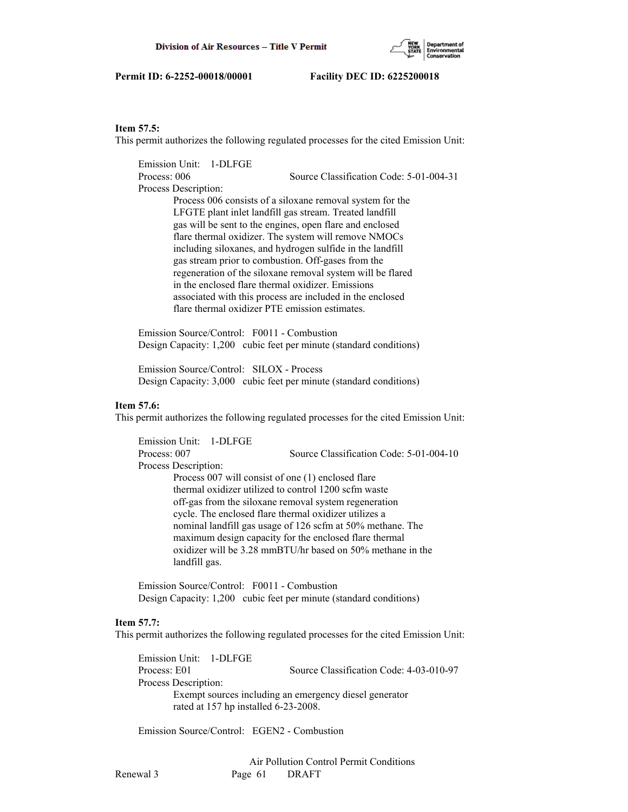

## **Item 57.5:**

This permit authorizes the following regulated processes for the cited Emission Unit:

 Emission Unit: 1-DLFGE Process: 006 Source Classification Code: 5-01-004-31 Process Description: Process 006 consists of a siloxane removal system for the LFGTE plant inlet landfill gas stream. Treated landfill gas will be sent to the engines, open flare and enclosed flare thermal oxidizer. The system will remove NMOCs including siloxanes, and hydrogen sulfide in the landfill gas stream prior to combustion. Off-gases from the regeneration of the siloxane removal system will be flared in the enclosed flare thermal oxidizer. Emissions associated with this process are included in the enclosed flare thermal oxidizer PTE emission estimates.

 Emission Source/Control: F0011 - Combustion Design Capacity: 1,200 cubic feet per minute (standard conditions)

 Emission Source/Control: SILOX - Process Design Capacity: 3,000 cubic feet per minute (standard conditions)

#### **Item 57.6:**

This permit authorizes the following regulated processes for the cited Emission Unit:

 Emission Unit: 1-DLFGE Process: 007 Source Classification Code: 5-01-004-10 Process Description: Process 007 will consist of one (1) enclosed flare thermal oxidizer utilized to control 1200 scfm waste off-gas from the siloxane removal system regeneration cycle. The enclosed flare thermal oxidizer utilizes a nominal landfill gas usage of 126 scfm at 50% methane. The maximum design capacity for the enclosed flare thermal oxidizer will be 3.28 mmBTU/hr based on 50% methane in the landfill gas.

 Emission Source/Control: F0011 - Combustion Design Capacity: 1,200 cubic feet per minute (standard conditions)

#### **Item 57.7:**

This permit authorizes the following regulated processes for the cited Emission Unit:

 Emission Unit: 1-DLFGE Process: E01 Source Classification Code: 4-03-010-97 Process Description: Exempt sources including an emergency diesel generator rated at 157 hp installed 6-23-2008.

Emission Source/Control: EGEN2 - Combustion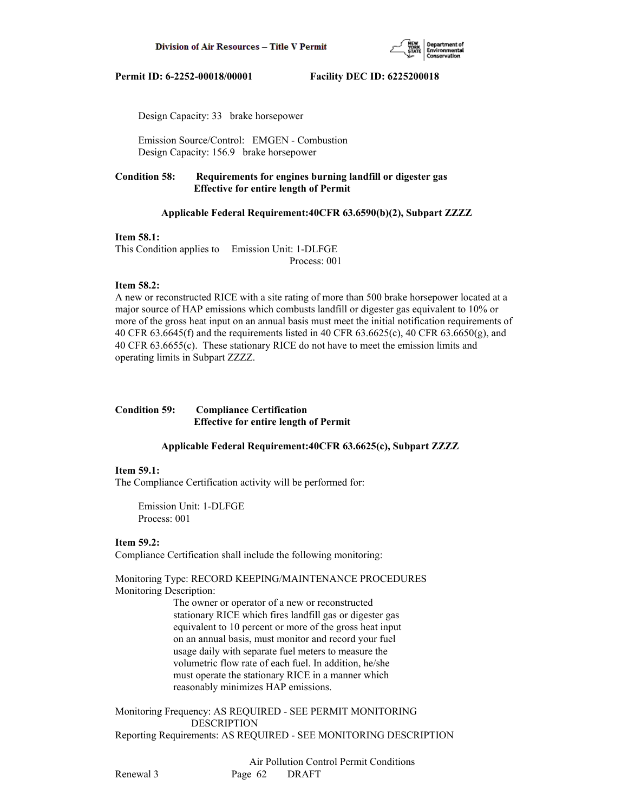

Design Capacity: 33 brake horsepower

 Emission Source/Control: EMGEN - Combustion Design Capacity: 156.9 brake horsepower

# **Condition 58: Requirements for engines burning landfill or digester gas Effective for entire length of Permit**

## **Applicable Federal Requirement:40CFR 63.6590(b)(2), Subpart ZZZZ**

## **Item 58.1:**

This Condition applies to Emission Unit: 1-DLFGE Process: 001

## **Item 58.2:**

A new or reconstructed RICE with a site rating of more than 500 brake horsepower located at a major source of HAP emissions which combusts landfill or digester gas equivalent to 10% or more of the gross heat input on an annual basis must meet the initial notification requirements of 40 CFR 63.6645(f) and the requirements listed in 40 CFR 63.6625(c), 40 CFR 63.6650(g), and 40 CFR 63.6655(c). These stationary RICE do not have to meet the emission limits and operating limits in Subpart ZZZZ.

# **Condition 59: Compliance Certification Effective for entire length of Permit**

## **Applicable Federal Requirement:40CFR 63.6625(c), Subpart ZZZZ**

## **Item 59.1:**

The Compliance Certification activity will be performed for:

 Emission Unit: 1-DLFGE Process: 001

# **Item 59.2:**

Compliance Certification shall include the following monitoring:

Monitoring Type: RECORD KEEPING/MAINTENANCE PROCEDURES Monitoring Description:

> The owner or operator of a new or reconstructed stationary RICE which fires landfill gas or digester gas equivalent to 10 percent or more of the gross heat input on an annual basis, must monitor and record your fuel usage daily with separate fuel meters to measure the volumetric flow rate of each fuel. In addition, he/she must operate the stationary RICE in a manner which reasonably minimizes HAP emissions.

Monitoring Frequency: AS REQUIRED - SEE PERMIT MONITORING DESCRIPTION Reporting Requirements: AS REQUIRED - SEE MONITORING DESCRIPTION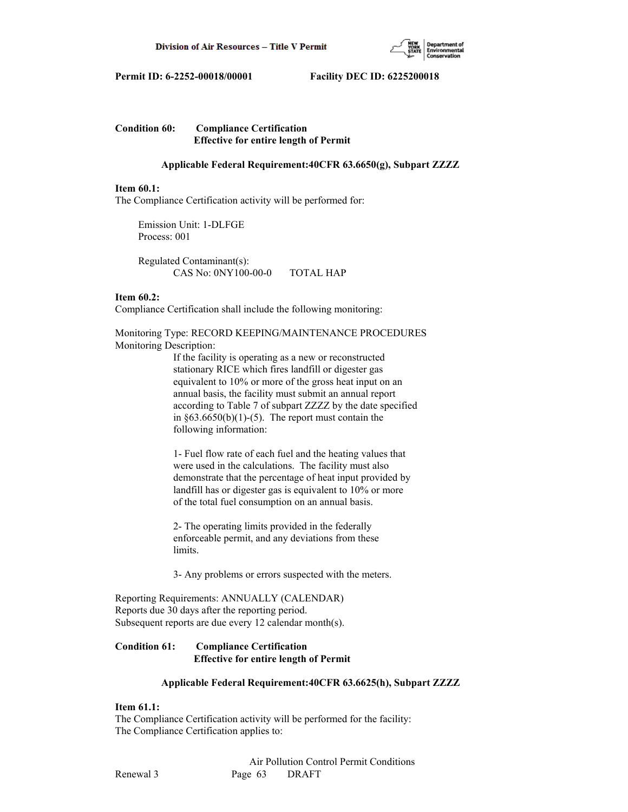

# **Condition 60: Compliance Certification Effective for entire length of Permit**

## **Applicable Federal Requirement:40CFR 63.6650(g), Subpart ZZZZ**

#### **Item 60.1:**

The Compliance Certification activity will be performed for:

 Emission Unit: 1-DLFGE Process: 001

 Regulated Contaminant(s): CAS No: 0NY100-00-0 TOTAL HAP

#### **Item 60.2:**

Compliance Certification shall include the following monitoring:

## Monitoring Type: RECORD KEEPING/MAINTENANCE PROCEDURES Monitoring Description:

 If the facility is operating as a new or reconstructed stationary RICE which fires landfill or digester gas equivalent to 10% or more of the gross heat input on an annual basis, the facility must submit an annual report according to Table 7 of subpart ZZZZ by the date specified in  $§63.6650(b)(1)-(5)$ . The report must contain the following information:

 1- Fuel flow rate of each fuel and the heating values that were used in the calculations. The facility must also demonstrate that the percentage of heat input provided by landfill has or digester gas is equivalent to 10% or more of the total fuel consumption on an annual basis.

 2- The operating limits provided in the federally enforceable permit, and any deviations from these limits.

3- Any problems or errors suspected with the meters.

Reporting Requirements: ANNUALLY (CALENDAR) Reports due 30 days after the reporting period. Subsequent reports are due every 12 calendar month(s).

# **Condition 61: Compliance Certification Effective for entire length of Permit**

## **Applicable Federal Requirement:40CFR 63.6625(h), Subpart ZZZZ**

# **Item 61.1:**

The Compliance Certification activity will be performed for the facility: The Compliance Certification applies to: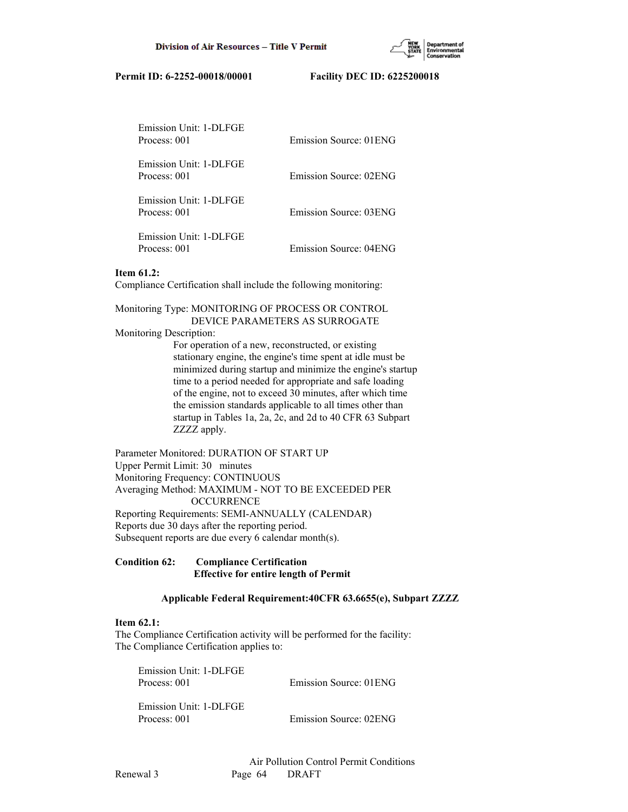| Emission Unit: 1-DLFGE<br>Process: 001 | Emission Source: 01 ENG |
|----------------------------------------|-------------------------|
| Emission Unit: 1-DLFGE<br>Process: 001 | Emission Source: 02ENG  |
| Emission Unit: 1-DLFGE<br>Process: 001 | Emission Source: 03ENG  |
| Emission Unit: 1-DLFGE<br>Process: 001 | Emission Source: 04ENG  |

## **Item 61.2:**

Compliance Certification shall include the following monitoring:

Monitoring Type: MONITORING OF PROCESS OR CONTROL

DEVICE PARAMETERS AS SURROGATE

Monitoring Description:

 For operation of a new, reconstructed, or existing stationary engine, the engine's time spent at idle must be minimized during startup and minimize the engine's startup time to a period needed for appropriate and safe loading of the engine, not to exceed 30 minutes, after which time the emission standards applicable to all times other than startup in Tables 1a, 2a, 2c, and 2d to 40 CFR 63 Subpart ZZZZ apply.

Parameter Monitored: DURATION OF START UP Upper Permit Limit: 30 minutes Monitoring Frequency: CONTINUOUS Averaging Method: MAXIMUM - NOT TO BE EXCEEDED PER **OCCURRENCE** Reporting Requirements: SEMI-ANNUALLY (CALENDAR) Reports due 30 days after the reporting period. Subsequent reports are due every 6 calendar month(s).

**Condition 62: Compliance Certification Effective for entire length of Permit**

## **Applicable Federal Requirement:40CFR 63.6655(e), Subpart ZZZZ**

## **Item 62.1:**

The Compliance Certification activity will be performed for the facility: The Compliance Certification applies to:

| Emission Unit: 1-DLFGE |                         |
|------------------------|-------------------------|
| Process: 001           | Emission Source: 01 ENG |
|                        |                         |

 Emission Unit: 1-DLFGE Process: 001 Emission Source: 02ENG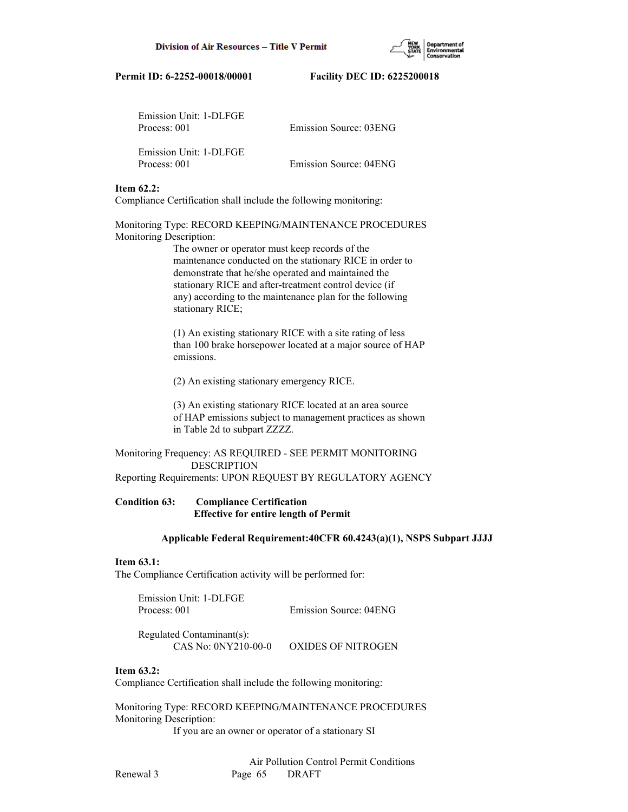| Emission Unit: 1-DLFGE<br>Process: 001 | Emission Source: 03ENG |
|----------------------------------------|------------------------|
| Emission Unit: 1-DLFGE<br>Process: 001 | Emission Source: 04ENG |

## **Item 62.2:**

Compliance Certification shall include the following monitoring:

Monitoring Type: RECORD KEEPING/MAINTENANCE PROCEDURES Monitoring Description:

> The owner or operator must keep records of the maintenance conducted on the stationary RICE in order to demonstrate that he/she operated and maintained the stationary RICE and after-treatment control device (if any) according to the maintenance plan for the following stationary RICE;

 (1) An existing stationary RICE with a site rating of less than 100 brake horsepower located at a major source of HAP emissions.

(2) An existing stationary emergency RICE.

 (3) An existing stationary RICE located at an area source of HAP emissions subject to management practices as shown in Table 2d to subpart ZZZZ.

Monitoring Frequency: AS REQUIRED - SEE PERMIT MONITORING DESCRIPTION Reporting Requirements: UPON REQUEST BY REGULATORY AGENCY

# **Condition 63: Compliance Certification Effective for entire length of Permit**

## **Applicable Federal Requirement:40CFR 60.4243(a)(1), NSPS Subpart JJJJ**

## **Item 63.1:**

The Compliance Certification activity will be performed for:

 Emission Unit: 1-DLFGE Process: 001 Emission Source: 04ENG

 Regulated Contaminant(s): CAS No: 0NY210-00-0 OXIDES OF NITROGEN

## **Item 63.2:**

Compliance Certification shall include the following monitoring:

Monitoring Type: RECORD KEEPING/MAINTENANCE PROCEDURES Monitoring Description:

If you are an owner or operator of a stationary SI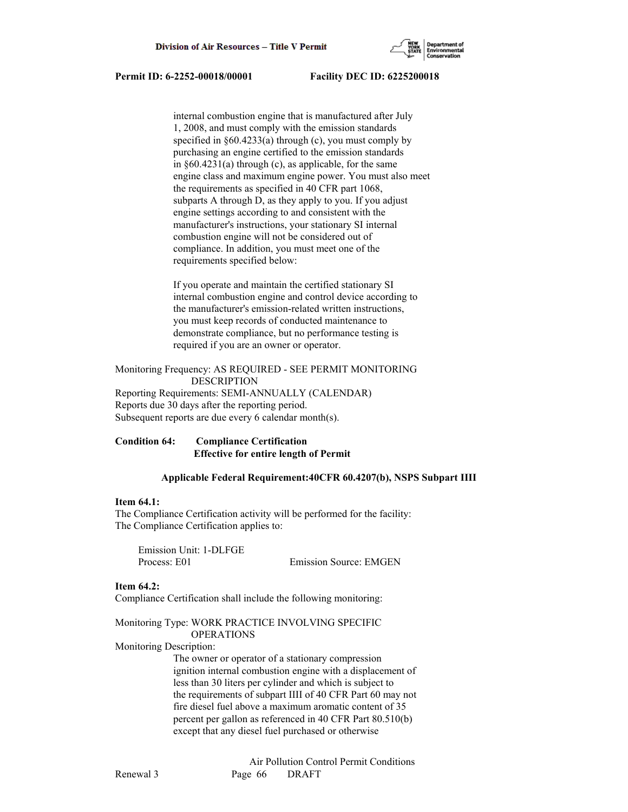

 internal combustion engine that is manufactured after July 1, 2008, and must comply with the emission standards specified in  $\S 60.4233(a)$  through (c), you must comply by purchasing an engine certified to the emission standards in §60.4231(a) through (c), as applicable, for the same engine class and maximum engine power. You must also meet the requirements as specified in 40 CFR part 1068, subparts A through D, as they apply to you. If you adjust engine settings according to and consistent with the manufacturer's instructions, your stationary SI internal combustion engine will not be considered out of compliance. In addition, you must meet one of the requirements specified below:

 If you operate and maintain the certified stationary SI internal combustion engine and control device according to the manufacturer's emission-related written instructions, you must keep records of conducted maintenance to demonstrate compliance, but no performance testing is required if you are an owner or operator.

Monitoring Frequency: AS REQUIRED - SEE PERMIT MONITORING DESCRIPTION Reporting Requirements: SEMI-ANNUALLY (CALENDAR) Reports due 30 days after the reporting period. Subsequent reports are due every 6 calendar month(s).

## **Condition 64: Compliance Certification Effective for entire length of Permit**

## **Applicable Federal Requirement:40CFR 60.4207(b), NSPS Subpart IIII**

## **Item 64.1:**

The Compliance Certification activity will be performed for the facility: The Compliance Certification applies to:

 Emission Unit: 1-DLFGE Process: E01 Emission Source: EMGEN

#### **Item 64.2:**

Compliance Certification shall include the following monitoring:

#### Monitoring Type: WORK PRACTICE INVOLVING SPECIFIC OPERATIONS

Monitoring Description:

 The owner or operator of a stationary compression ignition internal combustion engine with a displacement of less than 30 liters per cylinder and which is subject to the requirements of subpart IIII of 40 CFR Part 60 may not fire diesel fuel above a maximum aromatic content of 35 percent per gallon as referenced in 40 CFR Part 80.510(b) except that any diesel fuel purchased or otherwise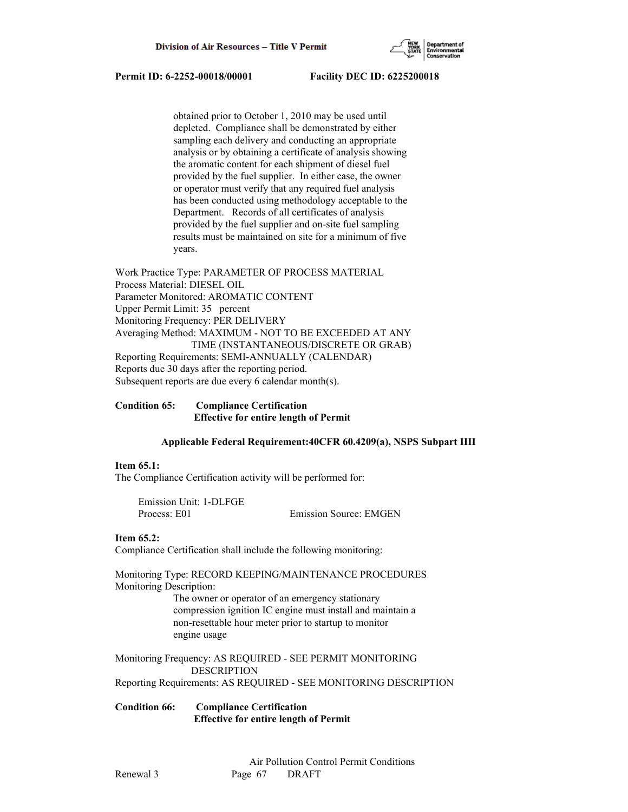

 obtained prior to October 1, 2010 may be used until depleted. Compliance shall be demonstrated by either sampling each delivery and conducting an appropriate analysis or by obtaining a certificate of analysis showing the aromatic content for each shipment of diesel fuel provided by the fuel supplier. In either case, the owner or operator must verify that any required fuel analysis has been conducted using methodology acceptable to the Department. Records of all certificates of analysis provided by the fuel supplier and on-site fuel sampling results must be maintained on site for a minimum of five years.

Work Practice Type: PARAMETER OF PROCESS MATERIAL Process Material: DIESEL OIL Parameter Monitored: AROMATIC CONTENT Upper Permit Limit: 35 percent Monitoring Frequency: PER DELIVERY Averaging Method: MAXIMUM - NOT TO BE EXCEEDED AT ANY TIME (INSTANTANEOUS/DISCRETE OR GRAB) Reporting Requirements: SEMI-ANNUALLY (CALENDAR) Reports due 30 days after the reporting period. Subsequent reports are due every 6 calendar month(s).

# **Condition 65: Compliance Certification Effective for entire length of Permit**

## **Applicable Federal Requirement:40CFR 60.4209(a), NSPS Subpart IIII**

#### **Item 65.1:**

The Compliance Certification activity will be performed for:

 Emission Unit: 1-DLFGE Process: E01 Emission Source: EMGEN

## **Item 65.2:**

Compliance Certification shall include the following monitoring:

Monitoring Type: RECORD KEEPING/MAINTENANCE PROCEDURES Monitoring Description:

 The owner or operator of an emergency stationary compression ignition IC engine must install and maintain a non-resettable hour meter prior to startup to monitor engine usage

Monitoring Frequency: AS REQUIRED - SEE PERMIT MONITORING DESCRIPTION Reporting Requirements: AS REQUIRED - SEE MONITORING DESCRIPTION

**Condition 66: Compliance Certification Effective for entire length of Permit**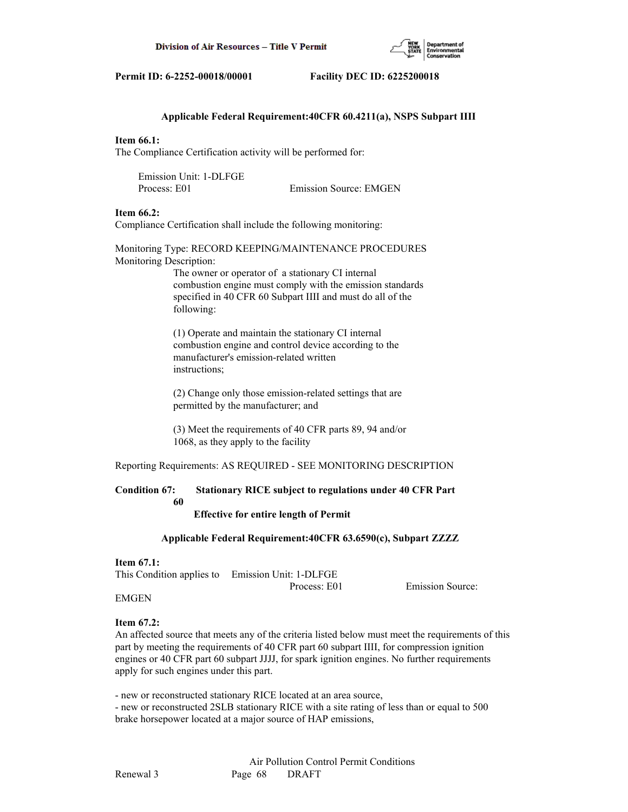

# **Applicable Federal Requirement:40CFR 60.4211(a), NSPS Subpart IIII**

## **Item 66.1:**

The Compliance Certification activity will be performed for:

 Emission Unit: 1-DLFGE Process: E01 Emission Source: EMGEN

#### **Item 66.2:**

Compliance Certification shall include the following monitoring:

Monitoring Type: RECORD KEEPING/MAINTENANCE PROCEDURES Monitoring Description:

> The owner or operator of a stationary CI internal combustion engine must comply with the emission standards specified in 40 CFR 60 Subpart IIII and must do all of the following:

 (1) Operate and maintain the stationary CI internal combustion engine and control device according to the manufacturer's emission-related written instructions;

 (2) Change only those emission-related settings that are permitted by the manufacturer; and

 (3) Meet the requirements of 40 CFR parts 89, 94 and/or 1068, as they apply to the facility

Reporting Requirements: AS REQUIRED - SEE MONITORING DESCRIPTION

# **Condition 67: Stationary RICE subject to regulations under 40 CFR Part**

 **60**

 **Effective for entire length of Permit**

 **Applicable Federal Requirement:40CFR 63.6590(c), Subpart ZZZZ**

#### **Item 67.1:**

This Condition applies to Emission Unit: 1-DLFGE

Process: E01 Emission Source:

# EMGEN

## **Item 67.2:**

An affected source that meets any of the criteria listed below must meet the requirements of this part by meeting the requirements of 40 CFR part 60 subpart IIII, for compression ignition engines or 40 CFR part 60 subpart JJJJ, for spark ignition engines. No further requirements apply for such engines under this part.

- new or reconstructed stationary RICE located at an area source, - new or reconstructed 2SLB stationary RICE with a site rating of less than or equal to 500 brake horsepower located at a major source of HAP emissions,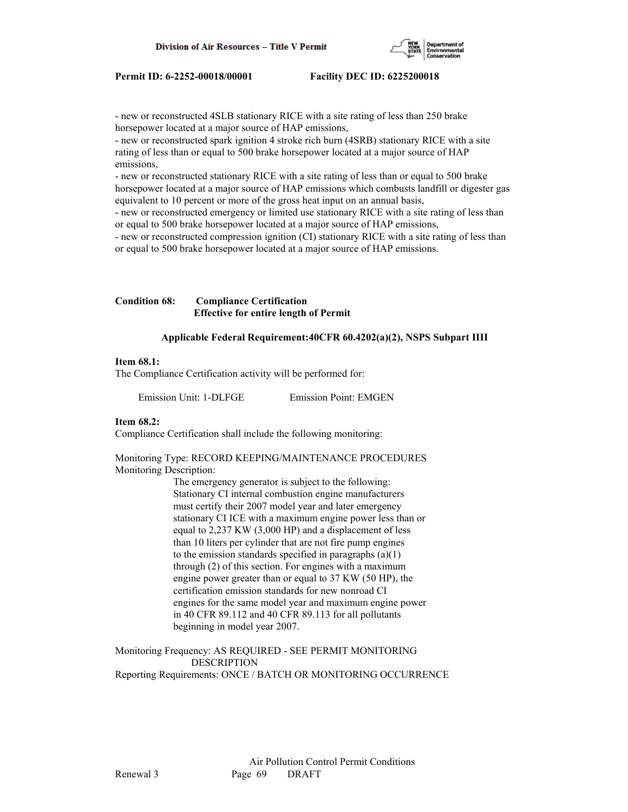

- new or reconstructed 4SLB stationary RICE with a site rating of less than 250 brake horsepower located at a major source of HAP emissions,

- new or reconstructed spark ignition 4 stroke rich burn (4SRB) stationary RICE with a site rating of less than or equal to 500 brake horsepower located at a major source of HAP emissions,

- new or reconstructed stationary RICE with a site rating of less than or equal to 500 brake horsepower located at a major source of HAP emissions which combusts landfill or digester gas equivalent to 10 percent or more of the gross heat input on an annual basis,

- new or reconstructed emergency or limited use stationary RICE with a site rating of less than or equal to 500 brake horsepower located at a major source of HAP emissions,

- new or reconstructed compression ignition (CI) stationary RICE with a site rating of less than or equal to 500 brake horsepower located at a major source of HAP emissions.

# **Condition 68: Compliance Certification Effective for entire length of Permit**

## **Applicable Federal Requirement:40CFR 60.4202(a)(2), NSPS Subpart IIII**

#### **Item 68.1:**

The Compliance Certification activity will be performed for:

Emission Unit: 1-DLFGE Emission Point: EMGEN

## **Item 68.2:**

Compliance Certification shall include the following monitoring:

Monitoring Type: RECORD KEEPING/MAINTENANCE PROCEDURES Monitoring Description:

> The emergency generator is subject to the following: Stationary CI internal combustion engine manufacturers must certify their 2007 model year and later emergency stationary CI ICE with a maximum engine power less than or equal to 2,237 KW (3,000 HP) and a displacement of less than 10 liters per cylinder that are not fire pump engines to the emission standards specified in paragraphs (a)(1) through (2) of this section. For engines with a maximum engine power greater than or equal to 37 KW (50 HP), the certification emission standards for new nonroad CI engines for the same model year and maximum engine power in 40 CFR 89.112 and 40 CFR 89.113 for all pollutants beginning in model year 2007.

Monitoring Frequency: AS REQUIRED - SEE PERMIT MONITORING DESCRIPTION Reporting Requirements: ONCE / BATCH OR MONITORING OCCURRENCE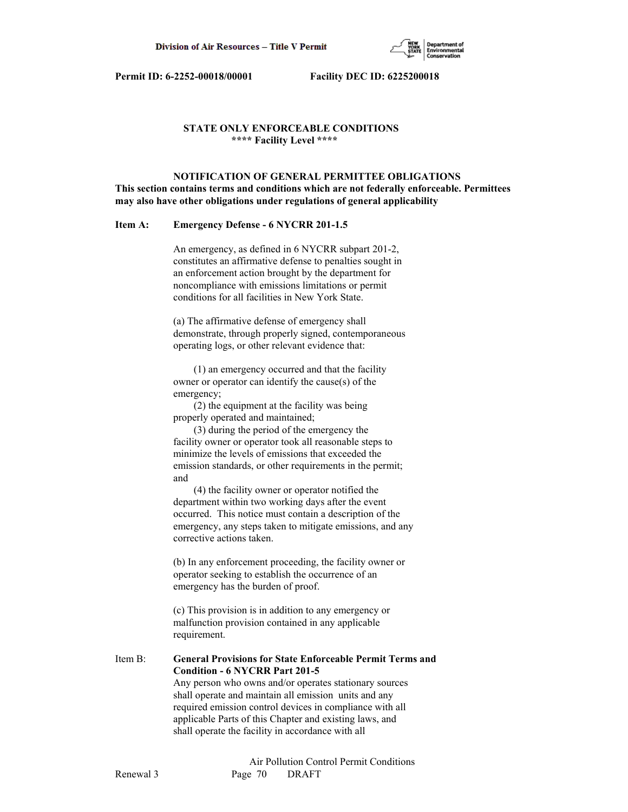

# **STATE ONLY ENFORCEABLE CONDITIONS \*\*\*\* Facility Level \*\*\*\***

 **NOTIFICATION OF GENERAL PERMITTEE OBLIGATIONS This section contains terms and conditions which are not federally enforceable. Permittees may also have other obligations under regulations of general applicability**

## **Item A: Emergency Defense - 6 NYCRR 201-1.5**

 An emergency, as defined in 6 NYCRR subpart 201-2, constitutes an affirmative defense to penalties sought in an enforcement action brought by the department for noncompliance with emissions limitations or permit conditions for all facilities in New York State.

 (a) The affirmative defense of emergency shall demonstrate, through properly signed, contemporaneous operating logs, or other relevant evidence that:

 (1) an emergency occurred and that the facility owner or operator can identify the cause(s) of the emergency;

 (2) the equipment at the facility was being properly operated and maintained;

 (3) during the period of the emergency the facility owner or operator took all reasonable steps to minimize the levels of emissions that exceeded the emission standards, or other requirements in the permit; and

 (4) the facility owner or operator notified the department within two working days after the event occurred. This notice must contain a description of the emergency, any steps taken to mitigate emissions, and any corrective actions taken.

 (b) In any enforcement proceeding, the facility owner or operator seeking to establish the occurrence of an emergency has the burden of proof.

 (c) This provision is in addition to any emergency or malfunction provision contained in any applicable requirement.

Item B: **General Provisions for State Enforceable Permit Terms and Condition - 6 NYCRR Part 201-5** Any person who owns and/or operates stationary sources shall operate and maintain all emission units and any required emission control devices in compliance with all

 applicable Parts of this Chapter and existing laws, and shall operate the facility in accordance with all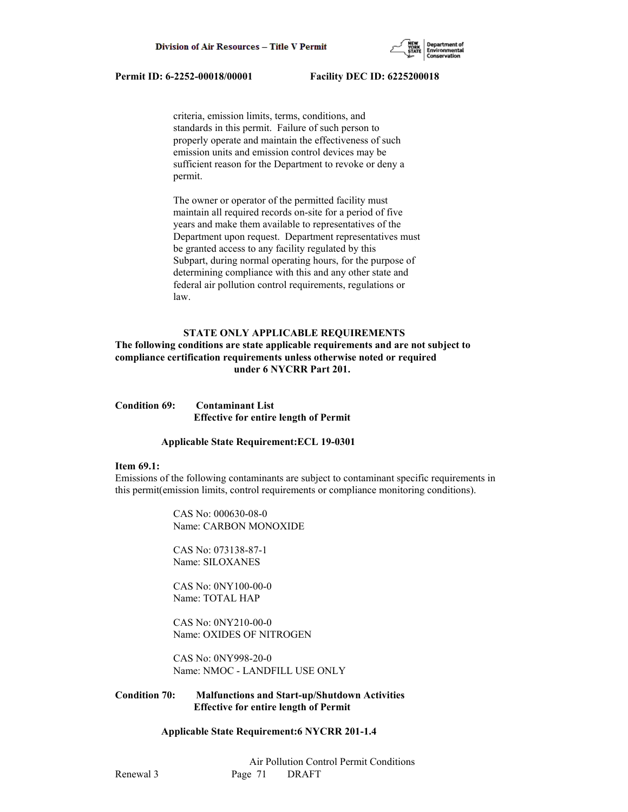

 criteria, emission limits, terms, conditions, and standards in this permit. Failure of such person to properly operate and maintain the effectiveness of such emission units and emission control devices may be sufficient reason for the Department to revoke or deny a permit.

 The owner or operator of the permitted facility must maintain all required records on-site for a period of five years and make them available to representatives of the Department upon request. Department representatives must be granted access to any facility regulated by this Subpart, during normal operating hours, for the purpose of determining compliance with this and any other state and federal air pollution control requirements, regulations or law.

# **STATE ONLY APPLICABLE REQUIREMENTS**

# **The following conditions are state applicable requirements and are not subject to compliance certification requirements unless otherwise noted or required under 6 NYCRR Part 201.**

**Condition 69: Contaminant List Effective for entire length of Permit**

#### **Applicable State Requirement:ECL 19-0301**

#### **Item 69.1:**

Emissions of the following contaminants are subject to contaminant specific requirements in this permit(emission limits, control requirements or compliance monitoring conditions).

> CAS No: 000630-08-0 Name: CARBON MONOXIDE

 CAS No: 073138-87-1 Name: SILOXANES

 CAS No: 0NY100-00-0 Name: TOTAL HAP

 CAS No: 0NY210-00-0 Name: OXIDES OF NITROGEN

 CAS No: 0NY998-20-0 Name: NMOC - LANDFILL USE ONLY

# **Condition 70: Malfunctions and Start-up/Shutdown Activities Effective for entire length of Permit**

## **Applicable State Requirement:6 NYCRR 201-1.4**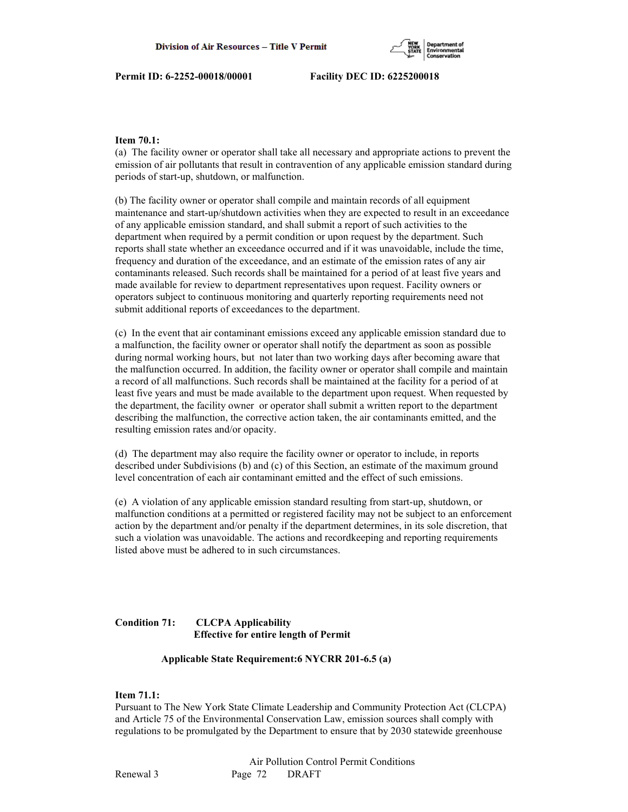

# **Item 70.1:**

(a) The facility owner or operator shall take all necessary and appropriate actions to prevent the emission of air pollutants that result in contravention of any applicable emission standard during periods of start-up, shutdown, or malfunction.

(b) The facility owner or operator shall compile and maintain records of all equipment maintenance and start-up/shutdown activities when they are expected to result in an exceedance of any applicable emission standard, and shall submit a report of such activities to the department when required by a permit condition or upon request by the department. Such reports shall state whether an exceedance occurred and if it was unavoidable, include the time, frequency and duration of the exceedance, and an estimate of the emission rates of any air contaminants released. Such records shall be maintained for a period of at least five years and made available for review to department representatives upon request. Facility owners or operators subject to continuous monitoring and quarterly reporting requirements need not submit additional reports of exceedances to the department.

(c) In the event that air contaminant emissions exceed any applicable emission standard due to a malfunction, the facility owner or operator shall notify the department as soon as possible during normal working hours, but not later than two working days after becoming aware that the malfunction occurred. In addition, the facility owner or operator shall compile and maintain a record of all malfunctions. Such records shall be maintained at the facility for a period of at least five years and must be made available to the department upon request. When requested by the department, the facility owner or operator shall submit a written report to the department describing the malfunction, the corrective action taken, the air contaminants emitted, and the resulting emission rates and/or opacity.

(d) The department may also require the facility owner or operator to include, in reports described under Subdivisions (b) and (c) of this Section, an estimate of the maximum ground level concentration of each air contaminant emitted and the effect of such emissions.

(e) A violation of any applicable emission standard resulting from start-up, shutdown, or malfunction conditions at a permitted or registered facility may not be subject to an enforcement action by the department and/or penalty if the department determines, in its sole discretion, that such a violation was unavoidable. The actions and recordkeeping and reporting requirements listed above must be adhered to in such circumstances.

# **Condition 71: CLCPA Applicability Effective for entire length of Permit**

## **Applicable State Requirement:6 NYCRR 201-6.5 (a)**

# **Item 71.1:**

Pursuant to The New York State Climate Leadership and Community Protection Act (CLCPA) and Article 75 of the Environmental Conservation Law, emission sources shall comply with regulations to be promulgated by the Department to ensure that by 2030 statewide greenhouse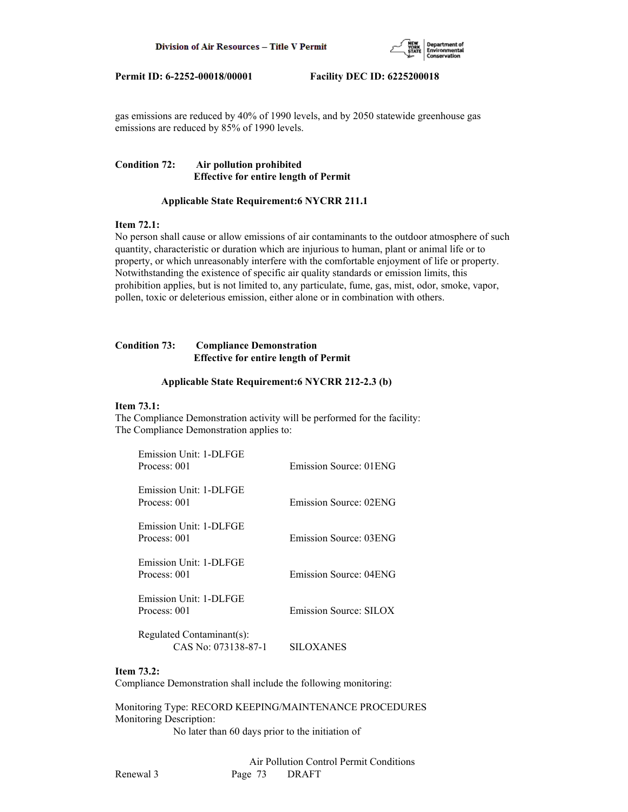

gas emissions are reduced by 40% of 1990 levels, and by 2050 statewide greenhouse gas emissions are reduced by 85% of 1990 levels.

# **Condition 72: Air pollution prohibited Effective for entire length of Permit**

#### **Applicable State Requirement:6 NYCRR 211.1**

# **Item 72.1:**

No person shall cause or allow emissions of air contaminants to the outdoor atmosphere of such quantity, characteristic or duration which are injurious to human, plant or animal life or to property, or which unreasonably interfere with the comfortable enjoyment of life or property. Notwithstanding the existence of specific air quality standards or emission limits, this prohibition applies, but is not limited to, any particulate, fume, gas, mist, odor, smoke, vapor, pollen, toxic or deleterious emission, either alone or in combination with others.

# **Condition 73: Compliance Demonstration Effective for entire length of Permit**

#### **Applicable State Requirement:6 NYCRR 212-2.3 (b)**

### **Item 73.1:**

The Compliance Demonstration activity will be performed for the facility: The Compliance Demonstration applies to:

| Emission Unit: 1-DLFGE<br>Process: 001           | Emission Source: 01ENG |
|--------------------------------------------------|------------------------|
| Emission Unit: 1-DLFGE<br>Process: 001           | Emission Source: 02ENG |
| Emission Unit: 1-DLFGE<br>Process: 001           | Emission Source: 03ENG |
| Emission Unit: 1-DLFGE<br>Process: 001           | Emission Source: 04ENG |
| Emission Unit: 1-DLFGE<br>Process: 001           | Emission Source: SILOX |
| Regulated Contaminant(s):<br>CAS No: 073138-87-1 | SILOXANES              |

### **Item 73.2:**

Compliance Demonstration shall include the following monitoring:

Monitoring Type: RECORD KEEPING/MAINTENANCE PROCEDURES Monitoring Description:

No later than 60 days prior to the initiation of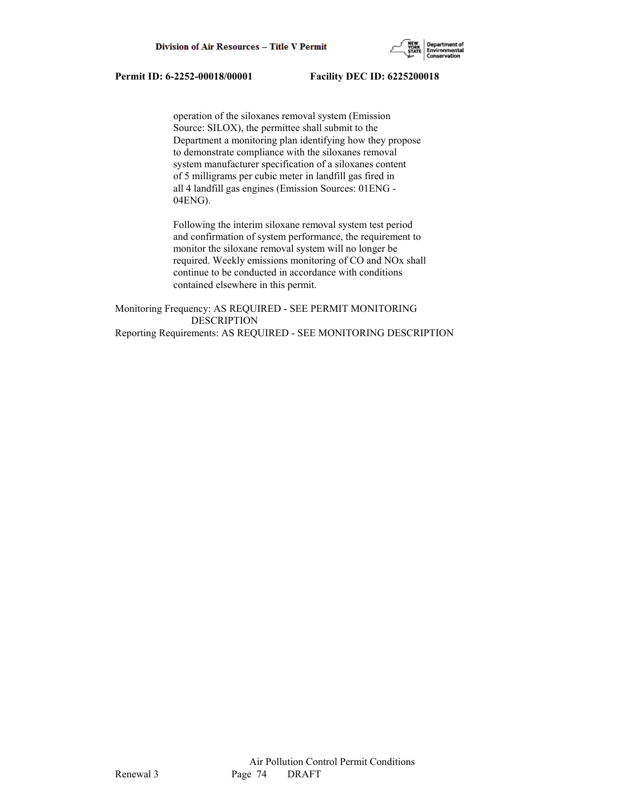

 operation of the siloxanes removal system (Emission Source: SILOX), the permittee shall submit to the Department a monitoring plan identifying how they propose to demonstrate compliance with the siloxanes removal system manufacturer specification of a siloxanes content of 5 milligrams per cubic meter in landfill gas fired in all 4 landfill gas engines (Emission Sources: 01ENG - 04ENG).

 Following the interim siloxane removal system test period and confirmation of system performance, the requirement to monitor the siloxane removal system will no longer be required. Weekly emissions monitoring of CO and NOx shall continue to be conducted in accordance with conditions contained elsewhere in this permit.

Monitoring Frequency: AS REQUIRED - SEE PERMIT MONITORING DESCRIPTION Reporting Requirements: AS REQUIRED - SEE MONITORING DESCRIPTION